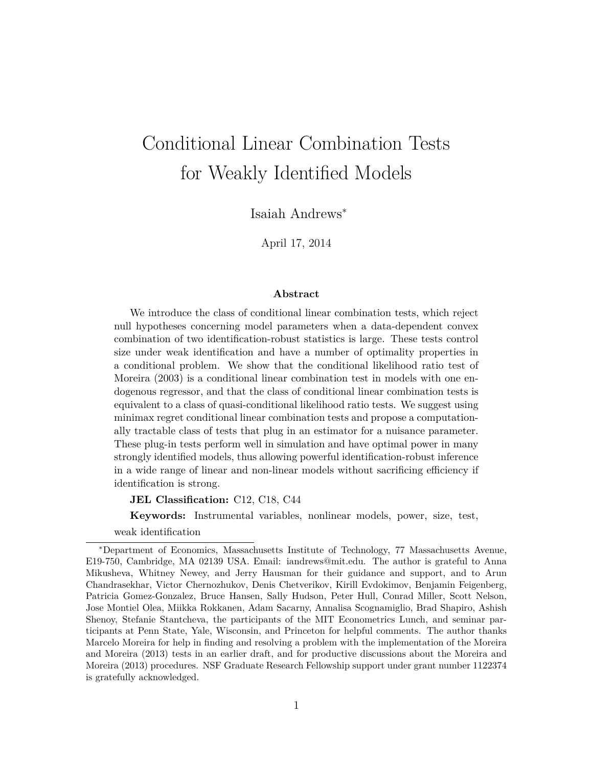# Conditional Linear Combination Tests for Weakly Identified Models

Isaiah Andrews<sup>∗</sup>

April 17, 2014

#### **Abstract**

We introduce the class of conditional linear combination tests, which reject null hypotheses concerning model parameters when a data-dependent convex combination of two identification-robust statistics is large. These tests control size under weak identification and have a number of optimality properties in a conditional problem. We show that the conditional likelihood ratio test of Moreira (2003) is a conditional linear combination test in models with one endogenous regressor, and that the class of conditional linear combination tests is equivalent to a class of quasi-conditional likelihood ratio tests. We suggest using minimax regret conditional linear combination tests and propose a computationally tractable class of tests that plug in an estimator for a nuisance parameter. These plug-in tests perform well in simulation and have optimal power in many strongly identified models, thus allowing powerful identification-robust inference in a wide range of linear and non-linear models without sacrificing efficiency if identification is strong.

**JEL Classification:** C12, C18, C44

**Keywords:** Instrumental variables, nonlinear models, power, size, test,

weak identification

<sup>∗</sup>Department of Economics, Massachusetts Institute of Technology, 77 Massachusetts Avenue, E19-750, Cambridge, MA 02139 USA. Email: iandrews@mit.edu. The author is grateful to Anna Mikusheva, Whitney Newey, and Jerry Hausman for their guidance and support, and to Arun Chandrasekhar, Victor Chernozhukov, Denis Chetverikov, Kirill Evdokimov, Benjamin Feigenberg, Patricia Gomez-Gonzalez, Bruce Hansen, Sally Hudson, Peter Hull, Conrad Miller, Scott Nelson, Jose Montiel Olea, Miikka Rokkanen, Adam Sacarny, Annalisa Scognamiglio, Brad Shapiro, Ashish Shenoy, Stefanie Stantcheva, the participants of the MIT Econometrics Lunch, and seminar participants at Penn State, Yale, Wisconsin, and Princeton for helpful comments. The author thanks Marcelo Moreira for help in finding and resolving a problem with the implementation of the Moreira and Moreira (2013) tests in an earlier draft, and for productive discussions about the Moreira and Moreira (2013) procedures. NSF Graduate Research Fellowship support under grant number 1122374 is gratefully acknowledged.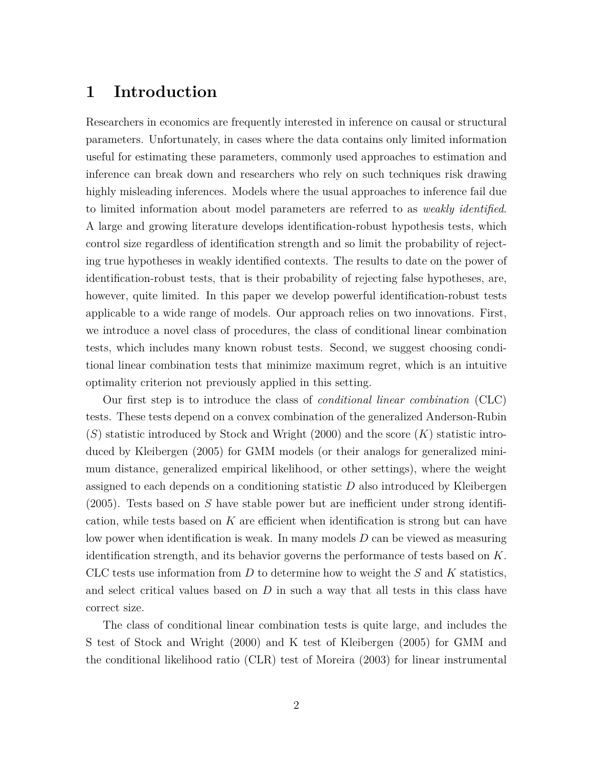# **1 Introduction**

Researchers in economics are frequently interested in inference on causal or structural parameters. Unfortunately, in cases where the data contains only limited information useful for estimating these parameters, commonly used approaches to estimation and inference can break down and researchers who rely on such techniques risk drawing highly misleading inferences. Models where the usual approaches to inference fail due to limited information about model parameters are referred to as *weakly identified*. A large and growing literature develops identification-robust hypothesis tests, which control size regardless of identification strength and so limit the probability of rejecting true hypotheses in weakly identified contexts. The results to date on the power of identification-robust tests, that is their probability of rejecting false hypotheses, are, however, quite limited. In this paper we develop powerful identification-robust tests applicable to a wide range of models. Our approach relies on two innovations. First, we introduce a novel class of procedures, the class of conditional linear combination tests, which includes many known robust tests. Second, we suggest choosing conditional linear combination tests that minimize maximum regret, which is an intuitive optimality criterion not previously applied in this setting.

Our first step is to introduce the class of *conditional linear combination* (CLC) tests. These tests depend on a convex combination of the generalized Anderson-Rubin (*S*) statistic introduced by Stock and Wright (2000) and the score (*K*) statistic introduced by Kleibergen (2005) for GMM models (or their analogs for generalized minimum distance, generalized empirical likelihood, or other settings), where the weight assigned to each depends on a conditioning statistic *D* also introduced by Kleibergen (2005). Tests based on *S* have stable power but are inefficient under strong identification, while tests based on *K* are efficient when identification is strong but can have low power when identification is weak. In many models *D* can be viewed as measuring identification strength, and its behavior governs the performance of tests based on *K*. CLC tests use information from *D* to determine how to weight the *S* and *K* statistics, and select critical values based on *D* in such a way that all tests in this class have correct size.

The class of conditional linear combination tests is quite large, and includes the S test of Stock and Wright (2000) and K test of Kleibergen (2005) for GMM and the conditional likelihood ratio (CLR) test of Moreira (2003) for linear instrumental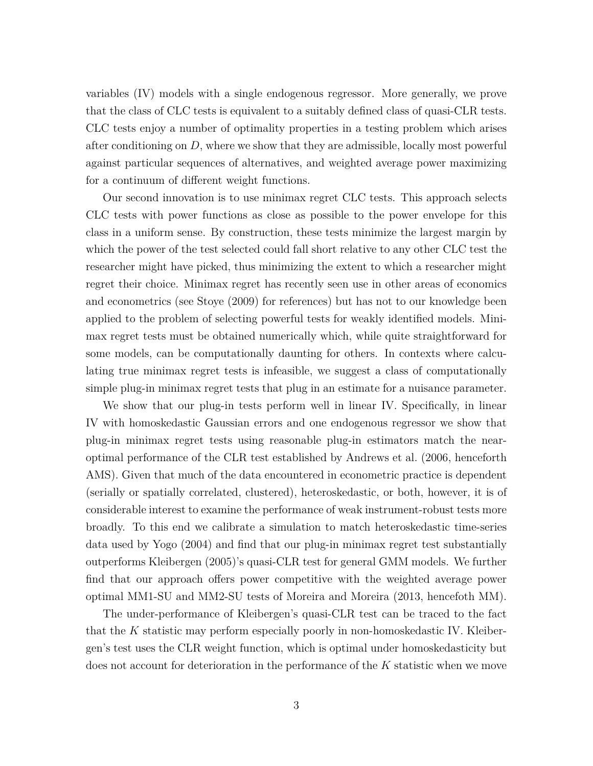variables (IV) models with a single endogenous regressor. More generally, we prove that the class of CLC tests is equivalent to a suitably defined class of quasi-CLR tests. CLC tests enjoy a number of optimality properties in a testing problem which arises after conditioning on *D*, where we show that they are admissible, locally most powerful against particular sequences of alternatives, and weighted average power maximizing for a continuum of different weight functions.

Our second innovation is to use minimax regret CLC tests. This approach selects CLC tests with power functions as close as possible to the power envelope for this class in a uniform sense. By construction, these tests minimize the largest margin by which the power of the test selected could fall short relative to any other CLC test the researcher might have picked, thus minimizing the extent to which a researcher might regret their choice. Minimax regret has recently seen use in other areas of economics and econometrics (see Stoye (2009) for references) but has not to our knowledge been applied to the problem of selecting powerful tests for weakly identified models. Minimax regret tests must be obtained numerically which, while quite straightforward for some models, can be computationally daunting for others. In contexts where calculating true minimax regret tests is infeasible, we suggest a class of computationally simple plug-in minimax regret tests that plug in an estimate for a nuisance parameter.

We show that our plug-in tests perform well in linear IV. Specifically, in linear IV with homoskedastic Gaussian errors and one endogenous regressor we show that plug-in minimax regret tests using reasonable plug-in estimators match the nearoptimal performance of the CLR test established by Andrews et al. (2006, henceforth AMS). Given that much of the data encountered in econometric practice is dependent (serially or spatially correlated, clustered), heteroskedastic, or both, however, it is of considerable interest to examine the performance of weak instrument-robust tests more broadly. To this end we calibrate a simulation to match heteroskedastic time-series data used by Yogo (2004) and find that our plug-in minimax regret test substantially outperforms Kleibergen (2005)'s quasi-CLR test for general GMM models. We further find that our approach offers power competitive with the weighted average power optimal MM1-SU and MM2-SU tests of Moreira and Moreira (2013, hencefoth MM).

The under-performance of Kleibergen's quasi-CLR test can be traced to the fact that the *K* statistic may perform especially poorly in non-homoskedastic IV. Kleibergen's test uses the CLR weight function, which is optimal under homoskedasticity but does not account for deterioration in the performance of the *K* statistic when we move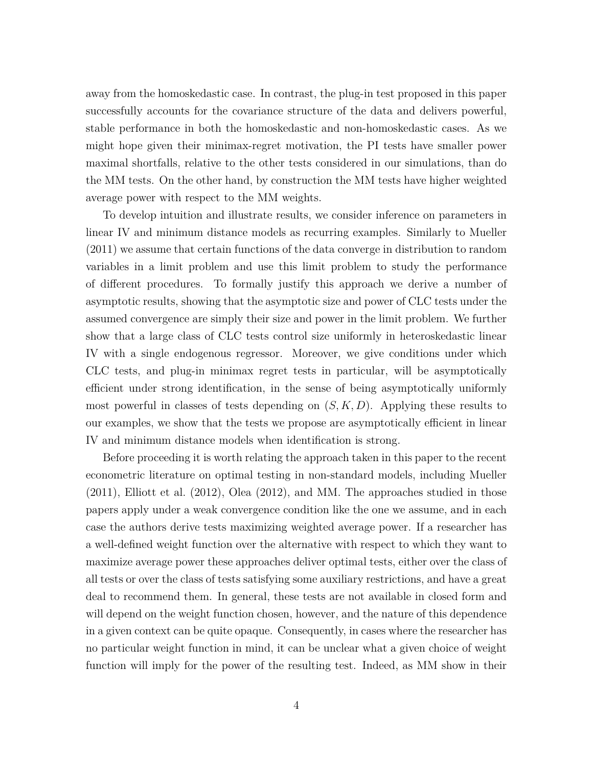away from the homoskedastic case. In contrast, the plug-in test proposed in this paper successfully accounts for the covariance structure of the data and delivers powerful, stable performance in both the homoskedastic and non-homoskedastic cases. As we might hope given their minimax-regret motivation, the PI tests have smaller power maximal shortfalls, relative to the other tests considered in our simulations, than do the MM tests. On the other hand, by construction the MM tests have higher weighted average power with respect to the MM weights.

To develop intuition and illustrate results, we consider inference on parameters in linear IV and minimum distance models as recurring examples. Similarly to Mueller (2011) we assume that certain functions of the data converge in distribution to random variables in a limit problem and use this limit problem to study the performance of different procedures. To formally justify this approach we derive a number of asymptotic results, showing that the asymptotic size and power of CLC tests under the assumed convergence are simply their size and power in the limit problem. We further show that a large class of CLC tests control size uniformly in heteroskedastic linear IV with a single endogenous regressor. Moreover, we give conditions under which CLC tests, and plug-in minimax regret tests in particular, will be asymptotically efficient under strong identification, in the sense of being asymptotically uniformly most powerful in classes of tests depending on (*S, K, D*). Applying these results to our examples, we show that the tests we propose are asymptotically efficient in linear IV and minimum distance models when identification is strong.

Before proceeding it is worth relating the approach taken in this paper to the recent econometric literature on optimal testing in non-standard models, including Mueller (2011), Elliott et al. (2012), Olea (2012), and MM. The approaches studied in those papers apply under a weak convergence condition like the one we assume, and in each case the authors derive tests maximizing weighted average power. If a researcher has a well-defined weight function over the alternative with respect to which they want to maximize average power these approaches deliver optimal tests, either over the class of all tests or over the class of tests satisfying some auxiliary restrictions, and have a great deal to recommend them. In general, these tests are not available in closed form and will depend on the weight function chosen, however, and the nature of this dependence in a given context can be quite opaque. Consequently, in cases where the researcher has no particular weight function in mind, it can be unclear what a given choice of weight function will imply for the power of the resulting test. Indeed, as MM show in their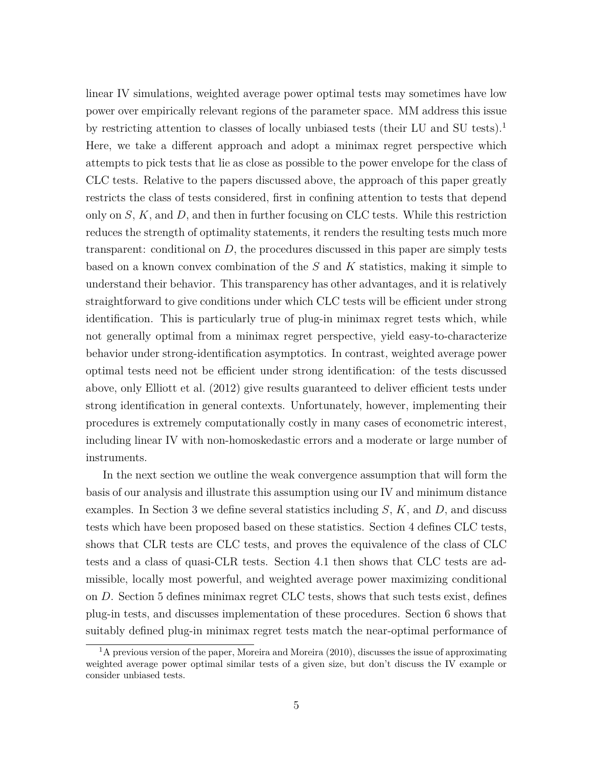linear IV simulations, weighted average power optimal tests may sometimes have low power over empirically relevant regions of the parameter space. MM address this issue by restricting attention to classes of locally unbiased tests (their LU and SU tests).<sup>1</sup> Here, we take a different approach and adopt a minimax regret perspective which attempts to pick tests that lie as close as possible to the power envelope for the class of CLC tests. Relative to the papers discussed above, the approach of this paper greatly restricts the class of tests considered, first in confining attention to tests that depend only on *S*, *K*, and *D*, and then in further focusing on CLC tests. While this restriction reduces the strength of optimality statements, it renders the resulting tests much more transparent: conditional on *D*, the procedures discussed in this paper are simply tests based on a known convex combination of the *S* and *K* statistics, making it simple to understand their behavior. This transparency has other advantages, and it is relatively straightforward to give conditions under which CLC tests will be efficient under strong identification. This is particularly true of plug-in minimax regret tests which, while not generally optimal from a minimax regret perspective, yield easy-to-characterize behavior under strong-identification asymptotics. In contrast, weighted average power optimal tests need not be efficient under strong identification: of the tests discussed above, only Elliott et al. (2012) give results guaranteed to deliver efficient tests under strong identification in general contexts. Unfortunately, however, implementing their procedures is extremely computationally costly in many cases of econometric interest, including linear IV with non-homoskedastic errors and a moderate or large number of instruments.

In the next section we outline the weak convergence assumption that will form the basis of our analysis and illustrate this assumption using our IV and minimum distance examples. In Section 3 we define several statistics including *S*, *K*, and *D*, and discuss tests which have been proposed based on these statistics. Section 4 defines CLC tests, shows that CLR tests are CLC tests, and proves the equivalence of the class of CLC tests and a class of quasi-CLR tests. Section 4.1 then shows that CLC tests are admissible, locally most powerful, and weighted average power maximizing conditional on *D*. Section 5 defines minimax regret CLC tests, shows that such tests exist, defines plug-in tests, and discusses implementation of these procedures. Section 6 shows that suitably defined plug-in minimax regret tests match the near-optimal performance of

<sup>&</sup>lt;sup>1</sup>A previous version of the paper, Moreira and Moreira (2010), discusses the issue of approximating weighted average power optimal similar tests of a given size, but don't discuss the IV example or consider unbiased tests.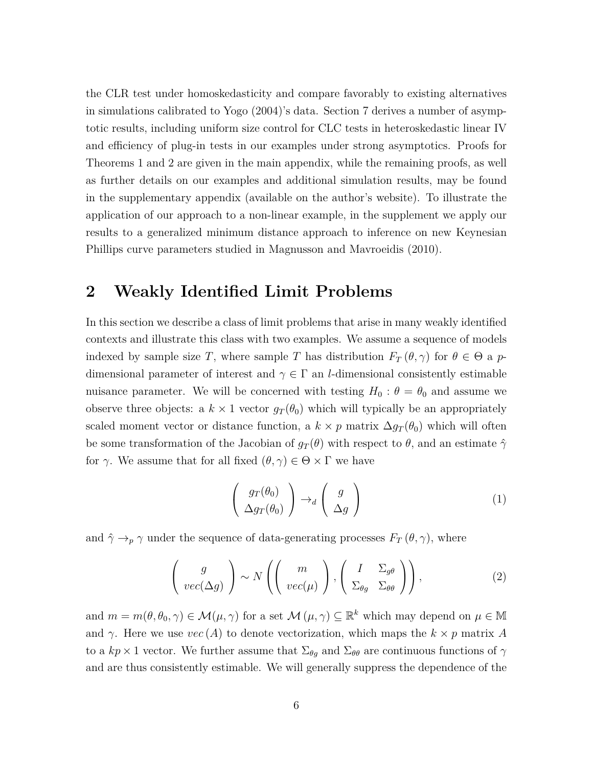the CLR test under homoskedasticity and compare favorably to existing alternatives in simulations calibrated to Yogo (2004)'s data. Section 7 derives a number of asymptotic results, including uniform size control for CLC tests in heteroskedastic linear IV and efficiency of plug-in tests in our examples under strong asymptotics. Proofs for Theorems 1 and 2 are given in the main appendix, while the remaining proofs, as well as further details on our examples and additional simulation results, may be found in the supplementary appendix (available on the author's website). To illustrate the application of our approach to a non-linear example, in the supplement we apply our results to a generalized minimum distance approach to inference on new Keynesian Phillips curve parameters studied in Magnusson and Mavroeidis (2010).

# **2 Weakly Identified Limit Problems**

In this section we describe a class of limit problems that arise in many weakly identified contexts and illustrate this class with two examples. We assume a sequence of models indexed by sample size *T*, where sample *T* has distribution  $F_T(\theta, \gamma)$  for  $\theta \in \Theta$  a *p*dimensional parameter of interest and  $\gamma \in \Gamma$  an *l*-dimensional consistently estimable nuisance parameter. We will be concerned with testing  $H_0$ :  $\theta = \theta_0$  and assume we observe three objects: a  $k \times 1$  vector  $g_T(\theta_0)$  which will typically be an appropriately scaled moment vector or distance function, a  $k \times p$  matrix  $\Delta g_T(\theta_0)$  which will often be some transformation of the Jacobian of  $g_T(\theta)$  with respect to  $\theta$ , and an estimate  $\hat{\gamma}$ for  $\gamma$ . We assume that for all fixed  $(\theta, \gamma) \in \Theta \times \Gamma$  we have

$$
\begin{pmatrix} g_T(\theta_0) \\ \Delta g_T(\theta_0) \end{pmatrix} \rightarrow_d \begin{pmatrix} g \\ \Delta g \end{pmatrix}
$$
 (1)

and  $\hat{\gamma} \rightarrow_p \gamma$  under the sequence of data-generating processes  $F_T(\theta, \gamma)$ , where

$$
\left(\begin{array}{c}g\\vec(\Delta g)\end{array}\right)\sim N\left(\left(\begin{array}{c}m\\vec(\mu)\end{array}\right),\left(\begin{array}{cc}I&\Sigma_{g\theta}\\Sigma_{\theta g}&\Sigma_{\theta\theta}\end{array}\right)\right),\tag{2}
$$

and  $m = m(\theta, \theta_0, \gamma) \in \mathcal{M}(\mu, \gamma)$  for a set  $\mathcal{M}(\mu, \gamma) \subseteq \mathbb{R}^k$  which may depend on  $\mu \in \mathbb{M}$ and *γ*. Here we use  $vec(A)$  to denote vectorization, which maps the  $k \times p$  matrix *A* to a  $kp \times 1$  vector. We further assume that  $\Sigma_{\theta g}$  and  $\Sigma_{\theta \theta}$  are continuous functions of  $\gamma$ and are thus consistently estimable. We will generally suppress the dependence of the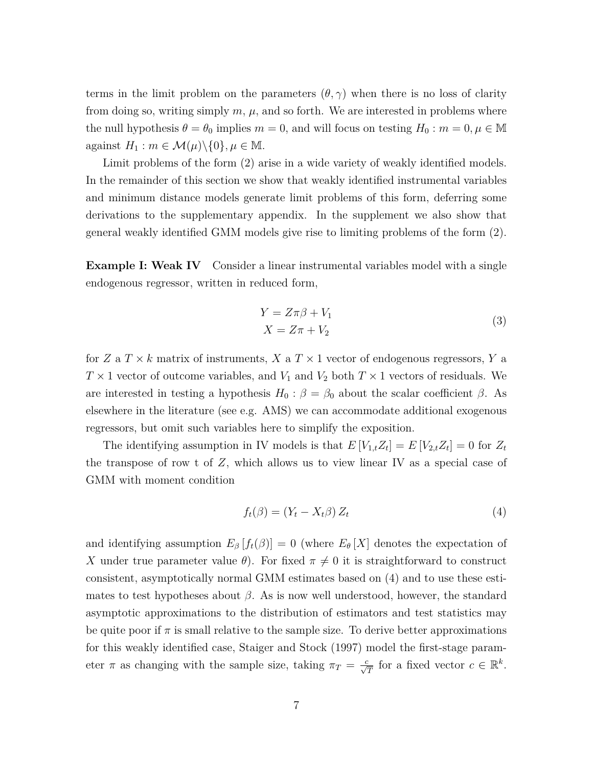terms in the limit problem on the parameters  $(\theta, \gamma)$  when there is no loss of clarity from doing so, writing simply  $m, \mu$ , and so forth. We are interested in problems where the null hypothesis  $\theta = \theta_0$  implies  $m = 0$ , and will focus on testing  $H_0 : m = 0, \mu \in \mathbb{M}$ against  $H_1$ :  $m \in \mathcal{M}(\mu) \setminus \{0\}, \mu \in \mathbb{M}$ .

Limit problems of the form (2) arise in a wide variety of weakly identified models. In the remainder of this section we show that weakly identified instrumental variables and minimum distance models generate limit problems of this form, deferring some derivations to the supplementary appendix. In the supplement we also show that general weakly identified GMM models give rise to limiting problems of the form (2).

**Example I: Weak IV** Consider a linear instrumental variables model with a single endogenous regressor, written in reduced form,

$$
Y = Z\pi\beta + V_1
$$
  
\n
$$
X = Z\pi + V_2
$$
\n(3)

for *Z* a  $T \times k$  matrix of instruments, *X* a  $T \times 1$  vector of endogenous regressors, *Y* a  $T \times 1$  vector of outcome variables, and  $V_1$  and  $V_2$  both  $T \times 1$  vectors of residuals. We are interested in testing a hypothesis  $H_0: \beta = \beta_0$  about the scalar coefficient  $\beta$ . As elsewhere in the literature (see e.g. AMS) we can accommodate additional exogenous regressors, but omit such variables here to simplify the exposition.

The identifying assumption in IV models is that  $E[V_{1,t}Z_t] = E[V_{2,t}Z_t] = 0$  for  $Z_t$ the transpose of row t of *Z*, which allows us to view linear IV as a special case of GMM with moment condition

$$
f_t(\beta) = (Y_t - X_t \beta) Z_t \tag{4}
$$

and identifying assumption  $E_\beta[f_t(\beta)] = 0$  (where  $E_\theta[X]$  denotes the expectation of *X* under true parameter value  $\theta$ ). For fixed  $\pi \neq 0$  it is straightforward to construct consistent, asymptotically normal GMM estimates based on (4) and to use these estimates to test hypotheses about  $\beta$ . As is now well understood, however, the standard asymptotic approximations to the distribution of estimators and test statistics may be quite poor if  $\pi$  is small relative to the sample size. To derive better approximations for this weakly identified case, Staiger and Stock (1997) model the first-stage parameter *π* as changing with the sample size, taking  $\pi_T = \frac{c}{\sqrt{T}}$  for a fixed vector  $c \in \mathbb{R}^k$ .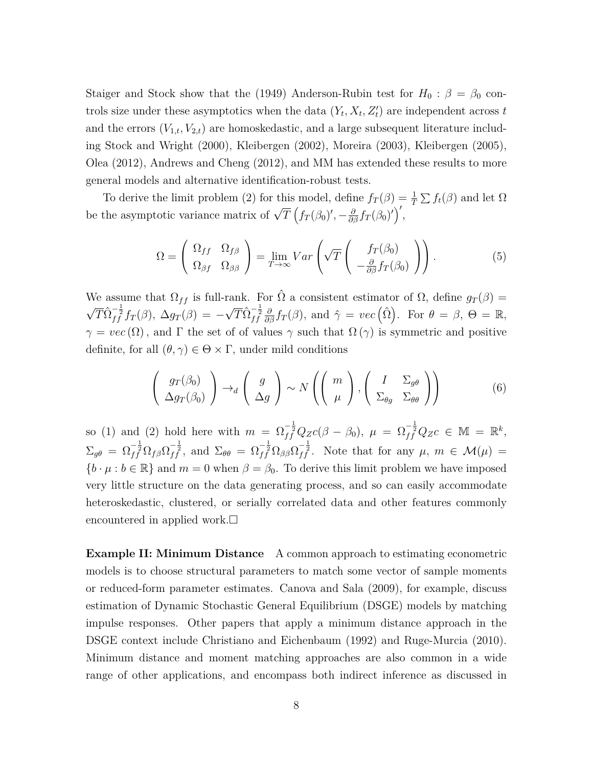Staiger and Stock show that the (1949) Anderson-Rubin test for  $H_0$ :  $\beta = \beta_0$  controls size under these asymptotics when the data  $(Y_t, X_t, Z'_t)$  are independent across *t* and the errors  $(V_{1,t}, V_{2,t})$  are homoskedastic, and a large subsequent literature including Stock and Wright (2000), Kleibergen (2002), Moreira (2003), Kleibergen (2005), Olea (2012), Andrews and Cheng (2012), and MM has extended these results to more general models and alternative identification-robust tests.

To derive the limit problem (2) for this model, define  $f_T(\beta) = \frac{1}{T} \sum f_t(\beta)$  and let  $\Omega$ be the asymptotic variance matrix of  $\sqrt{T}$   $(f_T(\beta_0)', -\frac{\partial}{\partial \beta} f_T(\beta_0)')'$ ,

$$
\Omega = \begin{pmatrix} \Omega_{ff} & \Omega_{f\beta} \\ \Omega_{\beta f} & \Omega_{\beta \beta} \end{pmatrix} = \lim_{T \to \infty} Var \left( \sqrt{T} \begin{pmatrix} f_T(\beta_0) \\ -\frac{\partial}{\partial \beta} f_T(\beta_0) \end{pmatrix} \right).
$$
 (5)

We assume that  $\Omega_{ff}$  is full-rank. For  $\hat{\Omega}$  a consistent estimator of  $\Omega$ , define  $g_T(\beta)$  =  $\sqrt{T} \hat{\Omega}_{f}^{-\frac{1}{2}} f_T(\beta), \ \Delta g_T(\beta) = \sqrt{T} \hat{\Omega}_{ff}^{-\frac{1}{2}} \frac{\partial}{\partial \beta} f_T(\beta)$ , and  $\hat{\gamma} = vec(\hat{\Omega})$ . For  $\theta = \beta$ ,  $\Theta = \mathbb{R}$ ,  $\gamma = vec(\Omega)$ , and  $\Gamma$  the set of of values  $\gamma$  such that  $\Omega(\gamma)$  is symmetric and positive definite, for all  $(\theta, \gamma) \in \Theta \times \Gamma$ , under mild conditions

$$
\left(\begin{array}{c} g_T(\beta_0) \\ \Delta g_T(\beta_0) \end{array}\right) \to_d \left(\begin{array}{c} g \\ \Delta g \end{array}\right) \sim N\left(\left(\begin{array}{c} m \\ \mu \end{array}\right), \left(\begin{array}{cc} I & \Sigma_{g\theta} \\ \Sigma_{\theta g} & \Sigma_{\theta \theta} \end{array}\right)\right) \tag{6}
$$

so (1) and (2) hold here with  $m = \Omega_{ff}^{-\frac{1}{2}}Q_{Z}c(\beta - \beta_{0}), \mu = \Omega_{ff}^{-\frac{1}{2}}Q_{Z}c \in \mathbb{M} = \mathbb{R}^{k},$  $\Sigma_{g\theta} = \Omega_{ff}^{-\frac{1}{2}} \Omega_{f\beta} \Omega_{ff}^{-\frac{1}{2}}$ , and  $\Sigma_{\theta\theta} = \Omega_{ff}^{-\frac{1}{2}} \Omega_{\beta\beta} \Omega_{ff}^{-\frac{1}{2}}$ . Note that for any  $\mu$ ,  $m \in \mathcal{M}(\mu) =$  ${b \cdot \mu : b \in \mathbb{R}}$  and  $m = 0$  when  $\beta = \beta_0$ . To derive this limit problem we have imposed very little structure on the data generating process, and so can easily accommodate heteroskedastic, clustered, or serially correlated data and other features commonly encountered in applied work.

**Example II: Minimum Distance** A common approach to estimating econometric models is to choose structural parameters to match some vector of sample moments or reduced-form parameter estimates. Canova and Sala (2009), for example, discuss estimation of Dynamic Stochastic General Equilibrium (DSGE) models by matching impulse responses. Other papers that apply a minimum distance approach in the DSGE context include Christiano and Eichenbaum (1992) and Ruge-Murcia (2010). Minimum distance and moment matching approaches are also common in a wide range of other applications, and encompass both indirect inference as discussed in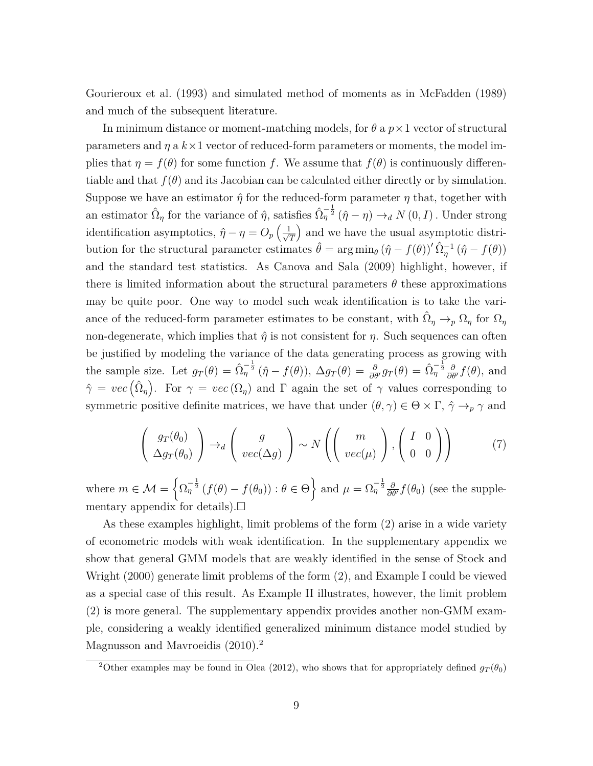Gourieroux et al. (1993) and simulated method of moments as in McFadden (1989) and much of the subsequent literature.

In minimum distance or moment-matching models, for *θ* a *p*×1 vector of structural parameters and  $\eta$  a  $k \times 1$  vector of reduced-form parameters or moments, the model implies that  $\eta = f(\theta)$  for some function *f*. We assume that  $f(\theta)$  is continuously differentiable and that  $f(\theta)$  and its Jacobian can be calculated either directly or by simulation. Suppose we have an estimator  $\hat{\eta}$  for the reduced-form parameter  $\eta$  that, together with an estimator  $\hat{\Omega}_{\eta}$  for the variance of  $\hat{\eta}$ , satisfies  $\hat{\Omega}_{\eta}^{-\frac{1}{2}}(\hat{\eta}-\eta) \to_d N(0, I)$ . Under strong identification asymptotics,  $\hat{\eta} - \eta = O_p \left( \frac{1}{\sqrt{\epsilon}} \right)$ *T* and we have the usual asymptotic distribution for the structural parameter estimates  $\hat{\theta} = \arg \min_{\theta} (\hat{\eta} - f(\theta))^{\prime} \hat{\Omega}_{\eta}^{-1} (\hat{\eta} - f(\theta))$ and the standard test statistics. As Canova and Sala (2009) highlight, however, if there is limited information about the structural parameters  $\theta$  these approximations may be quite poor. One way to model such weak identification is to take the variance of the reduced-form parameter estimates to be constant, with  $\hat{\Omega}_{\eta} \to_p \Omega_{\eta}$  for  $\Omega_{\eta}$ non-degenerate, which implies that  $\hat{\eta}$  is not consistent for  $\eta$ . Such sequences can often be justified by modeling the variance of the data generating process as growing with the sample size. Let  $g_T(\theta) = \hat{\Omega}_\eta^{-\frac{1}{2}}(\hat{\eta} - f(\theta)), \ \Delta g_T(\theta) = \frac{\partial}{\partial \theta'}g_T(\theta) = \hat{\Omega}_\eta^{-\frac{1}{2}}\frac{\partial}{\partial \theta'}f(\theta),$  and  $\hat{\gamma} = vec(\hat{\Omega}_{\eta})$ . For  $\gamma = vec(\Omega_{\eta})$  and  $\Gamma$  again the set of  $\gamma$  values corresponding to symmetric positive definite matrices, we have that under  $(\theta, \gamma) \in \Theta \times \Gamma$ ,  $\hat{\gamma} \to_p \gamma$  and

$$
\left(\begin{array}{c} g_T(\theta_0) \\ \Delta g_T(\theta_0) \end{array}\right) \rightarrow_d \left(\begin{array}{c} g \\ vec(\Delta g) \end{array}\right) \sim N \left(\left(\begin{array}{c} m \\ vec(\mu) \end{array}\right), \left(\begin{array}{cc} I & 0 \\ 0 & 0 \end{array}\right)\right) \tag{7}
$$

where  $m \in \mathcal{M} = \left\{ \Omega_{\eta}^{-\frac{1}{2}} \left( f(\theta) - f(\theta_0) \right) : \theta \in \Theta \right\}$  and  $\mu = \Omega_{\eta}^{-\frac{1}{2}} \frac{\partial}{\partial \theta'} f(\theta_0)$  (see the supplementary appendix for details).  $\square$ 

As these examples highlight, limit problems of the form (2) arise in a wide variety of econometric models with weak identification. In the supplementary appendix we show that general GMM models that are weakly identified in the sense of Stock and Wright (2000) generate limit problems of the form (2), and Example I could be viewed as a special case of this result. As Example II illustrates, however, the limit problem (2) is more general. The supplementary appendix provides another non-GMM example, considering a weakly identified generalized minimum distance model studied by Magnusson and Mavroeidis (2010).<sup>2</sup>

<sup>&</sup>lt;sup>2</sup>Other examples may be found in Olea (2012), who shows that for appropriately defined  $g_T(\theta_0)$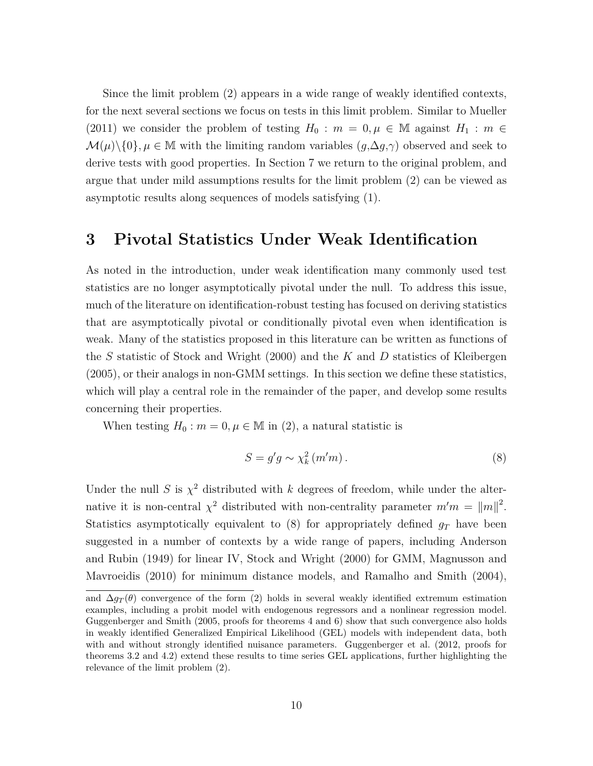Since the limit problem (2) appears in a wide range of weakly identified contexts, for the next several sections we focus on tests in this limit problem. Similar to Mueller (2011) we consider the problem of testing  $H_0$ :  $m = 0, \mu \in \mathbb{M}$  against  $H_1$ :  $m \in$  $\mathcal{M}(\mu)\backslash\{0\}, \mu \in \mathbb{M}$  with the limiting random variables  $(g, \Delta g, \gamma)$  observed and seek to derive tests with good properties. In Section 7 we return to the original problem, and argue that under mild assumptions results for the limit problem (2) can be viewed as asymptotic results along sequences of models satisfying (1).

# **3 Pivotal Statistics Under Weak Identification**

As noted in the introduction, under weak identification many commonly used test statistics are no longer asymptotically pivotal under the null. To address this issue, much of the literature on identification-robust testing has focused on deriving statistics that are asymptotically pivotal or conditionally pivotal even when identification is weak. Many of the statistics proposed in this literature can be written as functions of the *S* statistic of Stock and Wright (2000) and the *K* and *D* statistics of Kleibergen (2005), or their analogs in non-GMM settings. In this section we define these statistics, which will play a central role in the remainder of the paper, and develop some results concerning their properties.

When testing  $H_0: m = 0, \mu \in \mathbb{M}$  in (2), a natural statistic is

$$
S = g'g \sim \chi_k^2(m'm). \tag{8}
$$

Under the null *S* is  $\chi^2$  distributed with *k* degrees of freedom, while under the alternative it is non-central  $\chi^2$  distributed with non-centrality parameter  $m'm = ||m||^2$ . Statistics asymptotically equivalent to  $(8)$  for appropriately defined  $g_T$  have been suggested in a number of contexts by a wide range of papers, including Anderson and Rubin (1949) for linear IV, Stock and Wright (2000) for GMM, Magnusson and Mavroeidis (2010) for minimum distance models, and Ramalho and Smith (2004),

and  $\Delta g_T(\theta)$  convergence of the form (2) holds in several weakly identified extremum estimation examples, including a probit model with endogenous regressors and a nonlinear regression model. Guggenberger and Smith (2005, proofs for theorems 4 and 6) show that such convergence also holds in weakly identified Generalized Empirical Likelihood (GEL) models with independent data, both with and without strongly identified nuisance parameters. Guggenberger et al. (2012, proofs for theorems 3.2 and 4.2) extend these results to time series GEL applications, further highlighting the relevance of the limit problem (2).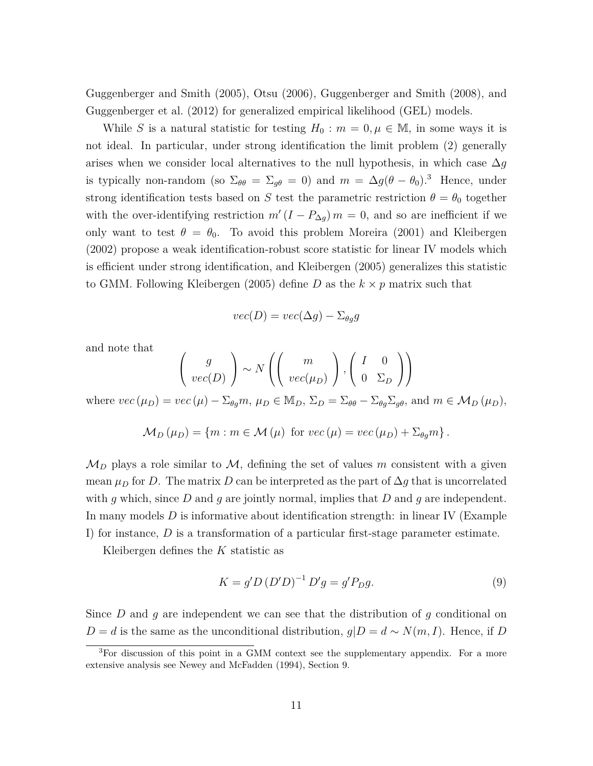Guggenberger and Smith (2005), Otsu (2006), Guggenberger and Smith (2008), and Guggenberger et al. (2012) for generalized empirical likelihood (GEL) models.

While *S* is a natural statistic for testing  $H_0: m = 0, \mu \in \mathbb{M}$ , in some ways it is not ideal. In particular, under strong identification the limit problem (2) generally arises when we consider local alternatives to the null hypothesis, in which case ∆*g* is typically non-random (so  $\Sigma_{\theta\theta} = \Sigma_{g\theta} = 0$ ) and  $m = \Delta g(\theta - \theta_0)^3$ . Hence, under strong identification tests based on *S* test the parametric restriction  $\theta = \theta_0$  together with the over-identifying restriction  $m'(I - P_{\Delta g}) m = 0$ , and so are inefficient if we only want to test  $\theta = \theta_0$ . To avoid this problem Moreira (2001) and Kleibergen (2002) propose a weak identification-robust score statistic for linear IV models which is efficient under strong identification, and Kleibergen (2005) generalizes this statistic to GMM. Following Kleibergen (2005) define *D* as the  $k \times p$  matrix such that

$$
vec(D) = vec(\Delta g) - \Sigma_{\theta g} g
$$

and note that

$$
\left(\begin{array}{c}g\\vec(D)\end{array}\right)\sim N\left(\left(\begin{array}{c}m\\vec(\mu_D)\end{array}\right),\left(\begin{array}{cc}I&0\\0&\Sigma_D\end{array}\right)\right)
$$

where  $vec(\mu_D) = vec(\mu) - \Sigma_{\theta g} m$ ,  $\mu_D \in M_D$ ,  $\Sigma_D = \Sigma_{\theta \theta} - \Sigma_{\theta g} \Sigma_{g \theta}$ , and  $m \in M_D(\mu_D)$ ,

$$
\mathcal{M}_D(\mu_D) = \{ m : m \in \mathcal{M}(\mu) \text{ for } vec(\mu) = vec(\mu_D) + \Sigma_{\theta g} m \}.
$$

 $\mathcal{M}_D$  plays a role similar to  $\mathcal{M}$ , defining the set of values m consistent with a given mean  $\mu_D$  for *D*. The matrix *D* can be interpreted as the part of  $\Delta g$  that is uncorrelated with *g* which, since *D* and *g* are jointly normal, implies that *D* and *g* are independent. In many models *D* is informative about identification strength: in linear IV (Example I) for instance, *D* is a transformation of a particular first-stage parameter estimate.

Kleibergen defines the *K* statistic as

$$
K = g' D (D'D)^{-1} D'g = g' P_D g.
$$
\n(9)

Since *D* and *g* are independent we can see that the distribution of *g* conditional on *D* = *d* is the same as the unconditional distribution,  $g|D = d ∼ N(m, I)$ . Hence, if *D* 

<sup>&</sup>lt;sup>3</sup>For discussion of this point in a GMM context see the supplementary appendix. For a more extensive analysis see Newey and McFadden (1994), Section 9.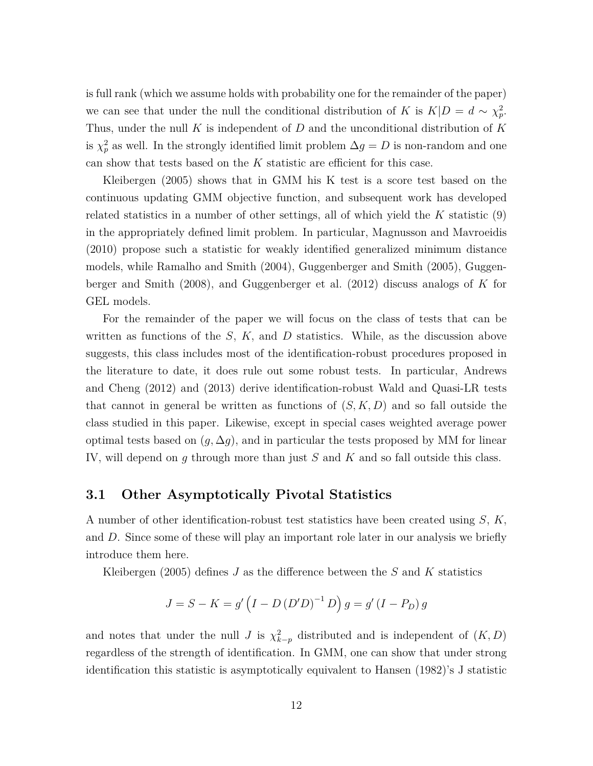is full rank (which we assume holds with probability one for the remainder of the paper) we can see that under the null the conditional distribution of *K* is  $K|D = d \sim \chi_p^2$ . Thus, under the null *K* is independent of *D* and the unconditional distribution of *K* is  $\chi_p^2$  as well. In the strongly identified limit problem  $\Delta g = D$  is non-random and one can show that tests based on the *K* statistic are efficient for this case.

Kleibergen (2005) shows that in GMM his K test is a score test based on the continuous updating GMM objective function, and subsequent work has developed related statistics in a number of other settings, all of which yield the *K* statistic (9) in the appropriately defined limit problem. In particular, Magnusson and Mavroeidis (2010) propose such a statistic for weakly identified generalized minimum distance models, while Ramalho and Smith (2004), Guggenberger and Smith (2005), Guggenberger and Smith (2008), and Guggenberger et al. (2012) discuss analogs of *K* for GEL models.

For the remainder of the paper we will focus on the class of tests that can be written as functions of the *S*, *K,* and *D* statistics. While, as the discussion above suggests, this class includes most of the identification-robust procedures proposed in the literature to date, it does rule out some robust tests. In particular, Andrews and Cheng (2012) and (2013) derive identification-robust Wald and Quasi-LR tests that cannot in general be written as functions of  $(S, K, D)$  and so fall outside the class studied in this paper. Likewise, except in special cases weighted average power optimal tests based on  $(g, \Delta g)$ , and in particular the tests proposed by MM for linear IV, will depend on *g* through more than just *S* and *K* and so fall outside this class.

#### **3.1 Other Asymptotically Pivotal Statistics**

A number of other identification-robust test statistics have been created using *S*, *K,* and *D*. Since some of these will play an important role later in our analysis we briefly introduce them here.

Kleibergen (2005) defines *J* as the difference between the *S* and *K* statistics

$$
J = S - K = g' (I - D (D'D)^{-1} D) g = g' (I - P_D) g
$$

and notes that under the null *J* is  $\chi^2_{k-p}$  distributed and is independent of  $(K, D)$ regardless of the strength of identification. In GMM, one can show that under strong identification this statistic is asymptotically equivalent to Hansen (1982)'s J statistic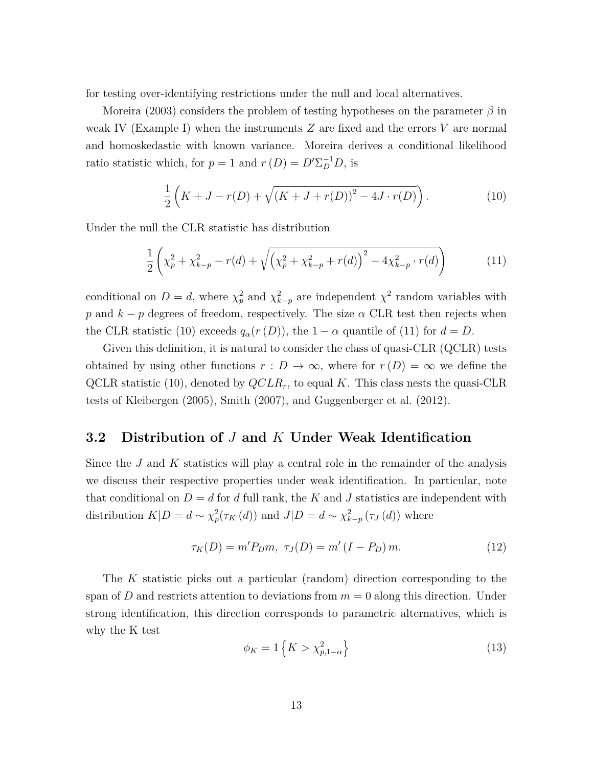for testing over-identifying restrictions under the null and local alternatives.

Moreira (2003) considers the problem of testing hypotheses on the parameter *β* in weak IV (Example I) when the instruments *Z* are fixed and the errors *V* are normal and homoskedastic with known variance. Moreira derives a conditional likelihood ratio statistic which, for  $p = 1$  and  $r(D) = D' \Sigma_D^{-1} D$ , is

$$
\frac{1}{2}\left(K+J-r(D)+\sqrt{(K+J+r(D))^2-4J\cdot r(D)}\right).
$$
 (10)

Under the null the CLR statistic has distribution

$$
\frac{1}{2}\left(\chi_p^2 + \chi_{k-p}^2 - r(d) + \sqrt{\left(\chi_p^2 + \chi_{k-p}^2 + r(d)\right)^2 - 4\chi_{k-p}^2 \cdot r(d)}\right) \tag{11}
$$

conditional on  $D = d$ , where  $\chi_p^2$  and  $\chi_{k-p}^2$  are independent  $\chi^2$  random variables with *p* and  $k - p$  degrees of freedom, respectively. The size  $\alpha$  CLR test then rejects when the CLR statistic (10) exceeds  $q_\alpha(r(D))$ , the  $1 - \alpha$  quantile of (11) for  $d = D$ .

Given this definition, it is natural to consider the class of quasi-CLR (QCLR) tests obtained by using other functions  $r : D \to \infty$ , where for  $r(D) = \infty$  we define the QCLR statistic (10), denoted by *QCLRr*, to equal *K*. This class nests the quasi-CLR tests of Kleibergen (2005), Smith (2007), and Guggenberger et al. (2012).

### **3.2 Distribution of** *J* **and** *K* **Under Weak Identification**

Since the *J* and *K* statistics will play a central role in the remainder of the analysis we discuss their respective properties under weak identification. In particular, note that conditional on  $D = d$  for *d* full rank, the *K* and *J* statistics are independent with distribution  $K|D = d \sim \chi_p^2(\tau_K(d))$  and  $J|D = d \sim \chi_{k-p}^2(\tau_J(d))$  where

$$
\tau_K(D) = m' P_D m, \ \tau_J(D) = m' (I - P_D) m. \tag{12}
$$

The *K* statistic picks out a particular (random) direction corresponding to the span of *D* and restricts attention to deviations from  $m = 0$  along this direction. Under strong identification, this direction corresponds to parametric alternatives, which is why the K test

$$
\phi_K = 1\left\{K > \chi^2_{p,1-\alpha}\right\} \tag{13}
$$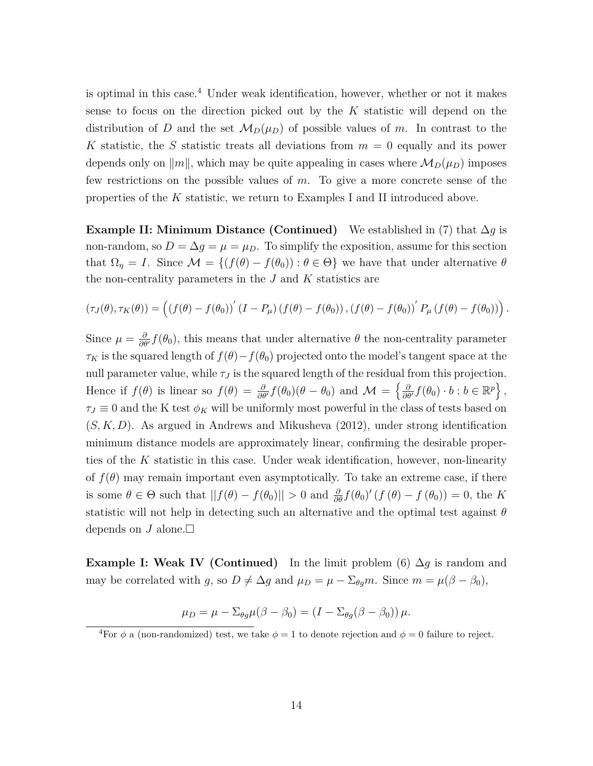is optimal in this case.<sup>4</sup> Under weak identification, however, whether or not it makes sense to focus on the direction picked out by the *K* statistic will depend on the distribution of *D* and the set  $M_D(\mu_D)$  of possible values of *m*. In contrast to the *K* statistic, the *S* statistic treats all deviations from  $m = 0$  equally and its power depends only on  $\Vert m \Vert$ , which may be quite appealing in cases where  $\mathcal{M}_D(\mu_D)$  imposes few restrictions on the possible values of *m*. To give a more concrete sense of the properties of the *K* statistic, we return to Examples I and II introduced above.

**Example II: Minimum Distance (Continued)** We established in (7) that  $\Delta g$  is non-random, so  $D = \Delta g = \mu = \mu_D$ . To simplify the exposition, assume for this section that  $\Omega_{\eta} = I$ . Since  $\mathcal{M} = \{ (f(\theta) - f(\theta_0)) : \theta \in \Theta \}$  we have that under alternative  $\theta$ the non-centrality parameters in the *J* and *K* statistics are

$$
(\tau_J(\theta),\tau_K(\theta))=\left(\left(f(\theta)-f(\theta_0)\right)'(I-P_\mu)\left(f(\theta)-f(\theta_0)\right),\left(f(\theta)-f(\theta_0)\right)'P_\mu\left(f(\theta)-f(\theta_0)\right)\right).
$$

Since  $\mu = \frac{\partial}{\partial \theta'} f(\theta_0)$ , this means that under alternative  $\theta$  the non-centrality parameter  $\tau_K$  is the squared length of  $f(\theta) - f(\theta_0)$  projected onto the model's tangent space at the null parameter value, while  $\tau_J$  is the squared length of the residual from this projection. Hence if  $f(\theta)$  is linear so  $f(\theta) = \frac{\partial}{\partial \theta'} f(\theta_0)(\theta - \theta_0)$  and  $\mathcal{M} = \left\{ \frac{\partial}{\partial \theta'} f(\theta_0) \cdot b : b \in \mathbb{R}^p \right\},\$  $\tau_J \equiv 0$  and the K test  $\phi_K$  will be uniformly most powerful in the class of tests based on (*S, K, D*). As argued in Andrews and Mikusheva (2012), under strong identification minimum distance models are approximately linear, confirming the desirable properties of the *K* statistic in this case. Under weak identification, however, non-linearity of  $f(\theta)$  may remain important even asymptotically. To take an extreme case, if there is some  $\theta \in \Theta$  such that  $||f(\theta) - f(\theta_0)|| > 0$  and  $\frac{\partial}{\partial \theta} f(\theta_0)'(f(\theta) - f(\theta_0)) = 0$ , the *K* statistic will not help in detecting such an alternative and the optimal test against *θ* depends on  $J$  alone. $\Box$ 

**Example I: Weak IV (Continued)** In the limit problem (6)  $\Delta g$  is random and may be correlated with *g*, so  $D \neq \Delta g$  and  $\mu_D = \mu - \Sigma_{\theta g} m$ . Since  $m = \mu(\beta - \beta_0)$ ,

$$
\mu_D = \mu - \Sigma_{\theta g} \mu (\beta - \beta_0) = (I - \Sigma_{\theta g} (\beta - \beta_0)) \mu.
$$

<sup>&</sup>lt;sup>4</sup>For  $\phi$  a (non-randomized) test, we take  $\phi = 1$  to denote rejection and  $\phi = 0$  failure to reject.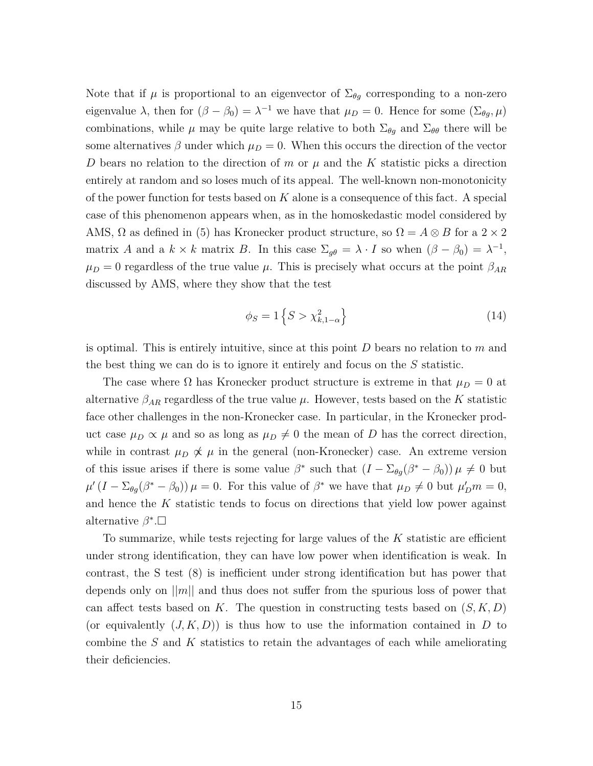Note that if  $\mu$  is proportional to an eigenvector of  $\Sigma_{\theta g}$  corresponding to a non-zero eigenvalue  $\lambda$ , then for  $(\beta - \beta_0) = \lambda^{-1}$  we have that  $\mu_D = 0$ . Hence for some  $(\Sigma_{\theta g}, \mu)$ combinations, while  $\mu$  may be quite large relative to both  $\Sigma_{\theta g}$  and  $\Sigma_{\theta \theta}$  there will be some alternatives  $\beta$  under which  $\mu_D = 0$ . When this occurs the direction of the vector *D* bears no relation to the direction of *m* or *µ* and the *K* statistic picks a direction entirely at random and so loses much of its appeal. The well-known non-monotonicity of the power function for tests based on *K* alone is a consequence of this fact. A special case of this phenomenon appears when, as in the homoskedastic model considered by AMS,  $\Omega$  as defined in (5) has Kronecker product structure, so  $\Omega = A \otimes B$  for a 2 × 2 matrix *A* and a  $k \times k$  matrix *B*. In this case  $\Sigma_{g\theta} = \lambda \cdot I$  so when  $(\beta - \beta_0) = \lambda^{-1}$ ,  $\mu_D = 0$  regardless of the true value  $\mu$ . This is precisely what occurs at the point  $\beta_{AR}$ discussed by AMS, where they show that the test

$$
\phi_S = 1\left\{S > \chi^2_{k,1-\alpha}\right\} \tag{14}
$$

is optimal. This is entirely intuitive, since at this point *D* bears no relation to *m* and the best thing we can do is to ignore it entirely and focus on the *S* statistic.

The case where  $\Omega$  has Kronecker product structure is extreme in that  $\mu_D = 0$  at alternative  $\beta_{AR}$  regardless of the true value  $\mu$ . However, tests based on the *K* statistic face other challenges in the non-Kronecker case. In particular, in the Kronecker product case  $\mu_D \propto \mu$  and so as long as  $\mu_D \neq 0$  the mean of *D* has the correct direction, while in contrast  $\mu_D \not\propto \mu$  in the general (non-Kronecker) case. An extreme version of this issue arises if there is some value  $\beta^*$  such that  $(I - \Sigma_{\theta g}(\beta^* - \beta_0)) \mu \neq 0$  but  $\mu'(I - \Sigma_{\theta g}(\beta^* - \beta_0)) \mu = 0$ . For this value of  $\beta^*$  we have that  $\mu_D \neq 0$  but  $\mu'_D m = 0$ , and hence the *K* statistic tends to focus on directions that yield low power against alternative  $\beta^*$ . $\square$ 

To summarize, while tests rejecting for large values of the *K* statistic are efficient under strong identification, they can have low power when identification is weak. In contrast, the S test (8) is inefficient under strong identification but has power that depends only on ||*m*|| and thus does not suffer from the spurious loss of power that can affect tests based on *K*. The question in constructing tests based on  $(S, K, D)$ (or equivalently  $(J, K, D)$ ) is thus how to use the information contained in *D* to combine the *S* and *K* statistics to retain the advantages of each while ameliorating their deficiencies.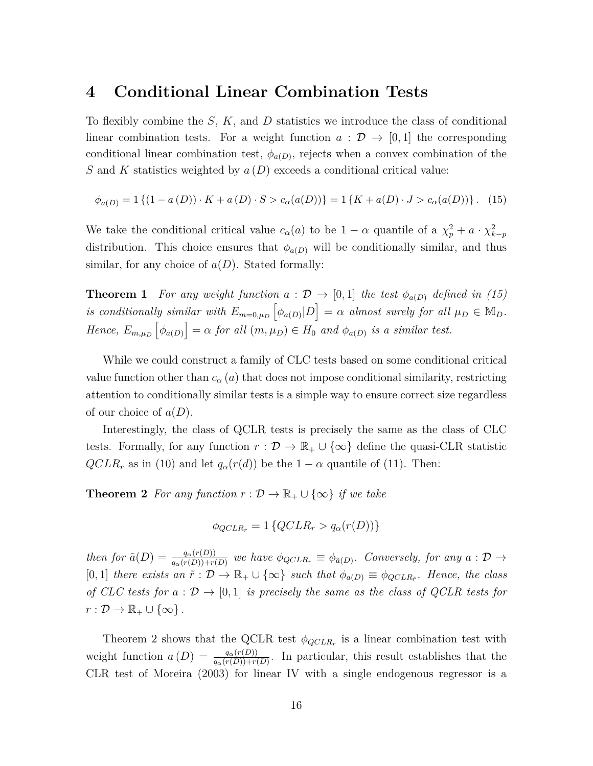### **4 Conditional Linear Combination Tests**

To flexibly combine the *S*, *K*, and *D* statistics we introduce the class of conditional linear combination tests. For a weight function  $a : \mathcal{D} \to [0,1]$  the corresponding conditional linear combination test,  $\phi_{a(D)}$ , rejects when a convex combination of the *S* and *K* statistics weighted by *a* (*D*) exceeds a conditional critical value:

$$
\phi_{a(D)} = 1 \left\{ (1 - a(D)) \cdot K + a(D) \cdot S > c_{\alpha}(a(D)) \right\} = 1 \left\{ K + a(D) \cdot J > c_{\alpha}(a(D)) \right\}. \tag{15}
$$

We take the conditional critical value  $c_{\alpha}(a)$  to be  $1 - \alpha$  quantile of a  $\chi_p^2 + a \cdot \chi_{k-p}^2$ distribution. This choice ensures that  $\phi_{a(D)}$  will be conditionally similar, and thus similar, for any choice of  $a(D)$ . Stated formally:

**Theorem 1** *For any weight function*  $a : \mathcal{D} \to [0,1]$  *the test*  $\phi_{a(D)}$  *defined in (15) is conditionally similar with*  $E_{m=0,\mu_D} \left[ \phi_{a(D)} | D \right] = \alpha$  *almost surely for all*  $\mu_D \in M_D$ *. Hence,*  $E_{m,\mu_D}[\phi_{a(D)}] = \alpha$  *for all*  $(m,\mu_D) \in H_0$  *and*  $\phi_{a(D)}$  *is a similar test.* 

While we could construct a family of CLC tests based on some conditional critical value function other than  $c_{\alpha}(a)$  that does not impose conditional similarity, restricting attention to conditionally similar tests is a simple way to ensure correct size regardless of our choice of *a*(*D*).

Interestingly, the class of QCLR tests is precisely the same as the class of CLC tests. Formally, for any function  $r : \mathcal{D} \to \mathbb{R}_+ \cup {\infty}$  define the quasi-CLR statistic  $QCLR_r$  as in (10) and let  $q_\alpha(r(d))$  be the  $1 - \alpha$  quantile of (11). Then:

**Theorem 2** *For any function*  $r : \mathcal{D} \to \mathbb{R}_+ \cup \{\infty\}$  *if we take* 

$$
\phi_{QCLR_r} = 1 \{ QCLR_r > q_{\alpha}(r(D)) \}
$$

then for  $\tilde{a}(D) = \frac{q_{\alpha}(r(D))}{q_{\alpha}(r(D))+r(D)}$  we have  $\phi_{QCLR_r} \equiv \phi_{\tilde{a}(D)}$ . Conversely, for any  $a: \mathcal{D} \to$  $[0,1]$  *there exists an*  $\tilde{r}: \mathcal{D} \to \mathbb{R}_+ \cup \{\infty\}$  *such that*  $\phi_{a(D)} \equiv \phi_{QCLR_{\tilde{r}}}$ *. Hence, the class of CLC tests for*  $a : \mathcal{D} \to [0,1]$  *is precisely the same as the class of QCLR tests for*  $r: \mathcal{D} \to \mathbb{R}_+ \cup \{\infty\}$ .

Theorem 2 shows that the QCLR test  $\phi_{QCLR_r}$  is a linear combination test with weight function  $a(D) = \frac{q_{\alpha}(r(D))}{q_{\alpha}(r(D))+r(D)}$ . In particular, this result establishes that the CLR test of Moreira (2003) for linear IV with a single endogenous regressor is a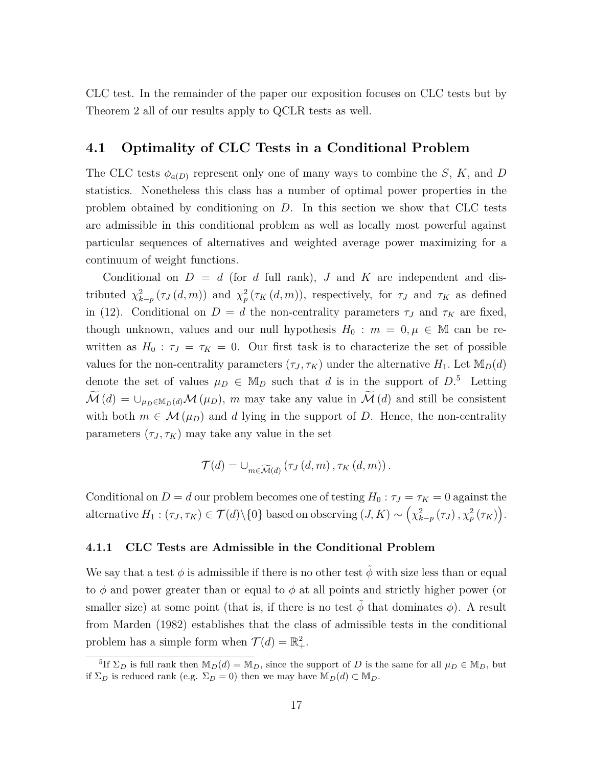CLC test. In the remainder of the paper our exposition focuses on CLC tests but by Theorem 2 all of our results apply to QCLR tests as well.

### **4.1 Optimality of CLC Tests in a Conditional Problem**

The CLC tests  $\phi_{a(D)}$  represent only one of many ways to combine the *S*, *K*, and *D* statistics. Nonetheless this class has a number of optimal power properties in the problem obtained by conditioning on *D*. In this section we show that CLC tests are admissible in this conditional problem as well as locally most powerful against particular sequences of alternatives and weighted average power maximizing for a continuum of weight functions.

Conditional on  $D = d$  (for *d* full rank), *J* and *K* are independent and distributed  $\chi^2_{k-p}(\tau_J(d,m))$  and  $\chi^2_p(\tau_K(d,m))$ , respectively, for  $\tau_J$  and  $\tau_K$  as defined in (12). Conditional on  $D = d$  the non-centrality parameters  $\tau_J$  and  $\tau_K$  are fixed, though unknown, values and our null hypothesis  $H_0$ :  $m = 0, \mu \in \mathbb{M}$  can be rewritten as  $H_0$ :  $\tau_J = \tau_K = 0$ . Our first task is to characterize the set of possible values for the non-centrality parameters  $(\tau_J, \tau_K)$  under the alternative  $H_1$ . Let  $\mathbb{M}_D(d)$ denote the set of values  $\mu_D \in M_D$  such that *d* is in the support of  $D$ <sup>5</sup>. Letting  $\widetilde{\mathcal{M}}(d) = \bigcup_{\mu_D \in \mathbb{M}_D(d)} \mathcal{M}(\mu_D)$ , *m* may take any value in  $\widetilde{\mathcal{M}}(d)$  and still be consistent with both  $m \in \mathcal{M}(\mu_D)$  and *d* lying in the support of *D*. Hence, the non-centrality parameters  $(\tau_J, \tau_K)$  may take any value in the set

$$
\mathcal{T}(d) = \bigcup_{m \in \widetilde{\mathcal{M}}(d)} \left( \tau_J\left(d,m\right), \tau_K\left(d,m\right) \right).
$$

Conditional on  $D = d$  our problem becomes one of testing  $H_0: \tau_J = \tau_K = 0$  against the  $\text{alternative } H_1: (\tau_J, \tau_K) \in \mathcal{T}(d) \setminus \{0\} \text{ based on observing } (J, K) \sim \left(\chi^2_{k-p}(\tau_J), \chi^2_p(\tau_K)\right).$ 

#### **4.1.1 CLC Tests are Admissible in the Conditional Problem**

We say that a test  $\phi$  is admissible if there is no other test  $\phi$  with size less than or equal to  $\phi$  and power greater than or equal to  $\phi$  at all points and strictly higher power (or smaller size) at some point (that is, if there is no test  $\tilde{\phi}$  that dominates  $\phi$ ). A result from Marden (1982) establishes that the class of admissible tests in the conditional problem has a simple form when  $\mathcal{T}(d) = \mathbb{R}^2_+$ .

<sup>&</sup>lt;sup>5</sup>If  $\Sigma_D$  is full rank then  $\mathbb{M}_D(d) = \mathbb{M}_D$ , since the support of *D* is the same for all  $\mu_D \in \mathbb{M}_D$ , but if  $\Sigma_D$  is reduced rank (e.g.  $\Sigma_D = 0$ ) then we may have  $\mathbb{M}_D(d) \subset \mathbb{M}_D$ .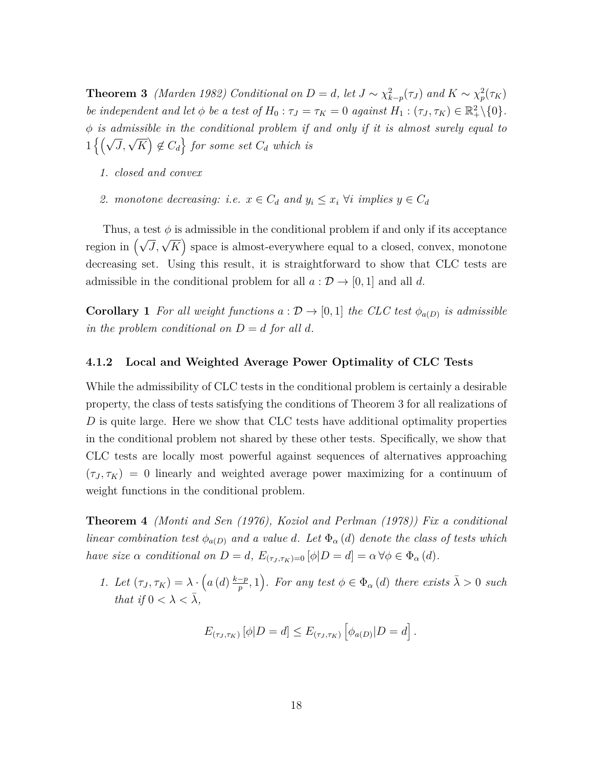**Theorem 3** *(Marden 1982) Conditional on*  $D = d$ , let  $J \sim \chi^2_{k-p}(\tau_J)$  and  $K \sim \chi^2_p(\tau_K)$ *be independent and let*  $\phi$  *be a test of*  $H_0: \tau_J = \tau_K = 0$  *against*  $H_1: (\tau_J, \tau_K) \in \mathbb{R}^2_+ \setminus \{0\}.$ *φ is admissible in the conditional problem if and only if it is almost surely equal to*  $1\left\{\left(\sqrt{J}, \sqrt{K}\right) \notin C_d\right\}$  for some set  $C_d$  which is

- *1. closed and convex*
- *2. monotone decreasing: i.e.*  $x \in C_d$  *and*  $y_i \leq x_i$   $\forall i$  *implies*  $y \in C_d$

Thus, a test  $\phi$  is admissible in the conditional problem if and only if its acceptance region in  $(\sqrt{J}, \sqrt{K})$  space is almost-everywhere equal to a closed, convex, monotone decreasing set. Using this result, it is straightforward to show that CLC tests are admissible in the conditional problem for all  $a : \mathcal{D} \to [0, 1]$  and all *d*.

**Corollary 1** For all weight functions  $a : \mathcal{D} \to [0,1]$  the CLC test  $\phi_{a(D)}$  is admissible *in the problem conditional on*  $D = d$  *for all*  $d$ *.* 

#### **4.1.2 Local and Weighted Average Power Optimality of CLC Tests**

While the admissibility of CLC tests in the conditional problem is certainly a desirable property, the class of tests satisfying the conditions of Theorem 3 for all realizations of *D* is quite large. Here we show that CLC tests have additional optimality properties in the conditional problem not shared by these other tests. Specifically, we show that CLC tests are locally most powerful against sequences of alternatives approaching  $(\tau_J, \tau_K) = 0$  linearly and weighted average power maximizing for a continuum of weight functions in the conditional problem.

**Theorem 4** *(Monti and Sen (1976), Koziol and Perlman (1978)) Fix a conditional linear combination test*  $\phi_{a(D)}$  *and a value d. Let*  $\Phi_{\alpha}(d)$  *denote the class of tests which have size*  $\alpha$  *conditional on*  $D = d$ ,  $E_{(\tau_J, \tau_K) = 0} [\phi | D = d] = \alpha \forall \phi \in \Phi_{\alpha}(d)$ .

*1. Let*  $(\tau_J, \tau_K) = \lambda \cdot \left( a\left(d\right) \frac{k-p}{p}\right)$  $\left(\frac{-p}{p}, 1\right)$ *. For any test*  $\phi \in \Phi_{\alpha}(d)$  *there exists*  $\bar{\lambda} > 0$  *such that if*  $0 < \lambda < \overline{\lambda}$ ,

$$
E_{(\tau_J,\tau_K)}\left[\phi|D=d\right] \leq E_{(\tau_J,\tau_K)}\left[\phi_{a(D)}|D=d\right].
$$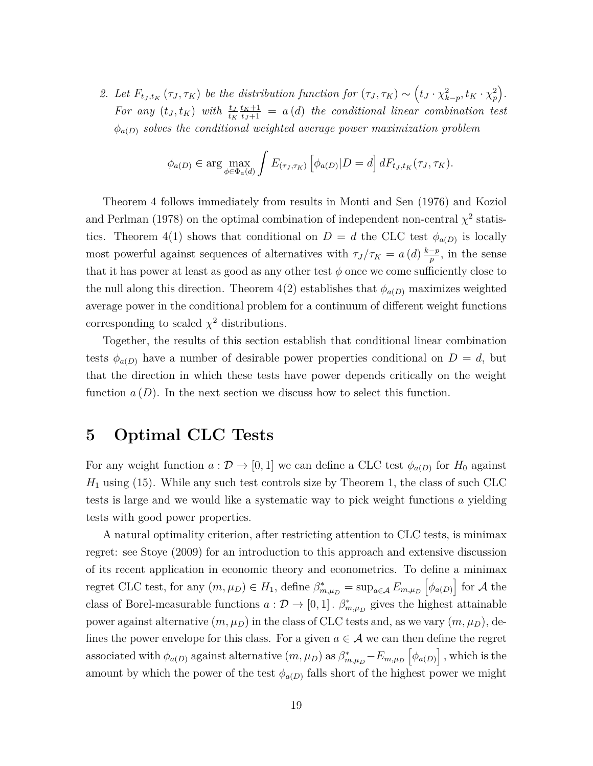2. Let  $F_{t_j,t_K}(\tau_j,\tau_K)$  be the distribution function for  $(\tau_j,\tau_K) \sim (t_j \cdot \chi_{k-p}^2, t_K \cdot \chi_p^2)$ . *For any*  $(t_J, t_K)$  *with*  $\frac{t_J}{t_K}$  $\frac{t_K+1}{t_J+1} = a(d)$  *the conditional linear combination test*  $\phi_{a(D)}$  *solves the conditional weighted average power maximization problem* 

$$
\phi_{a(D)} \in \arg \max_{\phi \in \Phi_a(d)} \int E_{(\tau_J, \tau_K)} \left[ \phi_{a(D)} | D = d \right] dF_{t_J, t_K}(\tau_J, \tau_K).
$$

Theorem 4 follows immediately from results in Monti and Sen (1976) and Koziol and Perlman (1978) on the optimal combination of independent non-central  $\chi^2$  statistics. Theorem 4(1) shows that conditional on  $D = d$  the CLC test  $\phi_{a(D)}$  is locally most powerful against sequences of alternatives with  $\tau_J/\tau_K = a(d) \frac{k-p}{p}$  $\frac{-p}{p}$ , in the sense that it has power at least as good as any other test  $\phi$  once we come sufficiently close to the null along this direction. Theorem  $4(2)$  establishes that  $\phi_{a(D)}$  maximizes weighted average power in the conditional problem for a continuum of different weight functions corresponding to scaled  $\chi^2$  distributions.

Together, the results of this section establish that conditional linear combination tests  $\phi_{a(D)}$  have a number of desirable power properties conditional on  $D = d$ , but that the direction in which these tests have power depends critically on the weight function  $a(D)$ . In the next section we discuss how to select this function.

# **5 Optimal CLC Tests**

For any weight function  $a: \mathcal{D} \to [0,1]$  we can define a CLC test  $\phi_{a(D)}$  for  $H_0$  against  $H_1$  using (15). While any such test controls size by Theorem 1, the class of such CLC tests is large and we would like a systematic way to pick weight functions *a* yielding tests with good power properties.

A natural optimality criterion, after restricting attention to CLC tests, is minimax regret: see Stoye (2009) for an introduction to this approach and extensive discussion of its recent application in economic theory and econometrics. To define a minimax regret CLC test, for any  $(m, \mu_D) \in H_1$ , define  $\beta^*_{m,\mu_D} = \sup_{a \in A} E_{m,\mu_D} \left[ \phi_{a(D)} \right]$  for A the class of Borel-measurable functions  $a: \mathcal{D} \to [0,1]$ .  $\beta^*_{m,\mu_D}$  gives the highest attainable power against alternative  $(m, \mu_D)$  in the class of CLC tests and, as we vary  $(m, \mu_D)$ , defines the power envelope for this class. For a given  $a \in \mathcal{A}$  we can then define the regret associated with  $\phi_{a(D)}$  against alternative  $(m, \mu_D)$  as  $\beta^*_{m,\mu_D} - E_{m,\mu_D} \left[ \phi_{a(D)} \right]$ , which is the amount by which the power of the test  $\phi_{a(D)}$  falls short of the highest power we might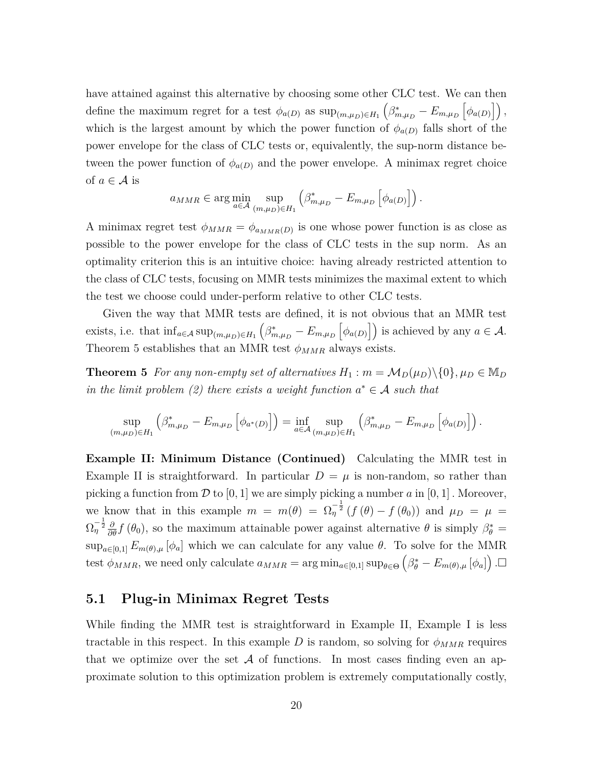have attained against this alternative by choosing some other CLC test. We can then define the maximum regret for a test  $\phi_{a(D)}$  as  $\sup_{(m,\mu_D)\in H_1} \left(\beta^*_{m,\mu_D} - E_{m,\mu_D} \left[\phi_{a(D)}\right]\right)$ , which is the largest amount by which the power function of  $\phi_{a(D)}$  falls short of the power envelope for the class of CLC tests or, equivalently, the sup-norm distance between the power function of  $\phi_{a(D)}$  and the power envelope. A minimax regret choice of  $a \in \mathcal{A}$  is

$$
a_{MMR} \in \arg\min_{a \in \mathcal{A}} \sup_{(m,\mu_D) \in H_1} \left( \beta^*_{m,\mu_D} - E_{m,\mu_D} \left[ \phi_{a(D)} \right] \right).
$$

A minimax regret test  $\phi_{MMR} = \phi_{a_{MMR}(D)}$  is one whose power function is as close as possible to the power envelope for the class of CLC tests in the sup norm. As an optimality criterion this is an intuitive choice: having already restricted attention to the class of CLC tests, focusing on MMR tests minimizes the maximal extent to which the test we choose could under-perform relative to other CLC tests.

Given the way that MMR tests are defined, it is not obvious that an MMR test exists, i.e. that  $\inf_{a \in \mathcal{A}} \sup_{(m,\mu_D) \in H_1} \left( \beta^*_{m,\mu_D} - E_{m,\mu_D} \left[ \phi_{a(D)} \right] \right)$  is achieved by any  $a \in \mathcal{A}$ . Theorem 5 establishes that an MMR test  $\phi_{MMR}$  always exists.

**Theorem 5** *For any non-empty set of alternatives*  $H_1$ :  $m = M_D(\mu_D) \setminus \{0\}, \mu_D \in M_D$ *in the limit problem (2) there exists a weight function*  $a^* \in \mathcal{A}$  *such that* 

$$
\sup_{(m,\mu_D)\in H_1} \left(\beta^*_{m,\mu_D} - E_{m,\mu_D} \left[ \phi_{a^*(D)} \right] \right) = \inf_{a\in \mathcal{A}} \sup_{(m,\mu_D)\in H_1} \left(\beta^*_{m,\mu_D} - E_{m,\mu_D} \left[ \phi_{a(D)} \right] \right).
$$

**Example II: Minimum Distance (Continued)** Calculating the MMR test in Example II is straightforward. In particular  $D = \mu$  is non-random, so rather than picking a function from  $\mathcal{D}$  to [0, 1] we are simply picking a number  $a$  in [0, 1]. Moreover, we know that in this example  $m = m(\theta) = \Omega_{\eta}^{-\frac{1}{2}} (f(\theta) - f(\theta_0))$  and  $\mu_D = \mu =$  $\Omega_{\eta}^{-\frac{1}{2}}\frac{\partial}{\partial\theta}f(\theta_0)$ , so the maximum attainable power against alternative  $\theta$  is simply  $\beta_{\theta}^* =$  $\sup_{a\in[0,1]} E_{m(\theta),\mu}[\phi_a]$  which we can calculate for any value  $\theta$ . To solve for the MMR test  $\phi_{MMR}$ , we need only calculate  $a_{MMR} = \arg \min_{a \in [0,1]} \sup_{\theta \in \Theta} (\beta_{\theta}^* - E_{m(\theta),\mu}[\phi_a])$ .

#### **5.1 Plug-in Minimax Regret Tests**

While finding the MMR test is straightforward in Example II, Example I is less tractable in this respect. In this example *D* is random, so solving for  $\phi_{MMR}$  requires that we optimize over the set  $A$  of functions. In most cases finding even an approximate solution to this optimization problem is extremely computationally costly,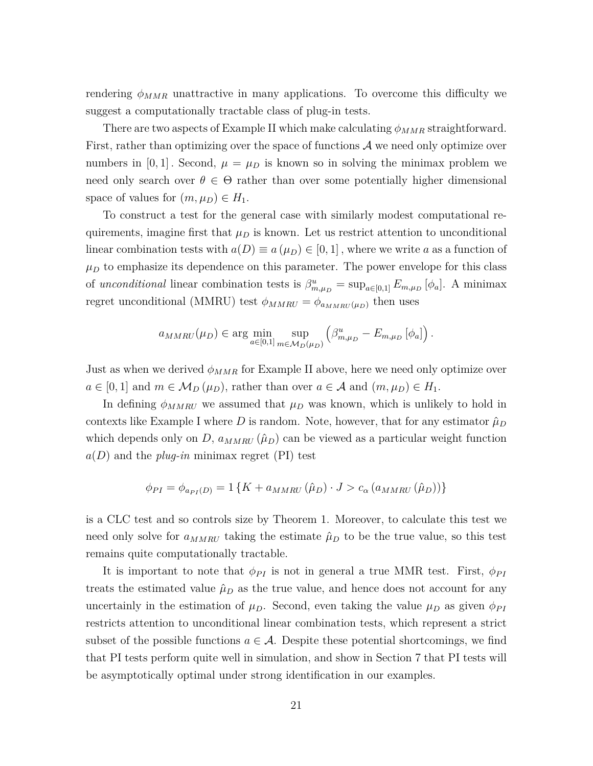rendering  $\phi_{MMR}$  unattractive in many applications. To overcome this difficulty we suggest a computationally tractable class of plug-in tests.

There are two aspects of Example II which make calculating *φMMR* straightforward. First, rather than optimizing over the space of functions  $A$  we need only optimize over numbers in  $[0, 1]$ . Second,  $\mu = \mu_D$  is known so in solving the minimax problem we need only search over  $\theta \in \Theta$  rather than over some potentially higher dimensional space of values for  $(m, \mu_D) \in H_1$ .

To construct a test for the general case with similarly modest computational requirements, imagine first that  $\mu_D$  is known. Let us restrict attention to unconditional linear combination tests with  $a(D) \equiv a(\mu_D) \in [0,1]$ , where we write *a* as a function of  $\mu_D$  to emphasize its dependence on this parameter. The power envelope for this class of *unconditional* linear combination tests is  $\beta_{m,\mu_D}^u = \sup_{a \in [0,1]} E_{m,\mu_D} [\phi_a]$ . A minimax regret unconditional (MMRU) test  $\phi_{MMRU} = \phi_{a_{MMRU}(\mu_D)}$  then uses

$$
a_{MMRU}(\mu_D) \in \arg\min_{a \in [0,1]} \sup_{m \in M_D(\mu_D)} (\beta_{m,\mu_D}^u - E_{m,\mu_D}[\phi_a])
$$
.

Just as when we derived  $\phi_{MMR}$  for Example II above, here we need only optimize over  $a \in [0,1]$  and  $m \in M_D(\mu_D)$ , rather than over  $a \in \mathcal{A}$  and  $(m,\mu_D) \in H_1$ .

In defining  $\phi_{MMRU}$  we assumed that  $\mu_D$  was known, which is unlikely to hold in contexts like Example I where *D* is random. Note, however, that for any estimator  $\hat{\mu}_D$ which depends only on *D*,  $a_{MMRU}(\hat{\mu}_D)$  can be viewed as a particular weight function  $a(D)$  and the *plug-in* minimax regret (PI) test

$$
\phi_{PI} = \phi_{a_{PI}(D)} = 1\left\{K + a_{MMRU}\left(\hat{\mu}_D\right) \cdot J > c_{\alpha} \left(a_{MMRU}\left(\hat{\mu}_D\right)\right)\right\}
$$

is a CLC test and so controls size by Theorem 1. Moreover, to calculate this test we need only solve for  $a_{MMRU}$  taking the estimate  $\hat{\mu}_D$  to be the true value, so this test remains quite computationally tractable.

It is important to note that  $\phi_{PI}$  is not in general a true MMR test. First,  $\phi_{PI}$ treats the estimated value  $\hat{\mu}_D$  as the true value, and hence does not account for any uncertainly in the estimation of  $\mu_D$ . Second, even taking the value  $\mu_D$  as given  $\phi_{PI}$ restricts attention to unconditional linear combination tests, which represent a strict subset of the possible functions  $a \in \mathcal{A}$ . Despite these potential shortcomings, we find that PI tests perform quite well in simulation, and show in Section 7 that PI tests will be asymptotically optimal under strong identification in our examples.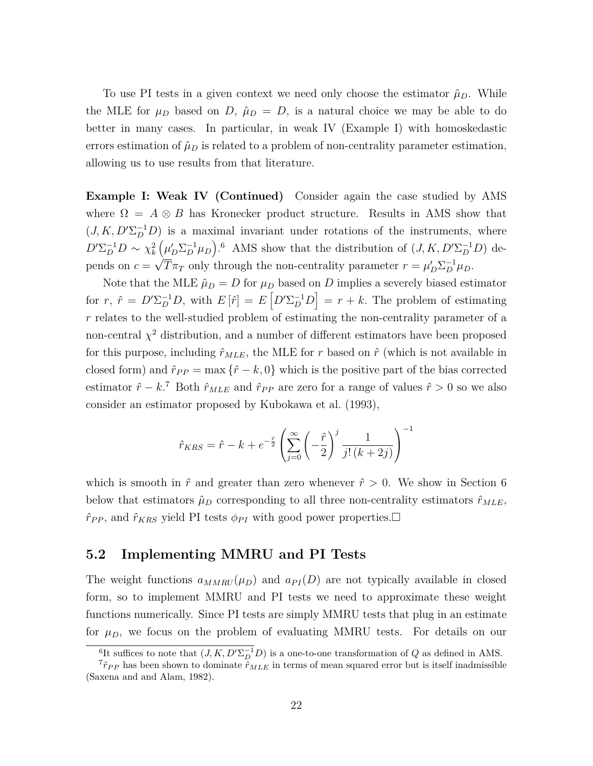To use PI tests in a given context we need only choose the estimator  $\hat{\mu}_D$ . While the MLE for  $\mu_D$  based on *D*,  $\hat{\mu}_D = D$ , is a natural choice we may be able to do better in many cases. In particular, in weak IV (Example I) with homoskedastic errors estimation of  $\hat{\mu}_D$  is related to a problem of non-centrality parameter estimation, allowing us to use results from that literature.

**Example I: Weak IV (Continued)** Consider again the case studied by AMS where  $\Omega = A \otimes B$  has Kronecker product structure. Results in AMS show that  $(J, K, D' \Sigma_D^{-1} D)$  is a maximal invariant under rotations of the instruments, where  $D' \Sigma_D^{-1} D \sim \chi_k^2 \left( \mu_D' \Sigma_D^{-1} \mu_D \right)$ .<sup>6</sup> AMS show that the distribution of  $(J, K, D' \Sigma_D^{-1} D)$  depends on  $c = \sqrt{T} \pi_T$  only through the non-centrality parameter  $r = \mu'_D \Sigma_D^{-1} \mu_D$ .

Note that the MLE  $\hat{\mu}_D = D$  for  $\mu_D$  based on *D* implies a severely biased estimator for  $r, \hat{r} = D' \Sigma_D^{-1} D$ , with  $E[\hat{r}] = E[D' \Sigma_D^{-1} D] = r + k$ . The problem of estimating *r* relates to the well-studied problem of estimating the non-centrality parameter of a non-central  $\chi^2$  distribution, and a number of different estimators have been proposed for this purpose, including  $\hat{r}_{MLE}$ , the MLE for r based on  $\hat{r}$  (which is not available in closed form) and  $\hat{r}_{PP} = \max \{\hat{r} - k, 0\}$  which is the positive part of the bias corrected estimator  $\hat{r} - k$ .<sup>7</sup> Both  $\hat{r}_{MLE}$  and  $\hat{r}_{PP}$  are zero for a range of values  $\hat{r} > 0$  so we also consider an estimator proposed by Kubokawa et al. (1993),

$$
\hat{r}_{KRS} = \hat{r} - k + e^{-\frac{\hat{r}}{2}} \left( \sum_{j=0}^{\infty} \left( -\frac{\hat{r}}{2} \right)^j \frac{1}{j! \left( k + 2j \right)} \right)^{-1}
$$

which is smooth in  $\hat{r}$  and greater than zero whenever  $\hat{r} > 0$ . We show in Section 6 below that estimators  $\hat{\mu}_D$  corresponding to all three non-centrality estimators  $\hat{r}_{MLE}$ ,  $\hat{r}_{PP}$ , and  $\hat{r}_{KRS}$  yield PI tests  $\phi_{PI}$  with good power properties.  $\Box$ 

### **5.2 Implementing MMRU and PI Tests**

The weight functions  $a_{MMRU}(\mu_D)$  and  $a_{PI}(D)$  are not typically available in closed form, so to implement MMRU and PI tests we need to approximate these weight functions numerically. Since PI tests are simply MMRU tests that plug in an estimate for  $\mu_D$ , we focus on the problem of evaluating MMRU tests. For details on our

<sup>&</sup>lt;sup>6</sup>It suffices to note that  $(J, K, D' \Sigma_D^{-1} D)$  is a one-to-one transformation of *Q* as defined in AMS.

<sup>&</sup>lt;sup>7</sup> $\hat{r}_{PP}$  has been shown to dominate  $\hat{r}_{MLE}$  in terms of mean squared error but is itself inadmissible (Saxena and and Alam, 1982).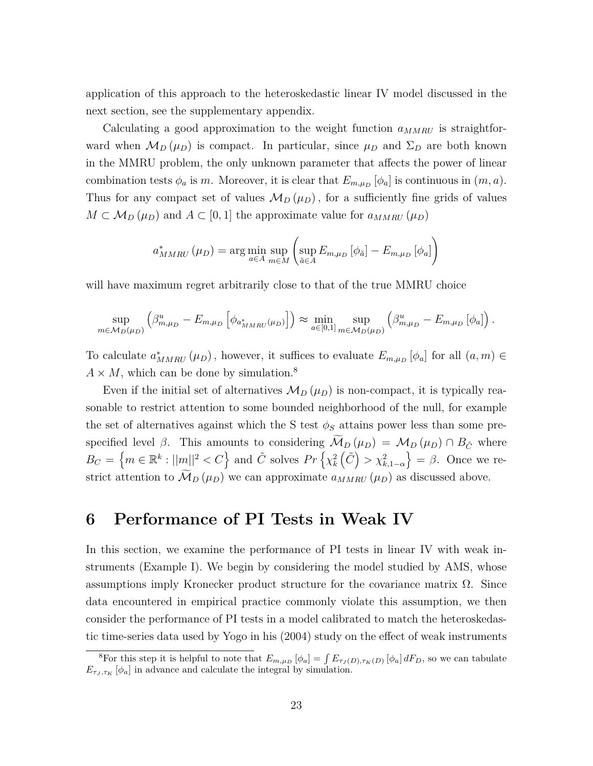application of this approach to the heteroskedastic linear IV model discussed in the next section, see the supplementary appendix.

Calculating a good approximation to the weight function *aMMRU* is straightforward when  $M_D(\mu_D)$  is compact. In particular, since  $\mu_D$  and  $\Sigma_D$  are both known in the MMRU problem, the only unknown parameter that affects the power of linear combination tests  $\phi_a$  is *m*. Moreover, it is clear that  $E_{m,\mu_D}[\phi_a]$  is continuous in  $(m, a)$ . Thus for any compact set of values  $\mathcal{M}_D(\mu_D)$ , for a sufficiently fine grids of values  $M \subset M_D(\mu_D)$  and  $A \subset [0,1]$  the approximate value for  $a_{MMRU}(\mu_D)$ 

$$
a_{MMRU}^* \left( \mu_D \right) = \arg \min_{a \in A} \sup_{m \in M} \left( \sup_{\tilde{a} \in A} E_{m,\mu_D} \left[ \phi_{\tilde{a}} \right] - E_{m,\mu_D} \left[ \phi_a \right] \right)
$$

will have maximum regret arbitrarily close to that of the true MMRU choice

$$
\sup_{m \in M_D(\mu_D)} \left( \beta_{m,\mu_D}^u - E_{m,\mu_D} \left[ \phi_{a_{MMRU}^*(\mu_D)} \right] \right) \approx \min_{a \in [0,1]} \sup_{m \in M_D(\mu_D)} \left( \beta_{m,\mu_D}^u - E_{m,\mu_D} \left[ \phi_a \right] \right).
$$

To calculate  $a^*_{MMRU}(\mu_D)$ , however, it suffices to evaluate  $E_{m,\mu_D}[\phi_a]$  for all  $(a,m) \in$  $A \times M$ , which can be done by simulation.<sup>8</sup>

Even if the initial set of alternatives  $\mathcal{M}_D(\mu_D)$  is non-compact, it is typically reasonable to restrict attention to some bounded neighborhood of the null, for example the set of alternatives against which the S test  $\phi_S$  attains power less than some prespecified level *β*. This amounts to considering  $\widetilde{\mathcal{M}}_D(\mu_D) = \mathcal{M}_D(\mu_D) \cap B_{\tilde{C}}$  where  $B_C = \left\{ m \in \mathbb{R}^k : ||m||^2 < C \right\}$  and  $\tilde{C}$  solves  $Pr\left\{ \chi_k^2(\tilde{C}) > \chi_{k,1-\alpha}^2 \right\} = \beta$ . Once we restrict attention to  $\mathcal{M}_D(\mu_D)$  we can approximate  $a_{MMRU}(\mu_D)$  as discussed above.

# **6 Performance of PI Tests in Weak IV**

In this section, we examine the performance of PI tests in linear IV with weak instruments (Example I). We begin by considering the model studied by AMS, whose assumptions imply Kronecker product structure for the covariance matrix  $\Omega$ . Since data encountered in empirical practice commonly violate this assumption, we then consider the performance of PI tests in a model calibrated to match the heteroskedastic time-series data used by Yogo in his (2004) study on the effect of weak instruments

<sup>&</sup>lt;sup>8</sup>For this step it is helpful to note that  $E_{m,\mu_D}[\phi_a] = \int E_{\tau_J(D),\tau_K(D)}[\phi_a] dF_D$ , so we can tabulate  $E_{\tau_J, \tau_K}$  [ $\phi_a$ ] in advance and calculate the integral by simulation.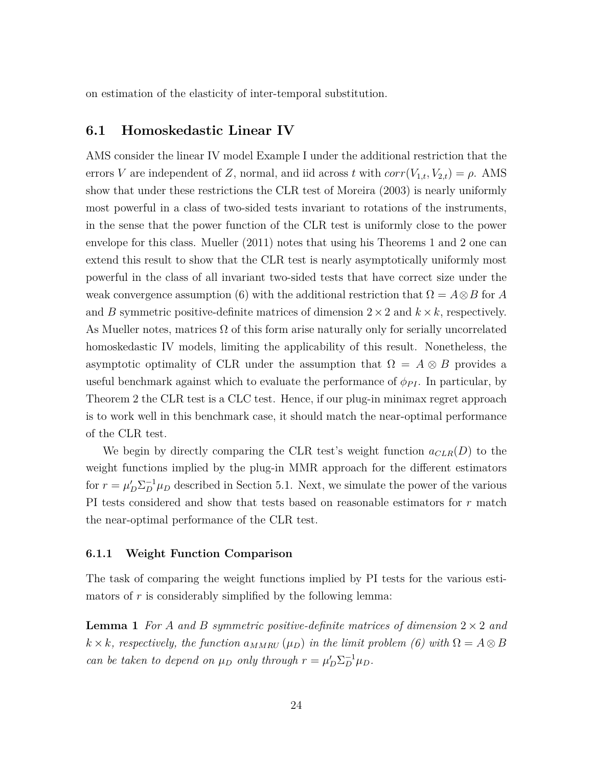on estimation of the elasticity of inter-temporal substitution.

#### **6.1 Homoskedastic Linear IV**

AMS consider the linear IV model Example I under the additional restriction that the errors *V* are independent of *Z*, normal, and iid across *t* with  $corr(V_{1,t}, V_{2,t}) = \rho$ . AMS show that under these restrictions the CLR test of Moreira (2003) is nearly uniformly most powerful in a class of two-sided tests invariant to rotations of the instruments, in the sense that the power function of the CLR test is uniformly close to the power envelope for this class. Mueller (2011) notes that using his Theorems 1 and 2 one can extend this result to show that the CLR test is nearly asymptotically uniformly most powerful in the class of all invariant two-sided tests that have correct size under the weak convergence assumption (6) with the additional restriction that  $\Omega = A \otimes B$  for *A* and *B* symmetric positive-definite matrices of dimension  $2 \times 2$  and  $k \times k$ , respectively. As Mueller notes, matrices  $\Omega$  of this form arise naturally only for serially uncorrelated homoskedastic IV models, limiting the applicability of this result. Nonetheless, the asymptotic optimality of CLR under the assumption that  $\Omega = A \otimes B$  provides a useful benchmark against which to evaluate the performance of  $\phi_{PI}$ . In particular, by Theorem 2 the CLR test is a CLC test. Hence, if our plug-in minimax regret approach is to work well in this benchmark case, it should match the near-optimal performance of the CLR test.

We begin by directly comparing the CLR test's weight function  $a_{CLR}(D)$  to the weight functions implied by the plug-in MMR approach for the different estimators for  $r = \mu'_D \Sigma_D^{-1} \mu_D$  described in Section 5.1. Next, we simulate the power of the various PI tests considered and show that tests based on reasonable estimators for *r* match the near-optimal performance of the CLR test.

#### **6.1.1 Weight Function Comparison**

The task of comparing the weight functions implied by PI tests for the various estimators of *r* is considerably simplified by the following lemma:

**Lemma 1** *For A and B symmetric positive-definite matrices of dimension* 2 × 2 *and*  $k \times k$ *, respectively, the function*  $a_{MMRU}(\mu_D)$  *in the limit problem* (6) with  $\Omega = A \otimes B$ *can be taken to depend on*  $\mu_D$  *only through*  $r = \mu'_D \Sigma_D^{-1} \mu_D$ .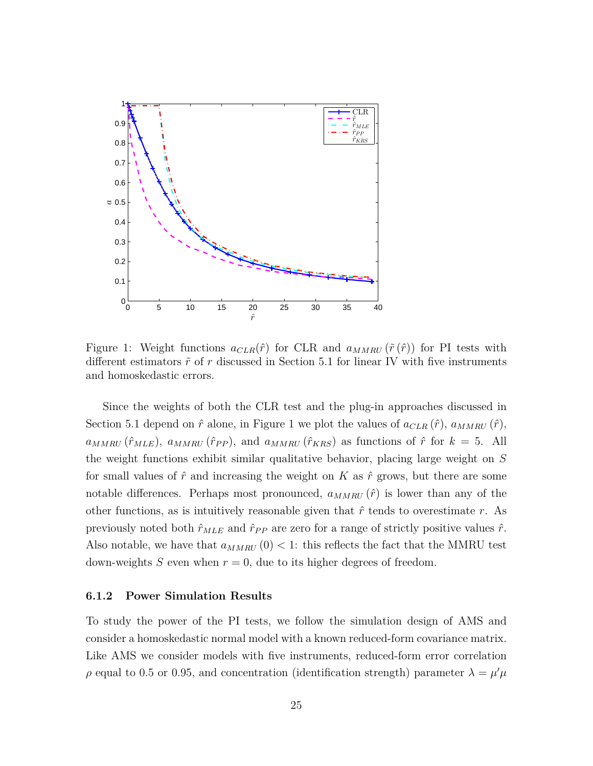

Figure 1: Weight functions  $a_{CLR}(\hat{r})$  for CLR and  $a_{MMRU}(\tilde{r}(\hat{r}))$  for PI tests with different estimators  $\tilde{r}$  of  $r$  discussed in Section 5.1 for linear IV with five instruments and homoskedastic errors.

Since the weights of both the CLR test and the plug-in approaches discussed in Section 5.1 depend on  $\hat{r}$  alone, in Figure 1 we plot the values of  $a_{CLR}(\hat{r})$ ,  $a_{MMRU}(\hat{r})$ ,  $a_{MMRU}(\hat{r}_{MLE}), a_{MMRU}(\hat{r}_{PP}),$  and  $a_{MMRU}(\hat{r}_{KRS})$  as functions of  $\hat{r}$  for  $k = 5$ . All the weight functions exhibit similar qualitative behavior, placing large weight on *S* for small values of  $\hat{r}$  and increasing the weight on K as  $\hat{r}$  grows, but there are some notable differences. Perhaps most pronounced,  $a_{MMRU}(\hat{r})$  is lower than any of the other functions, as is intuitively reasonable given that  $\hat{r}$  tends to overestimate  $r$ . As previously noted both  $\hat{r}_{MLE}$  and  $\hat{r}_{PP}$  are zero for a range of strictly positive values  $\hat{r}$ . Also notable, we have that  $a_{MMRU}(0) < 1$ : this reflects the fact that the MMRU test down-weights  $S$  even when  $r = 0$ , due to its higher degrees of freedom.

#### **6.1.2 Power Simulation Results**

To study the power of the PI tests, we follow the simulation design of AMS and consider a homoskedastic normal model with a known reduced-form covariance matrix. Like AMS we consider models with five instruments, reduced-form error correlation *ρ* equal to 0.5 or 0.95, and concentration (identification strength) parameter  $λ = μ'μ$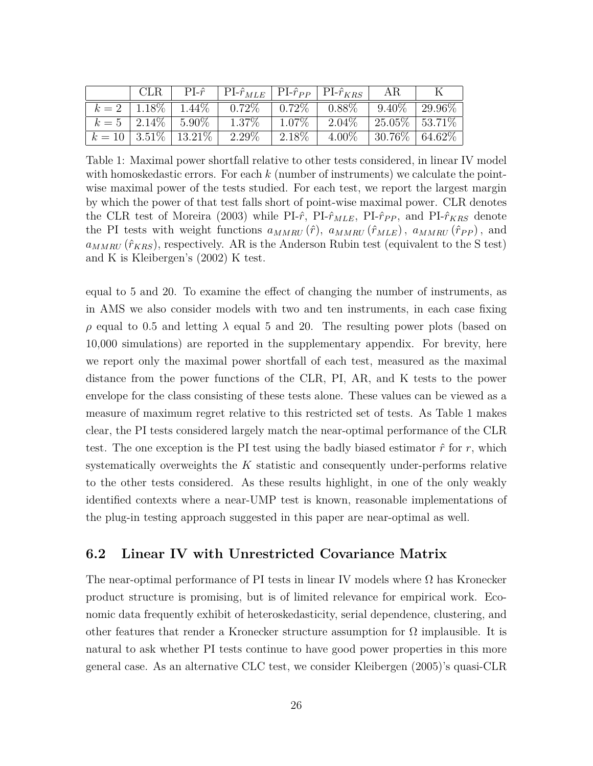|  | CLR   PI- $\hat{r}$   PI- $\hat{r}_{MLE}$   PI- $\hat{r}_{PP}$   PI- $\hat{r}_{KRS}$ |           | AR.               |  |
|--|--------------------------------------------------------------------------------------|-----------|-------------------|--|
|  | $k = 2$   1.18\%   1.44\%   0.72\%   0.72\%   0.88\%   9.40\%   29.96\%              |           |                   |  |
|  | $k = 5$   2.14\%   5.90\%   1.37\%   1.07\%                                          | $12.04\%$ | 25.05\%   53.71\% |  |
|  | $k = 10   3.51\%   13.21\%   2.29\%   2.18\%  $                                      | $4.00\%$  | 30.76\%   64.62\% |  |

Table 1: Maximal power shortfall relative to other tests considered, in linear IV model with homoskedastic errors. For each *k* (number of instruments) we calculate the pointwise maximal power of the tests studied. For each test, we report the largest margin by which the power of that test falls short of point-wise maximal power. CLR denotes the CLR test of Moreira (2003) while PI- $\hat{r}$ , PI- $\hat{r}_{MLE}$ , PI- $\hat{r}_{PP}$ , and PI- $\hat{r}_{KRS}$  denote the PI tests with weight functions  $a_{MMRU}(\hat{r})$ ,  $a_{MMRU}(\hat{r}_{MLE})$ ,  $a_{MMRU}(\hat{r}_{PP})$ , and  $a_{MMRU}$  ( $\hat{r}_{KRS}$ ), respectively. AR is the Anderson Rubin test (equivalent to the S test) and K is Kleibergen's (2002) K test.

equal to 5 and 20. To examine the effect of changing the number of instruments, as in AMS we also consider models with two and ten instruments, in each case fixing *ρ* equal to 0*.*5 and letting *λ* equal 5 and 20. The resulting power plots (based on 10,000 simulations) are reported in the supplementary appendix. For brevity, here we report only the maximal power shortfall of each test, measured as the maximal distance from the power functions of the CLR, PI, AR, and K tests to the power envelope for the class consisting of these tests alone. These values can be viewed as a measure of maximum regret relative to this restricted set of tests. As Table 1 makes clear, the PI tests considered largely match the near-optimal performance of the CLR test. The one exception is the PI test using the badly biased estimator  $\hat{r}$  for  $r$ , which systematically overweights the *K* statistic and consequently under-performs relative to the other tests considered. As these results highlight, in one of the only weakly identified contexts where a near-UMP test is known, reasonable implementations of the plug-in testing approach suggested in this paper are near-optimal as well.

### **6.2 Linear IV with Unrestricted Covariance Matrix**

The near-optimal performance of PI tests in linear IV models where  $\Omega$  has Kronecker product structure is promising, but is of limited relevance for empirical work. Economic data frequently exhibit of heteroskedasticity, serial dependence, clustering, and other features that render a Kronecker structure assumption for  $\Omega$  implausible. It is natural to ask whether PI tests continue to have good power properties in this more general case. As an alternative CLC test, we consider Kleibergen (2005)'s quasi-CLR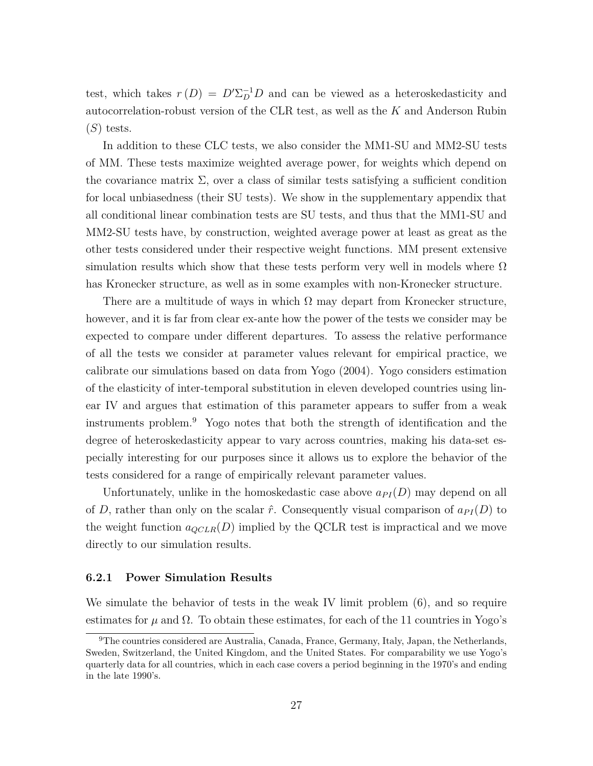test, which takes  $r(D) = D' \Sigma_D^{-1} D$  and can be viewed as a heteroskedasticity and autocorrelation-robust version of the CLR test, as well as the *K* and Anderson Rubin (*S*) tests.

In addition to these CLC tests, we also consider the MM1-SU and MM2-SU tests of MM. These tests maximize weighted average power, for weights which depend on the covariance matrix  $\Sigma$ , over a class of similar tests satisfying a sufficient condition for local unbiasedness (their SU tests). We show in the supplementary appendix that all conditional linear combination tests are SU tests, and thus that the MM1-SU and MM2-SU tests have, by construction, weighted average power at least as great as the other tests considered under their respective weight functions. MM present extensive simulation results which show that these tests perform very well in models where  $\Omega$ has Kronecker structure, as well as in some examples with non-Kronecker structure.

There are a multitude of ways in which  $\Omega$  may depart from Kronecker structure, however, and it is far from clear ex-ante how the power of the tests we consider may be expected to compare under different departures. To assess the relative performance of all the tests we consider at parameter values relevant for empirical practice, we calibrate our simulations based on data from Yogo (2004). Yogo considers estimation of the elasticity of inter-temporal substitution in eleven developed countries using linear IV and argues that estimation of this parameter appears to suffer from a weak instruments problem.<sup>9</sup> Yogo notes that both the strength of identification and the degree of heteroskedasticity appear to vary across countries, making his data-set especially interesting for our purposes since it allows us to explore the behavior of the tests considered for a range of empirically relevant parameter values.

Unfortunately, unlike in the homoskedastic case above  $a_{PI}(D)$  may depend on all of *D*, rather than only on the scalar  $\hat{r}$ . Consequently visual comparison of  $a_{PI}(D)$  to the weight function  $a_{QCLR}(D)$  implied by the QCLR test is impractical and we move directly to our simulation results.

#### **6.2.1 Power Simulation Results**

We simulate the behavior of tests in the weak IV limit problem (6), and so require estimates for  $\mu$  and  $\Omega$ . To obtain these estimates, for each of the 11 countries in Yogo's

 $9$ The countries considered are Australia, Canada, France, Germany, Italy, Japan, the Netherlands, Sweden, Switzerland, the United Kingdom, and the United States. For comparability we use Yogo's quarterly data for all countries, which in each case covers a period beginning in the 1970's and ending in the late 1990's.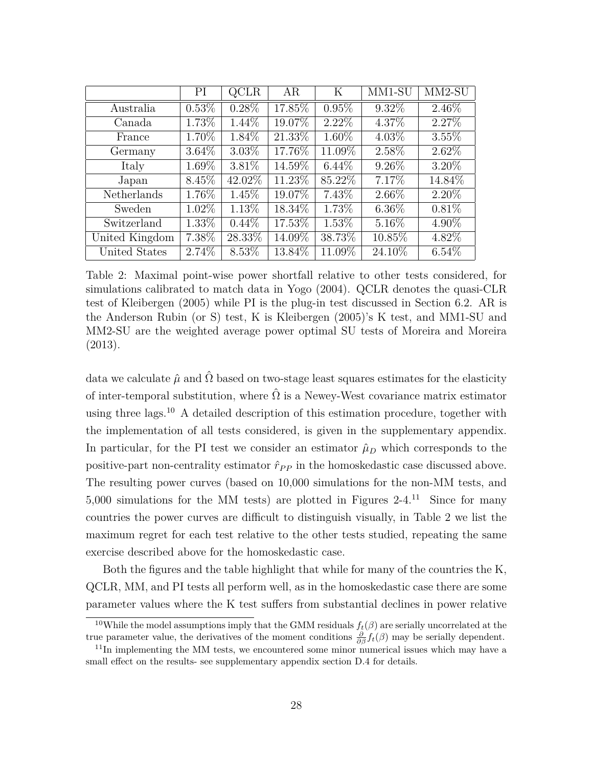|                | PI       | QCLR     | AR      | Κ        | $\overline{\text{MM1-SU}}$ | $MM2-SU$ |
|----------------|----------|----------|---------|----------|----------------------------|----------|
| Australia      | $0.53\%$ | $0.28\%$ | 17.85%  | $0.95\%$ | 9.32\%                     | $2.46\%$ |
| Canada         | 1.73%    | 1.44\%   | 19.07%  | $2.22\%$ | 4.37%                      | 2.27%    |
| France         | 1.70%    | 1.84\%   | 21.33%  | 1.60%    | $4.03\%$                   | $3.55\%$ |
| Germany        | $3.64\%$ | $3.03\%$ | 17.76%  | 11.09%   | 2.58%                      | 2.62%    |
| Italy          | 1.69%    | $3.81\%$ | 14.59%  | $6.44\%$ | $9.26\%$                   | $3.20\%$ |
| Japan          | 8.45%    | 42.02%   | 11.23\% | 85.22\%  | 7.17%                      | 14.84%   |
| Netherlands    | 1.76%    | 1.45%    | 19.07%  | 7.43%    | $2.66\%$                   | $2.20\%$ |
| Sweden         | $1.02\%$ | 1.13%    | 18.34\% | 1.73%    | $6.36\%$                   | $0.81\%$ |
| Switzerland    | 1.33%    | $0.44\%$ | 17.53%  | 1.53%    | 5.16%                      | 4.90%    |
| United Kingdom | 7.38%    | 28.33%   | 14.09%  | 38.73%   | 10.85%                     | 4.82%    |
| United States  | 2.74\%   | 8.53%    | 13.84%  | 11.09%   | 24.10%                     | $6.54\%$ |

Table 2: Maximal point-wise power shortfall relative to other tests considered, for simulations calibrated to match data in Yogo (2004). QCLR denotes the quasi-CLR test of Kleibergen (2005) while PI is the plug-in test discussed in Section 6.2. AR is the Anderson Rubin (or S) test, K is Kleibergen (2005)'s K test, and MM1-SU and MM2-SU are the weighted average power optimal SU tests of Moreira and Moreira (2013).

data we calculate  $\hat{\mu}$  and  $\hat{\Omega}$  based on two-stage least squares estimates for the elasticity of inter-temporal substitution, where  $\hat{\Omega}$  is a Newey-West covariance matrix estimator using three lags.<sup>10</sup> A detailed description of this estimation procedure, together with the implementation of all tests considered, is given in the supplementary appendix. In particular, for the PI test we consider an estimator  $\hat{\mu}_D$  which corresponds to the positive-part non-centrality estimator  $\hat{r}_{PP}$  in the homoskedastic case discussed above. The resulting power curves (based on 10,000 simulations for the non-MM tests, and 5,000 simulations for the MM tests) are plotted in Figures  $2-4$ .<sup>11</sup> Since for many countries the power curves are difficult to distinguish visually, in Table 2 we list the maximum regret for each test relative to the other tests studied, repeating the same exercise described above for the homoskedastic case.

Both the figures and the table highlight that while for many of the countries the K, QCLR, MM, and PI tests all perform well, as in the homoskedastic case there are some parameter values where the K test suffers from substantial declines in power relative

<sup>&</sup>lt;sup>10</sup>While the model assumptions imply that the GMM residuals  $f_t(\beta)$  are serially uncorrelated at the true parameter value, the derivatives of the moment conditions  $\frac{\partial}{\partial \beta} f_t(\beta)$  may be serially dependent.

 $11$ In implementing the MM tests, we encountered some minor numerical issues which may have a small effect on the results- see supplementary appendix section D.4 for details.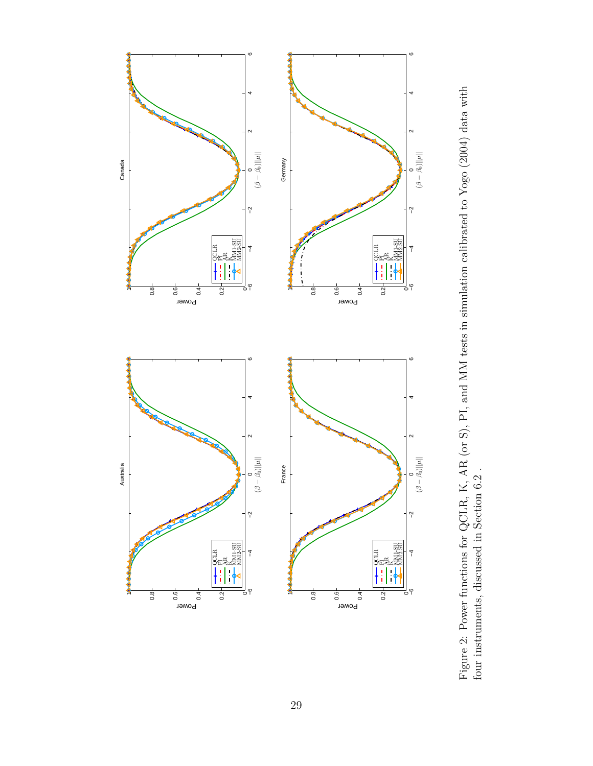

Figure 2: Power functions for QCLR, K, AR (or S), PI, and MM tests in simulation calibrated to Yogo (2004) data with four instruments, discussed in Section 6.2 . Figure 2: Power functions for QCLR, K, AR (or S), PI, and MM tests in simulation calibrated to Yogo (2004) data with four instruments, discussed in Section 6.2 .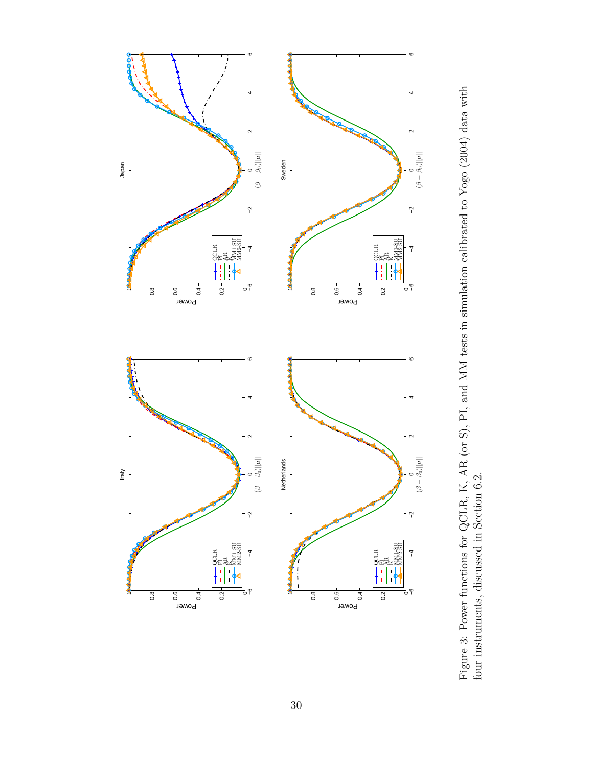

Figure 3: Power functions for QCLR, K, AR (or S), PI, and MM tests in simulation calibrated to Yogo (2004) data with four instruments, discussed in Section 6.2. Figure 3: Power functions for QCLR, K, AR (or S), PI, and MM tests in simulation calibrated to Yogo (2004) data with four instruments, discussed in Section 6.2.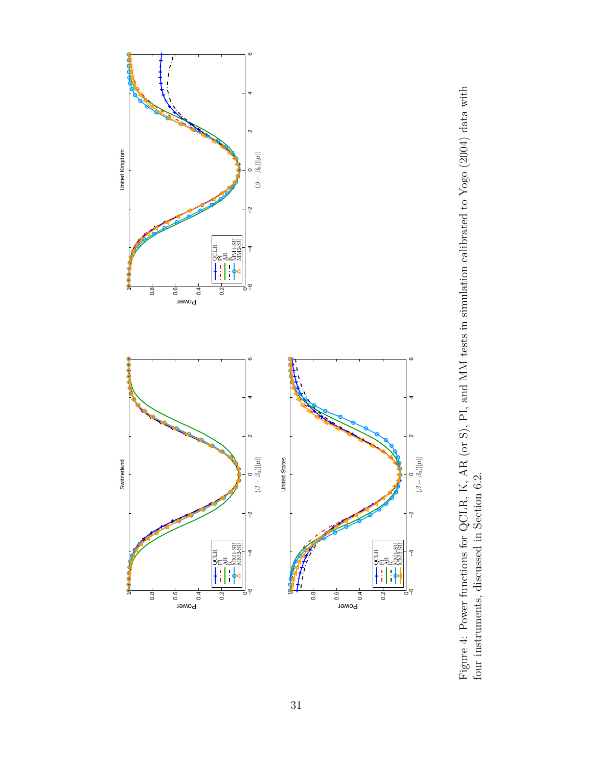

Figure 4: Power functions for QCLR, K, AR (or S), PI, and MM tests in simulation calibrated to Yogo (2004) data with four instruments, discussed in Section 6.2. Figure 4: Power functions for QCLR, K, AR (or S), PI, and MM tests in simulation calibrated to Yogo (2004) data with four instruments, discussed in Section 6.2.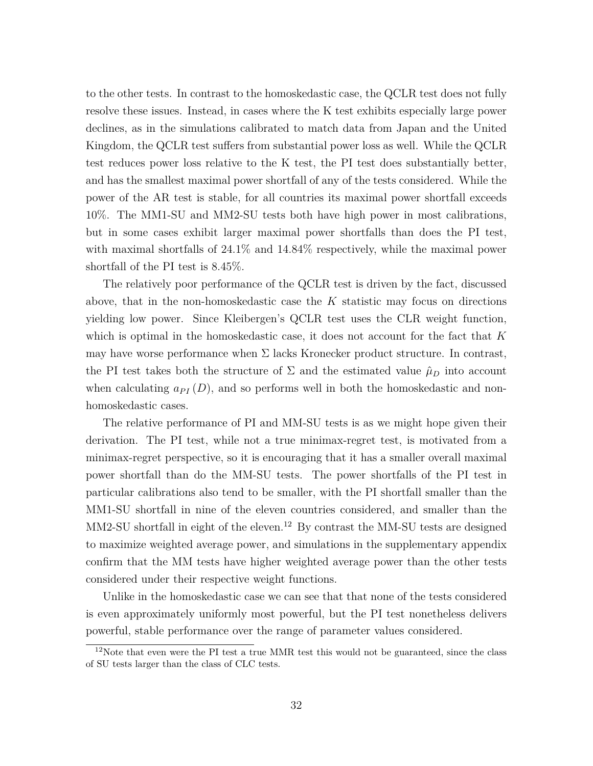to the other tests. In contrast to the homoskedastic case, the QCLR test does not fully resolve these issues. Instead, in cases where the K test exhibits especially large power declines, as in the simulations calibrated to match data from Japan and the United Kingdom, the QCLR test suffers from substantial power loss as well. While the QCLR test reduces power loss relative to the K test, the PI test does substantially better, and has the smallest maximal power shortfall of any of the tests considered. While the power of the AR test is stable, for all countries its maximal power shortfall exceeds 10%. The MM1-SU and MM2-SU tests both have high power in most calibrations, but in some cases exhibit larger maximal power shortfalls than does the PI test, with maximal shortfalls of  $24.1\%$  and  $14.84\%$  respectively, while the maximal power shortfall of the PI test is 8.45%.

The relatively poor performance of the QCLR test is driven by the fact, discussed above, that in the non-homoskedastic case the *K* statistic may focus on directions yielding low power. Since Kleibergen's QCLR test uses the CLR weight function, which is optimal in the homoskedastic case, it does not account for the fact that *K* may have worse performance when  $\Sigma$  lacks Kronecker product structure. In contrast, the PI test takes both the structure of  $\Sigma$  and the estimated value  $\hat{\mu}_D$  into account when calculating  $a_{PI}(D)$ , and so performs well in both the homoskedastic and nonhomoskedastic cases.

The relative performance of PI and MM-SU tests is as we might hope given their derivation. The PI test, while not a true minimax-regret test, is motivated from a minimax-regret perspective, so it is encouraging that it has a smaller overall maximal power shortfall than do the MM-SU tests. The power shortfalls of the PI test in particular calibrations also tend to be smaller, with the PI shortfall smaller than the MM1-SU shortfall in nine of the eleven countries considered, and smaller than the MM2-SU shortfall in eight of the eleven.<sup>12</sup> By contrast the MM-SU tests are designed to maximize weighted average power, and simulations in the supplementary appendix confirm that the MM tests have higher weighted average power than the other tests considered under their respective weight functions.

Unlike in the homoskedastic case we can see that that none of the tests considered is even approximately uniformly most powerful, but the PI test nonetheless delivers powerful, stable performance over the range of parameter values considered.

<sup>&</sup>lt;sup>12</sup>Note that even were the PI test a true MMR test this would not be guaranteed, since the class of SU tests larger than the class of CLC tests.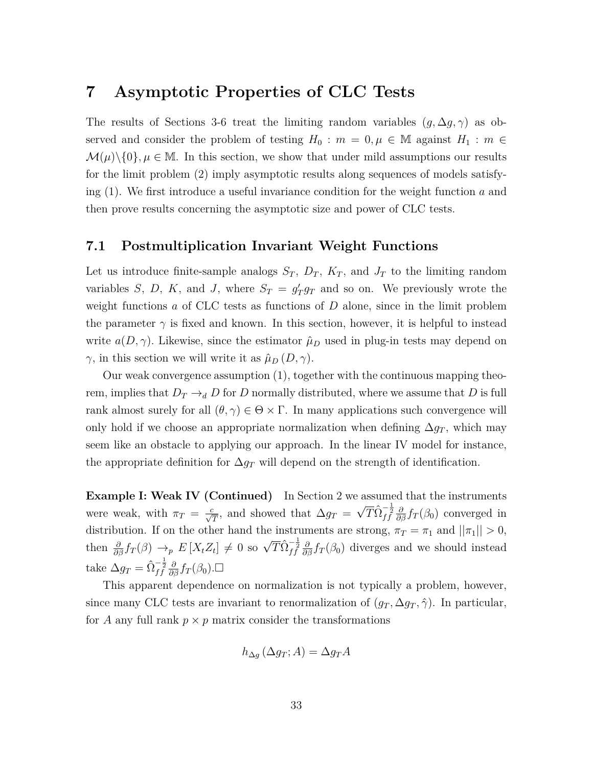# **7 Asymptotic Properties of CLC Tests**

The results of Sections 3-6 treat the limiting random variables  $(g, \Delta g, \gamma)$  as observed and consider the problem of testing  $H_0: m = 0, \mu \in \mathbb{M}$  against  $H_1: m \in$  $\mathcal{M}(\mu)\setminus\{0\}, \mu \in \mathbb{M}$ . In this section, we show that under mild assumptions our results for the limit problem (2) imply asymptotic results along sequences of models satisfying (1). We first introduce a useful invariance condition for the weight function *a* and then prove results concerning the asymptotic size and power of CLC tests.

### **7.1 Postmultiplication Invariant Weight Functions**

Let us introduce finite-sample analogs  $S_T$ ,  $D_T$ ,  $K_T$ , and  $J_T$  to the limiting random variables *S*, *D*, *K*, and *J*, where  $S_T = g'_T g_T$  and so on. We previously wrote the weight functions *a* of CLC tests as functions of *D* alone, since in the limit problem the parameter  $\gamma$  is fixed and known. In this section, however, it is helpful to instead write  $a(D, \gamma)$ . Likewise, since the estimator  $\hat{\mu}_D$  used in plug-in tests may depend on *γ*, in this section we will write it as  $\hat{\mu}_D(D, γ)$ .

Our weak convergence assumption (1), together with the continuous mapping theorem, implies that  $D_T \rightarrow_d D$  for *D* normally distributed, where we assume that *D* is full rank almost surely for all  $(\theta, \gamma) \in \Theta \times \Gamma$ . In many applications such convergence will only hold if we choose an appropriate normalization when defining  $\Delta g_T$ , which may seem like an obstacle to applying our approach. In the linear IV model for instance, the appropriate definition for  $\Delta g_T$  will depend on the strength of identification.

**Example I: Weak IV (Continued)** In Section 2 we assumed that the instruments were weak, with  $\pi_T = \frac{c}{\sqrt{T}}$ , and showed that  $\Delta g_T =$  $\sqrt{T} \hat{\Omega}_{ff}^{-\frac{1}{2}} \frac{\partial}{\partial \beta} f_T(\beta_0)$  converged in distribution. If on the other hand the instruments are strong,  $\pi_T = \pi_1$  and  $||\pi_1|| > 0$ , then  $\frac{\partial}{\partial \beta} f_T(\beta) \to_p E[X_t Z_t] \neq 0$  so  $\sqrt{T} \hat{\Omega}_{ff}^{-\frac{1}{2}} \frac{\partial}{\partial \beta} f_T(\beta_0)$  diverges and we should instead take  $\Delta g_T = \hat{\Omega}^{-\frac{1}{2}}_{ff} \frac{\partial}{\partial \beta} f_T(\beta_0)$ . $\square$ 

This apparent dependence on normalization is not typically a problem, however, since many CLC tests are invariant to renormalization of  $(g_T, \Delta g_T, \hat{\gamma})$ . In particular, for *A* any full rank  $p \times p$  matrix consider the transformations

$$
h_{\Delta g}(\Delta g_T; A) = \Delta g_T A
$$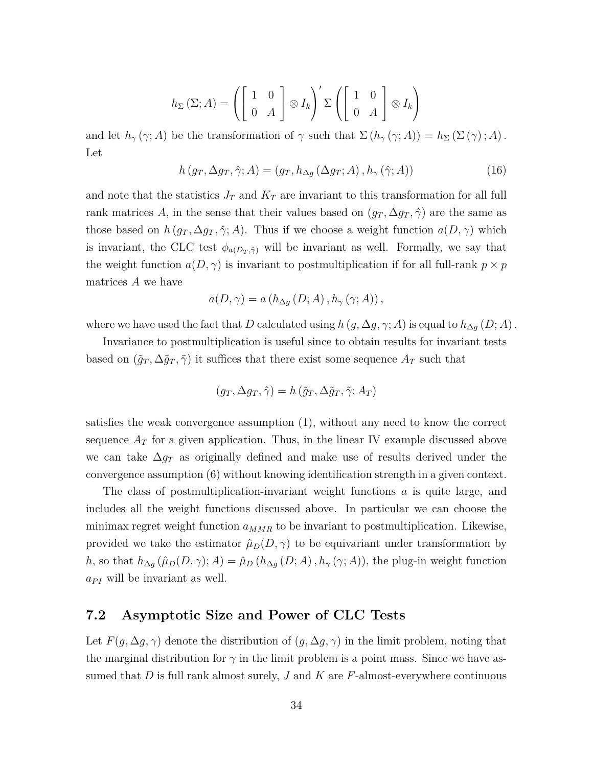$$
h_{\Sigma} (\Sigma; A) = \left( \begin{bmatrix} 1 & 0 \\ 0 & A \end{bmatrix} \otimes I_k \right)' \Sigma \left( \begin{bmatrix} 1 & 0 \\ 0 & A \end{bmatrix} \otimes I_k \right)
$$

and let  $h_\gamma(\gamma; A)$  be the transformation of  $\gamma$  such that  $\Sigma(h_\gamma(\gamma; A)) = h_\Sigma(\Sigma(\gamma); A)$ . Let

$$
h\left(g_T, \Delta g_T, \hat{\gamma}; A\right) = \left(g_T, h_{\Delta g}\left(\Delta g_T; A\right), h_{\gamma}\left(\hat{\gamma}; A\right)\right) \tag{16}
$$

and note that the statistics  $J_T$  and  $K_T$  are invariant to this transformation for all full rank matrices A, in the sense that their values based on  $(g_T, \Delta g_T, \hat{\gamma})$  are the same as those based on  $h(g_T, \Delta g_T, \hat{\gamma}; A)$ . Thus if we choose a weight function  $a(D, \gamma)$  which is invariant, the CLC test  $\phi_{a(D_T,\hat{\gamma})}$  will be invariant as well. Formally, we say that the weight function  $a(D, \gamma)$  is invariant to postmultiplication if for all full-rank  $p \times p$ matrices *A* we have

$$
a(D, \gamma) = a(h_{\Delta g}(D; A), h_{\gamma}(\gamma; A)),
$$

where we have used the fact that *D* calculated using  $h(g, \Delta g, \gamma; A)$  is equal to  $h_{\Delta g}(D; A)$ .

Invariance to postmultiplication is useful since to obtain results for invariant tests based on  $(\tilde{g}_T, \Delta \tilde{g}_T, \tilde{\gamma})$  it suffices that there exist some sequence  $A_T$  such that

$$
(g_T, \Delta g_T, \hat{\gamma}) = h(\tilde{g}_T, \Delta \tilde{g}_T, \tilde{\gamma}; A_T)
$$

satisfies the weak convergence assumption (1), without any need to know the correct sequence  $A_T$  for a given application. Thus, in the linear IV example discussed above we can take ∆*g<sup>T</sup>* as originally defined and make use of results derived under the convergence assumption (6) without knowing identification strength in a given context.

The class of postmultiplication-invariant weight functions *a* is quite large, and includes all the weight functions discussed above. In particular we can choose the minimax regret weight function  $a_{MMR}$  to be invariant to postmultiplication. Likewise, provided we take the estimator  $\hat{\mu}_D(D, \gamma)$  to be equivariant under transformation by *h*, so that  $h_{\Delta g}(\hat{\mu}_D(D,\gamma); A) = \hat{\mu}_D(h_{\Delta g}(D;A), h_{\gamma}(\gamma;A))$ , the plug-in weight function  $a_{PI}$  will be invariant as well.

### **7.2 Asymptotic Size and Power of CLC Tests**

Let  $F(g, \Delta g, \gamma)$  denote the distribution of  $(g, \Delta g, \gamma)$  in the limit problem, noting that the marginal distribution for  $\gamma$  in the limit problem is a point mass. Since we have assumed that *D* is full rank almost surely, *J* and *K* are *F*-almost-everywhere continuous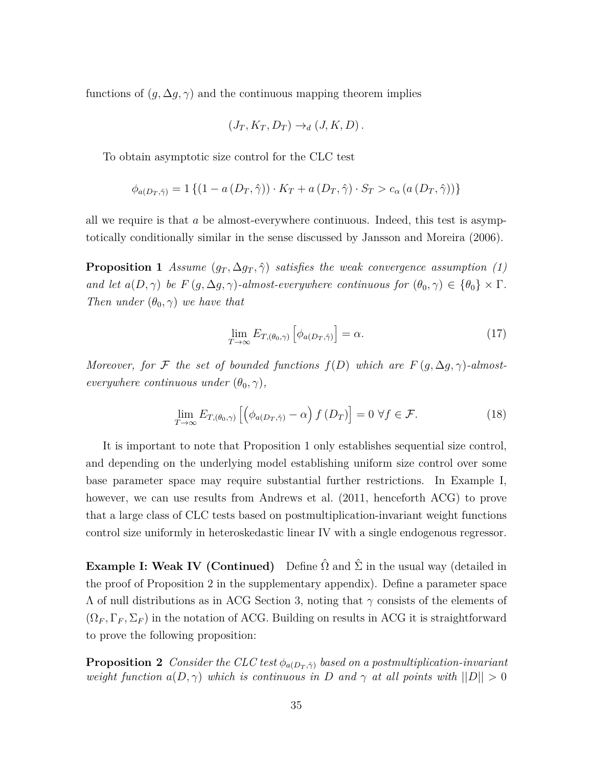functions of  $(g, \Delta g, \gamma)$  and the continuous mapping theorem implies

$$
(J_T, K_T, D_T) \to_d (J, K, D).
$$

To obtain asymptotic size control for the CLC test

$$
\phi_{a(D_T, \hat{\gamma})} = 1 \left\{ (1 - a(D_T, \hat{\gamma})) \cdot K_T + a(D_T, \hat{\gamma}) \cdot S_T > c_\alpha \left( a(D_T, \hat{\gamma}) \right) \right\}
$$

all we require is that *a* be almost-everywhere continuous. Indeed, this test is asymptotically conditionally similar in the sense discussed by Jansson and Moreira (2006).

**Proposition 1** *Assume*  $(g_T, \Delta g_T, \hat{\gamma})$  *satisfies the weak convergence assumption* (1) *and let*  $a(D, \gamma)$  *be*  $F(g, \Delta g, \gamma)$ *-almost-everywhere continuous for*  $(\theta_0, \gamma) \in {\theta_0} \times \Gamma$ *. Then under*  $(\theta_0, \gamma)$  *we have that* 

$$
\lim_{T \to \infty} E_{T, (\theta_0, \gamma)} \left[ \phi_{a(D_T, \hat{\gamma})} \right] = \alpha.
$$
\n(17)

*Moreover, for*  $\mathcal F$  *the set of bounded functions*  $f(D)$  *which are*  $F(g, \Delta g, \gamma)$ *-almosteverywhere continuous under*  $(\theta_0, \gamma)$ *,* 

$$
\lim_{T \to \infty} E_{T, (\theta_0, \gamma)} \left[ \left( \phi_{a(D_T, \hat{\gamma})} - \alpha \right) f(D_T) \right] = 0 \ \forall f \in \mathcal{F}.
$$
 (18)

It is important to note that Proposition 1 only establishes sequential size control, and depending on the underlying model establishing uniform size control over some base parameter space may require substantial further restrictions. In Example I, however, we can use results from Andrews et al. (2011, henceforth ACG) to prove that a large class of CLC tests based on postmultiplication-invariant weight functions control size uniformly in heteroskedastic linear IV with a single endogenous regressor.

**Example I: Weak IV (Continued)** Define  $\hat{\Omega}$  and  $\hat{\Sigma}$  in the usual way (detailed in the proof of Proposition 2 in the supplementary appendix). Define a parameter space Λ of null distributions as in ACG Section 3, noting that *γ* consists of the elements of  $(\Omega_F, \Gamma_F, \Sigma_F)$  in the notation of ACG. Building on results in ACG it is straightforward to prove the following proposition:

**Proposition 2** *Consider the CLC test*  $\phi_{a(D_T,\hat{\gamma})}$  *based on a postmultiplication-invariant weight function*  $a(D, \gamma)$  *which is continuous in D* and  $\gamma$  *at all points with*  $||D|| > 0$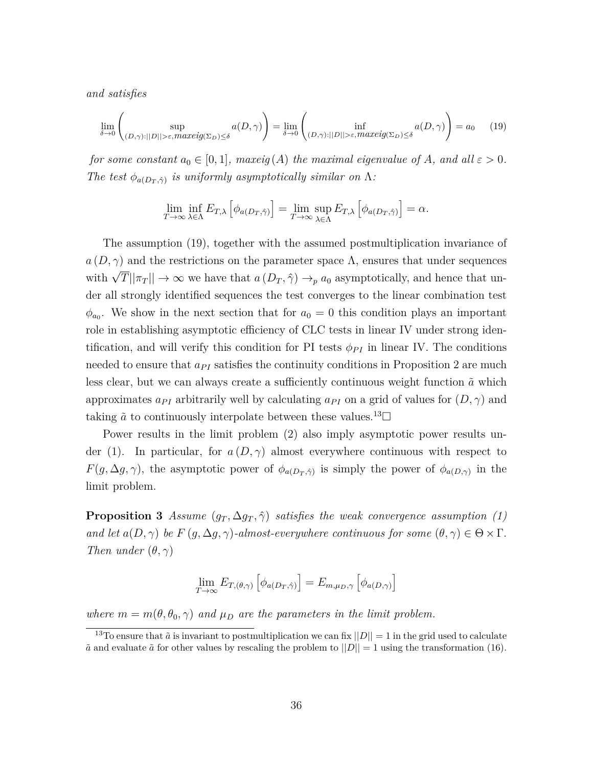*and satisfies*

$$
\lim_{\delta \to 0} \left( \sup_{(D,\gamma):||D|| > \varepsilon, \text{maxeig}(\Sigma_D) \le \delta} a(D,\gamma) \right) = \lim_{\delta \to 0} \left( \inf_{(D,\gamma):||D|| > \varepsilon, \text{maxeig}(\Sigma_D) \le \delta} a(D,\gamma) \right) = a_0 \quad (19)
$$

*for some constant*  $a_0 \in [0,1]$ *, maxeig* (*A*) *the maximal eigenvalue of A, and all*  $\varepsilon > 0$ *. The test*  $\phi_{a(D_T,\hat{\gamma})}$  *is uniformly asymptotically similar on* Λ*:* 

$$
\lim_{T \to \infty} \inf_{\lambda \in \Lambda} E_{T,\lambda} \left[ \phi_{a(D_T, \hat{\gamma})} \right] = \lim_{T \to \infty} \sup_{\lambda \in \Lambda} E_{T,\lambda} \left[ \phi_{a(D_T, \hat{\gamma})} \right] = \alpha.
$$

The assumption (19), together with the assumed postmultiplication invariance of  $a(D, \gamma)$  and the restrictions on the parameter space  $\Lambda$ , ensures that under sequences with  $\sqrt{T} ||\pi_T|| \to \infty$  we have that  $a(D_T, \hat{\gamma}) \to_p a_0$  asymptotically, and hence that under all strongly identified sequences the test converges to the linear combination test  $\phi_{a_0}$ . We show in the next section that for  $a_0 = 0$  this condition plays an important role in establishing asymptotic efficiency of CLC tests in linear IV under strong identification, and will verify this condition for PI tests  $\phi_{PI}$  in linear IV. The conditions needed to ensure that  $a_{PI}$  satisfies the continuity conditions in Proposition 2 are much less clear, but we can always create a sufficiently continuous weight function  $\tilde{a}$  which approximates  $a_{PI}$  arbitrarily well by calculating  $a_{PI}$  on a grid of values for  $(D, \gamma)$  and taking  $\tilde{a}$  to continuously interpolate between these values.<sup>13</sup> $\Box$ 

Power results in the limit problem (2) also imply asymptotic power results under (1). In particular, for  $a(D, \gamma)$  almost everywhere continuous with respect to *F*(*g*,  $\Delta$ *g*,  $\gamma$ ), the asymptotic power of  $\phi_{a(D_T,\hat{\gamma})}$  is simply the power of  $\phi_{a(D,\gamma)}$  in the limit problem.

**Proposition 3** *Assume*  $(g_T, \Delta g_T, \hat{\gamma})$  *satisfies the weak convergence assumption* (1) *and let*  $a(D, \gamma)$  *be*  $F(g, \Delta g, \gamma)$ *-almost-everywhere continuous for some*  $(\theta, \gamma) \in \Theta \times \Gamma$ *. Then under*  $(\theta, \gamma)$ 

$$
\lim_{T \to \infty} E_{T, (\theta, \gamma)} \left[ \phi_{a(D_T, \hat{\gamma})} \right] = E_{m, \mu_D, \gamma} \left[ \phi_{a(D, \gamma)} \right]
$$

*where*  $m = m(\theta, \theta_0, \gamma)$  *and*  $\mu_D$  *are the parameters in the limit problem.* 

<sup>&</sup>lt;sup>13</sup>To ensure that  $\tilde{a}$  is invariant to postmultiplication we can fix  $||D|| = 1$  in the grid used to calculate  $\tilde{a}$  and evaluate  $\tilde{a}$  for other values by rescaling the problem to  $||D|| = 1$  using the transformation (16).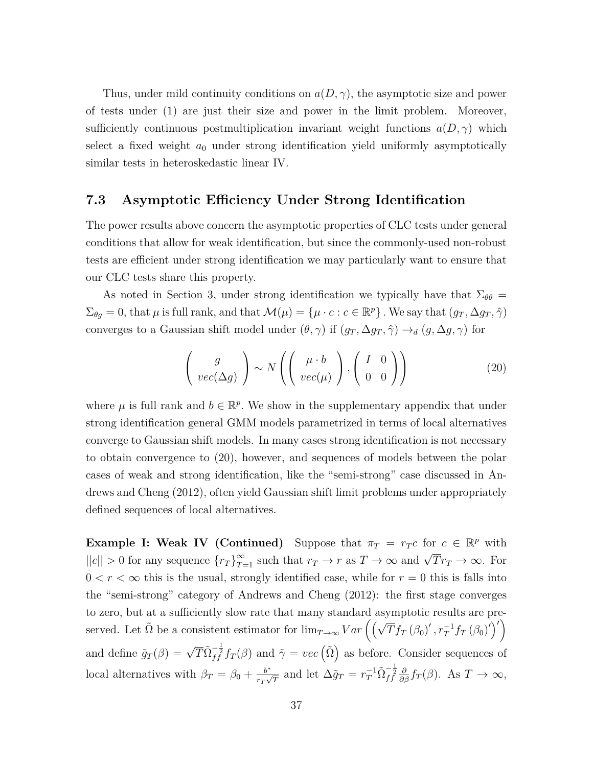Thus, under mild continuity conditions on  $a(D, \gamma)$ , the asymptotic size and power of tests under (1) are just their size and power in the limit problem. Moreover, sufficiently continuous postmultiplication invariant weight functions  $a(D, \gamma)$  which select a fixed weight  $a_0$  under strong identification yield uniformly asymptotically similar tests in heteroskedastic linear IV.

#### **7.3 Asymptotic Efficiency Under Strong Identification**

The power results above concern the asymptotic properties of CLC tests under general conditions that allow for weak identification, but since the commonly-used non-robust tests are efficient under strong identification we may particularly want to ensure that our CLC tests share this property.

As noted in Section 3, under strong identification we typically have that  $\Sigma_{\theta\theta} =$  $\Sigma_{\theta g} = 0$ , that  $\mu$  is full rank, and that  $\mathcal{M}(\mu) = \{\mu \cdot c : c \in \mathbb{R}^p\}$ . We say that  $(g_T, \Delta g_T, \hat{\gamma})$ converges to a Gaussian shift model under  $(\theta, \gamma)$  if  $(g_T, \Delta g_T, \hat{\gamma}) \rightarrow_d (g, \Delta g, \gamma)$  for

$$
\left(\begin{array}{c}g\\vec(\Delta g)\end{array}\right) \sim N\left(\left(\begin{array}{c}\mu \cdot b\\vec(\mu)\end{array}\right), \left(\begin{array}{cc}I & 0\\0 & 0\end{array}\right)\right) \tag{20}
$$

where  $\mu$  is full rank and  $b \in \mathbb{R}^p$ . We show in the supplementary appendix that under strong identification general GMM models parametrized in terms of local alternatives converge to Gaussian shift models. In many cases strong identification is not necessary to obtain convergence to (20), however, and sequences of models between the polar cases of weak and strong identification, like the "semi-strong" case discussed in Andrews and Cheng (2012), often yield Gaussian shift limit problems under appropriately defined sequences of local alternatives.

**Example I: Weak IV (Continued)** Suppose that  $\pi_T = r_T c$  for  $c \in \mathbb{R}^p$  with  $||c|| > 0$  for any sequence  $\{r_T\}_{T=1}^{\infty}$  such that  $r_T \to r$  as  $T \to \infty$  and  $\sqrt{T}r_T \to \infty$ . For  $0 < r < \infty$  this is the usual, strongly identified case, while for  $r = 0$  this is falls into the "semi-strong" category of Andrews and Cheng (2012): the first stage converges to zero, but at a sufficiently slow rate that many standard asymptotic results are preserved. Let  $\tilde{\Omega}$  be a consistent estimator for  $\lim_{T\to\infty} Var\left(\left(\sqrt{T}f_T(\beta_0)', r_T^{-1}f_T(\beta_0)'\right)'\right)$ and define  $\tilde{g}_T(\beta) = \sqrt{T} \tilde{\Omega}_{ff}^{-\frac{1}{2}} f_T(\beta)$  and  $\tilde{\gamma} = vec\left(\tilde{\Omega}\right)$  as before. Consider sequences of local alternatives with  $\beta_T = \beta_0 + \frac{b^*}{r_T}$  $\frac{b^*}{r_T \sqrt{T}}$  and let  $\Delta \tilde{g}_T = r_T^{-1} \tilde{\Omega}_{ff}^{-\frac{1}{2}} \frac{\partial}{\partial \beta} f_T(\beta)$ . As  $T \to \infty$ ,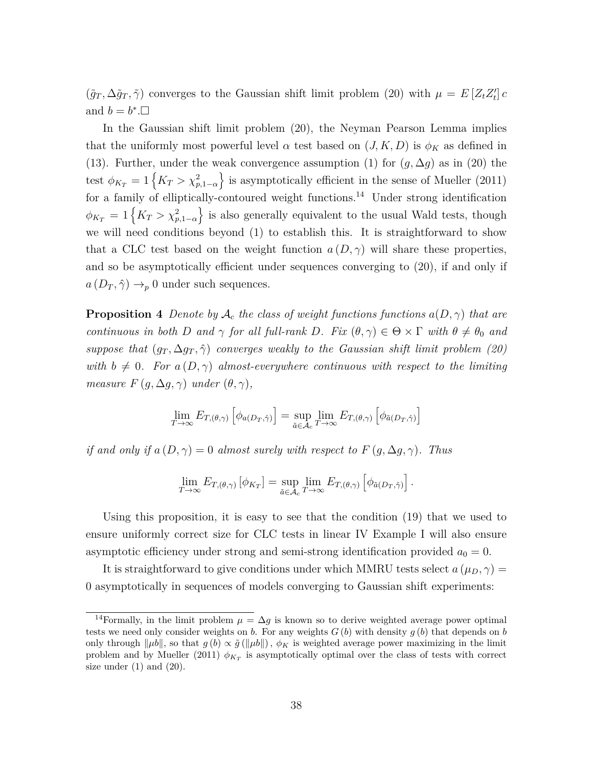$(\tilde{g}_T, \Delta \tilde{g}_T, \tilde{\gamma})$  converges to the Gaussian shift limit problem (20) with  $\mu = E[Z_t Z_t']$ and  $b = b^*$ . $\Box$ 

In the Gaussian shift limit problem (20), the Neyman Pearson Lemma implies that the uniformly most powerful level  $\alpha$  test based on  $(J, K, D)$  is  $\phi_K$  as defined in (13). Further, under the weak convergence assumption (1) for  $(g, \Delta g)$  as in (20) the test  $\phi_{K_T} = 1 \{ K_T > \chi^2_{p,1-\alpha} \}$  is asymptotically efficient in the sense of Mueller (2011) for a family of elliptically-contoured weight functions.<sup>14</sup> Under strong identification  $\phi_{K_T} = 1 \left\{ K_T > \chi^2_{p,1-\alpha} \right\}$  is also generally equivalent to the usual Wald tests, though we will need conditions beyond (1) to establish this. It is straightforward to show that a CLC test based on the weight function  $a(D, \gamma)$  will share these properties, and so be asymptotically efficient under sequences converging to (20), if and only if  $a(D_T, \hat{\gamma}) \rightarrow_p 0$  under such sequences.

**Proposition 4** *Denote by*  $A_c$  *the class of weight functions functions*  $a(D, \gamma)$  *that are continuous in both D and*  $\gamma$  *for all full-rank D. Fix*  $(\theta, \gamma) \in \Theta \times \Gamma$  *with*  $\theta \neq \theta_0$  *and suppose that*  $(g_T, \Delta g_T, \hat{\gamma})$  *converges weakly to the Gaussian shift limit problem (20) with*  $b \neq 0$ . For  $a(D, \gamma)$  almost-everywhere continuous with respect to the limiting *measure*  $F(q, \Delta q, \gamma)$  *under*  $(\theta, \gamma)$ *,* 

$$
\lim_{T \to \infty} E_{T, (\theta, \gamma)} \left[ \phi_{a(D_T, \hat{\gamma})} \right] = \sup_{\tilde{a} \in \mathcal{A}_c} \lim_{T \to \infty} E_{T, (\theta, \gamma)} \left[ \phi_{\tilde{a}(D_T, \hat{\gamma})} \right]
$$

*if and only if*  $a(D, \gamma) = 0$  *almost surely with respect to*  $F(g, \Delta g, \gamma)$ *. Thus* 

$$
\lim_{T \to \infty} E_{T, (\theta, \gamma)} [\phi_{K_T}] = \sup_{\tilde{a} \in \mathcal{A}_c} \lim_{T \to \infty} E_{T, (\theta, \gamma)} [\phi_{\tilde{a}(D_T, \hat{\gamma})}].
$$

Using this proposition, it is easy to see that the condition (19) that we used to ensure uniformly correct size for CLC tests in linear IV Example I will also ensure asymptotic efficiency under strong and semi-strong identification provided  $a_0 = 0$ .

It is straightforward to give conditions under which MMRU tests select  $a(\mu_D, \gamma)$ 0 asymptotically in sequences of models converging to Gaussian shift experiments:

<sup>&</sup>lt;sup>14</sup>Formally, in the limit problem  $\mu = \Delta g$  is known so to derive weighted average power optimal tests we need only consider weights on *b*. For any weights  $G(b)$  with density  $g(b)$  that depends on *b* only through  $\|\mu b\|$ , so that  $g(b) \propto \tilde{g}(\|\mu b\|)$ ,  $\phi_K$  is weighted average power maximizing in the limit problem and by Mueller (2011)  $\phi_{K_T}$  is asymptotically optimal over the class of tests with correct size under  $(1)$  and  $(20)$ .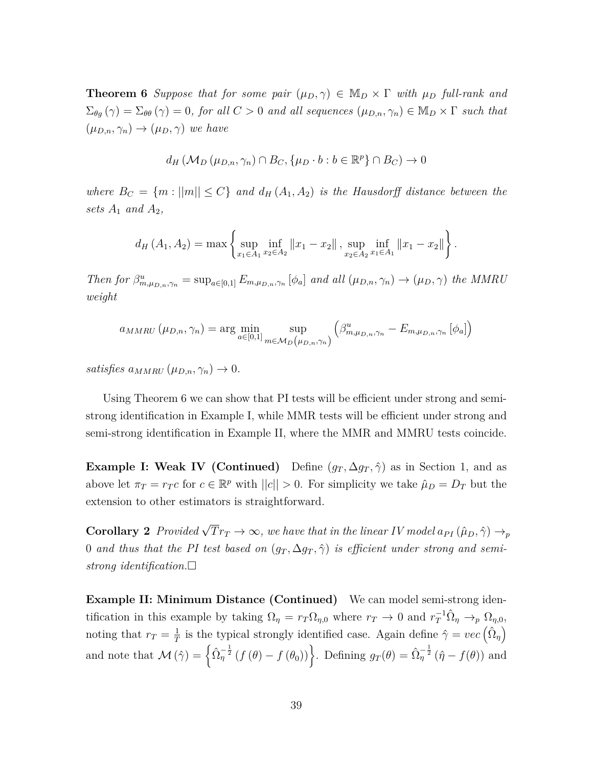**Theorem 6** *Suppose that for some pair*  $(\mu_D, \gamma) \in M_D \times \Gamma$  *with*  $\mu_D$  *full-rank and*  $\Sigma_{\theta g}(\gamma) = \Sigma_{\theta \theta}(\gamma) = 0$ , for all  $C > 0$  and all sequences  $(\mu_{D,n}, \gamma_n) \in M_D \times \Gamma$  such that  $(\mu_{D,n}, \gamma_n) \rightarrow (\mu_D, \gamma)$  *we have* 

$$
d_H(M_D(\mu_{D,n}, \gamma_n) \cap B_C, \{\mu_D \cdot b : b \in \mathbb{R}^p\} \cap B_C) \to 0
$$

*where*  $B_C = \{m : ||m|| \leq C\}$  *and*  $d_H(A_1, A_2)$  *is the Hausdorff distance between the sets*  $A_1$  *and*  $A_2$ *,* 

$$
d_H(A_1, A_2) = \max \left\{ \sup_{x_1 \in A_1} \inf_{x_2 \in A_2} ||x_1 - x_2||, \sup_{x_2 \in A_2} \inf_{x_1 \in A_1} ||x_1 - x_2|| \right\}
$$

*.*

Then for  $\beta_{m,\mu_{D,n},\gamma_n}^u = \sup_{a\in[0,1]} E_{m,\mu_{D,n},\gamma_n} [\phi_a]$  and all  $(\mu_{D,n},\gamma_n) \to (\mu_D,\gamma)$  the MMRU *weight*

$$
a_{MMRU}(\mu_{D,n}, \gamma_n) = \arg\min_{a \in [0,1]} \sup_{m \in \mathcal{M}_D(\mu_{D,n}, \gamma_n)} \left(\beta^u_{m, \mu_{D,n}, \gamma_n} - E_{m, \mu_{D,n}, \gamma_n} [\phi_a] \right)
$$

 $satisfies a_{MMRI}(\mu_{D,n}, \gamma_n) \to 0.$ 

Using Theorem 6 we can show that PI tests will be efficient under strong and semistrong identification in Example I, while MMR tests will be efficient under strong and semi-strong identification in Example II, where the MMR and MMRU tests coincide.

**Example I: Weak IV (Continued)** Define  $(g_T, \Delta g_T, \hat{\gamma})$  as in Section 1, and as above let  $\pi_T = r_T c$  for  $c \in \mathbb{R}^p$  with  $||c|| > 0$ . For simplicity we take  $\hat{\mu}_D = D_T$  but the extension to other estimators is straightforward.

**Corollary 2** *Provided*  $\sqrt{T}r_T \to \infty$ *, we have that in the linear IV model*  $a_{PI}(\hat{\mu}_D, \hat{\gamma}) \to_p$ 0 *and thus that the PI test based on*  $(g_T, \Delta g_T, \hat{\gamma})$  *is efficient under strong and semistrong identification.*

**Example II: Minimum Distance (Continued)** We can model semi-strong identification in this example by taking  $\Omega_{\eta} = r_T \Omega_{\eta,0}$  where  $r_T \to 0$  and  $r_T^{-1} \hat{\Omega}_{\eta} \to_p \Omega_{\eta,0}$ , noting that  $r_T = \frac{1}{7}$  $\frac{1}{T}$  is the typical strongly identified case. Again define  $\hat{\gamma} = vec\left(\hat{\Omega}_{\eta}\right)$ and note that  $\mathcal{M}(\hat{\gamma}) = \left\{ \hat{\Omega}_{\eta}^{-\frac{1}{2}} \left( f(\theta) - f(\theta_0) \right) \right\}$ . Defining  $g_T(\theta) = \hat{\Omega}_{\eta}^{-\frac{1}{2}} \left( \hat{\eta} - f(\theta) \right)$  and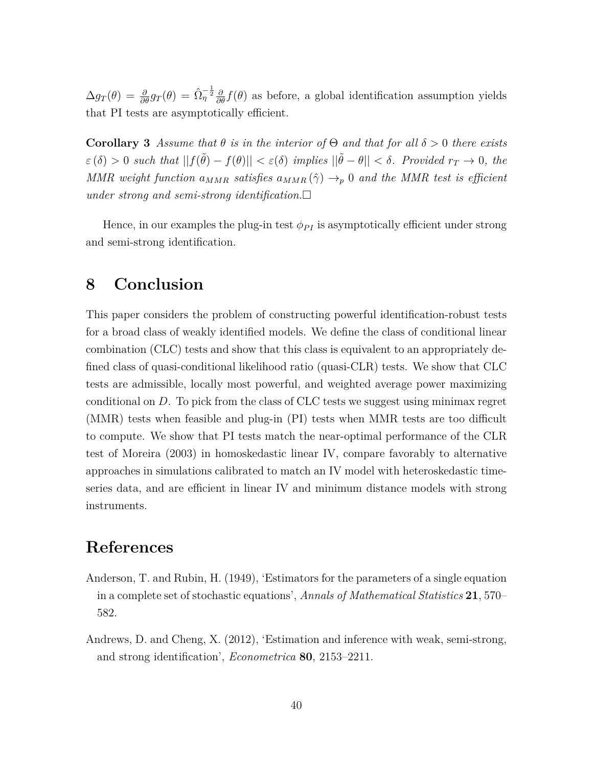$\Delta g_T(\theta) = \frac{\partial}{\partial \theta} g_T(\theta) = \hat{\Omega}_\eta^{-\frac{1}{2}} \frac{\partial}{\partial \theta} f(\theta)$  as before, a global identification assumption yields that PI tests are asymptotically efficient.

**Corollary 3** *Assume that*  $\theta$  *is in the interior of*  $\Theta$  *and that for all*  $\delta > 0$  *there exists*  $\mathcal{E}(\delta) > 0$  *such that*  $||f(\tilde{\theta}) - f(\theta)|| < \mathcal{E}(\delta)$  *implies*  $||\tilde{\theta} - \theta|| < \delta$ *. Provided*  $r_T \to 0$ *, the MMR* weight function  $a_{MMR}$  satisfies  $a_{MMR}(\hat{\gamma}) \rightarrow_p 0$  and the MMR test is efficient *under strong and semi-strong identification.*

Hence, in our examples the plug-in test  $\phi_{PI}$  is asymptotically efficient under strong and semi-strong identification.

### **8 Conclusion**

This paper considers the problem of constructing powerful identification-robust tests for a broad class of weakly identified models. We define the class of conditional linear combination (CLC) tests and show that this class is equivalent to an appropriately defined class of quasi-conditional likelihood ratio (quasi-CLR) tests. We show that CLC tests are admissible, locally most powerful, and weighted average power maximizing conditional on *D*. To pick from the class of CLC tests we suggest using minimax regret (MMR) tests when feasible and plug-in (PI) tests when MMR tests are too difficult to compute. We show that PI tests match the near-optimal performance of the CLR test of Moreira (2003) in homoskedastic linear IV, compare favorably to alternative approaches in simulations calibrated to match an IV model with heteroskedastic timeseries data, and are efficient in linear IV and minimum distance models with strong instruments.

## **References**

- Anderson, T. and Rubin, H. (1949), 'Estimators for the parameters of a single equation in a complete set of stochastic equations', *Annals of Mathematical Statistics* **21**, 570– 582.
- Andrews, D. and Cheng, X. (2012), 'Estimation and inference with weak, semi-strong, and strong identification', *Econometrica* **80**, 2153–2211.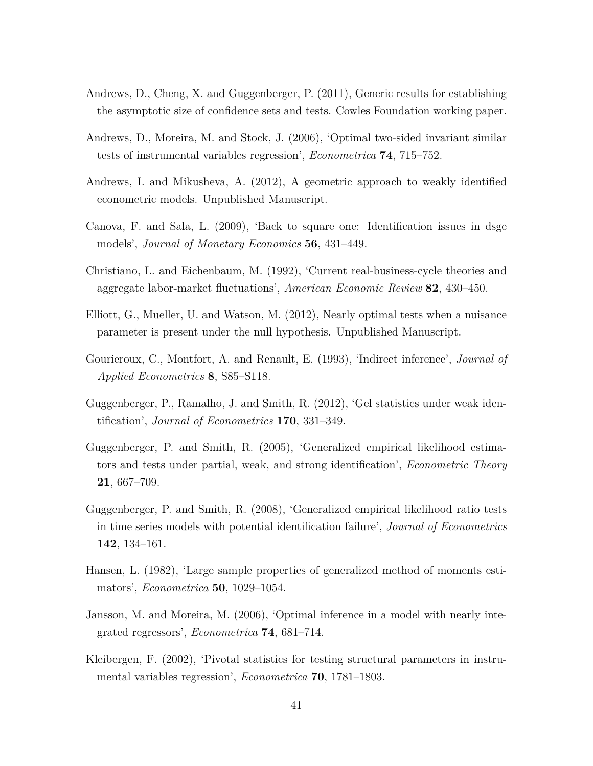- Andrews, D., Cheng, X. and Guggenberger, P. (2011), Generic results for establishing the asymptotic size of confidence sets and tests. Cowles Foundation working paper.
- Andrews, D., Moreira, M. and Stock, J. (2006), 'Optimal two-sided invariant similar tests of instrumental variables regression', *Econometrica* **74**, 715–752.
- Andrews, I. and Mikusheva, A. (2012), A geometric approach to weakly identified econometric models. Unpublished Manuscript.
- Canova, F. and Sala, L. (2009), 'Back to square one: Identification issues in dsge models', *Journal of Monetary Economics* **56**, 431–449.
- Christiano, L. and Eichenbaum, M. (1992), 'Current real-business-cycle theories and aggregate labor-market fluctuations', *American Economic Review* **82**, 430–450.
- Elliott, G., Mueller, U. and Watson, M. (2012), Nearly optimal tests when a nuisance parameter is present under the null hypothesis. Unpublished Manuscript.
- Gourieroux, C., Montfort, A. and Renault, E. (1993), 'Indirect inference', *Journal of Applied Econometrics* **8**, S85–S118.
- Guggenberger, P., Ramalho, J. and Smith, R. (2012), 'Gel statistics under weak identification', *Journal of Econometrics* **170**, 331–349.
- Guggenberger, P. and Smith, R. (2005), 'Generalized empirical likelihood estimators and tests under partial, weak, and strong identification', *Econometric Theory* **21**, 667–709.
- Guggenberger, P. and Smith, R. (2008), 'Generalized empirical likelihood ratio tests in time series models with potential identification failure', *Journal of Econometrics* **142**, 134–161.
- Hansen, L. (1982), 'Large sample properties of generalized method of moments estimators', *Econometrica* **50**, 1029–1054.
- Jansson, M. and Moreira, M. (2006), 'Optimal inference in a model with nearly integrated regressors', *Econometrica* **74**, 681–714.
- Kleibergen, F. (2002), 'Pivotal statistics for testing structural parameters in instrumental variables regression', *Econometrica* **70**, 1781–1803.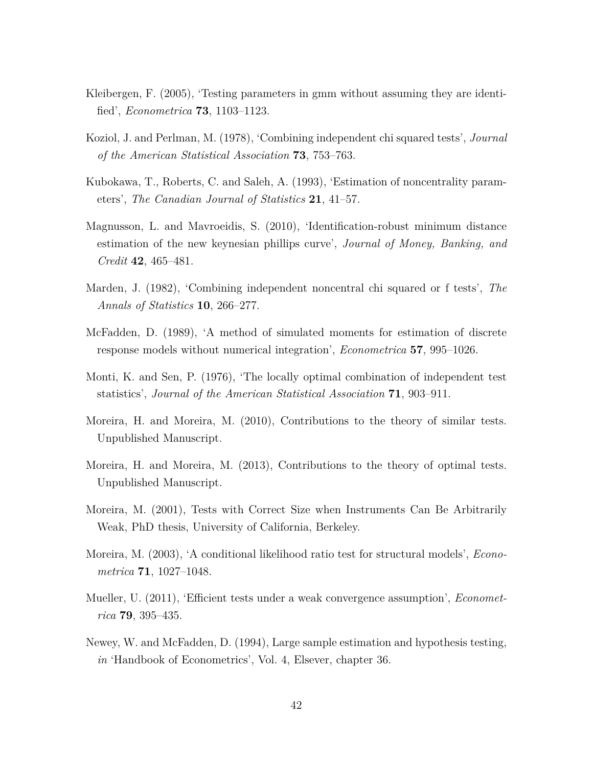- Kleibergen, F. (2005), 'Testing parameters in gmm without assuming they are identified', *Econometrica* **73**, 1103–1123.
- Koziol, J. and Perlman, M. (1978), 'Combining independent chi squared tests', *Journal of the American Statistical Association* **73**, 753–763.
- Kubokawa, T., Roberts, C. and Saleh, A. (1993), 'Estimation of noncentrality parameters', *The Canadian Journal of Statistics* **21**, 41–57.
- Magnusson, L. and Mavroeidis, S. (2010), 'Identification-robust minimum distance estimation of the new keynesian phillips curve', *Journal of Money, Banking, and Credit* **42**, 465–481.
- Marden, J. (1982), 'Combining independent noncentral chi squared or f tests', *The Annals of Statistics* **10**, 266–277.
- McFadden, D. (1989), 'A method of simulated moments for estimation of discrete response models without numerical integration', *Econometrica* **57**, 995–1026.
- Monti, K. and Sen, P. (1976), 'The locally optimal combination of independent test statistics', *Journal of the American Statistical Association* **71**, 903–911.
- Moreira, H. and Moreira, M. (2010), Contributions to the theory of similar tests. Unpublished Manuscript.
- Moreira, H. and Moreira, M. (2013), Contributions to the theory of optimal tests. Unpublished Manuscript.
- Moreira, M. (2001), Tests with Correct Size when Instruments Can Be Arbitrarily Weak, PhD thesis, University of California, Berkeley.
- Moreira, M. (2003), 'A conditional likelihood ratio test for structural models', *Econometrica* **71**, 1027–1048.
- Mueller, U. (2011), 'Efficient tests under a weak convergence assumption', *Econometrica* **79**, 395–435.
- Newey, W. and McFadden, D. (1994), Large sample estimation and hypothesis testing, *in* 'Handbook of Econometrics', Vol. 4, Elsever, chapter 36.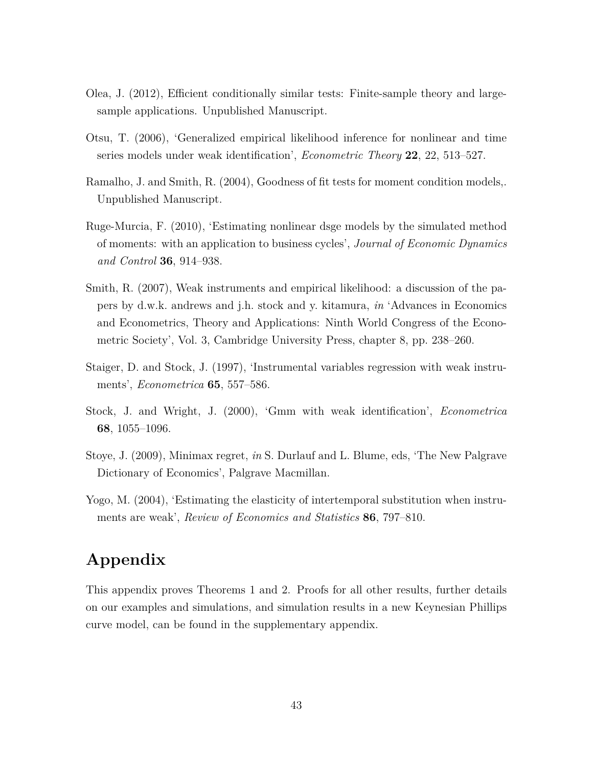- Olea, J. (2012), Efficient conditionally similar tests: Finite-sample theory and largesample applications. Unpublished Manuscript.
- Otsu, T. (2006), 'Generalized empirical likelihood inference for nonlinear and time series models under weak identification', *Econometric Theory* **22**, 22, 513–527.
- Ramalho, J. and Smith, R. (2004), Goodness of fit tests for moment condition models,. Unpublished Manuscript.
- Ruge-Murcia, F. (2010), 'Estimating nonlinear dsge models by the simulated method of moments: with an application to business cycles', *Journal of Economic Dynamics and Control* **36**, 914–938.
- Smith, R. (2007), Weak instruments and empirical likelihood: a discussion of the papers by d.w.k. andrews and j.h. stock and y. kitamura, *in* 'Advances in Economics and Econometrics, Theory and Applications: Ninth World Congress of the Econometric Society', Vol. 3, Cambridge University Press, chapter 8, pp. 238–260.
- Staiger, D. and Stock, J. (1997), 'Instrumental variables regression with weak instruments', *Econometrica* **65**, 557–586.
- Stock, J. and Wright, J. (2000), 'Gmm with weak identification', *Econometrica* **68**, 1055–1096.
- Stoye, J. (2009), Minimax regret, *in* S. Durlauf and L. Blume, eds, 'The New Palgrave Dictionary of Economics', Palgrave Macmillan.
- Yogo, M. (2004), 'Estimating the elasticity of intertemporal substitution when instruments are weak', *Review of Economics and Statistics* **86**, 797–810.

# **Appendix**

This appendix proves Theorems 1 and 2. Proofs for all other results, further details on our examples and simulations, and simulation results in a new Keynesian Phillips curve model, can be found in the supplementary appendix.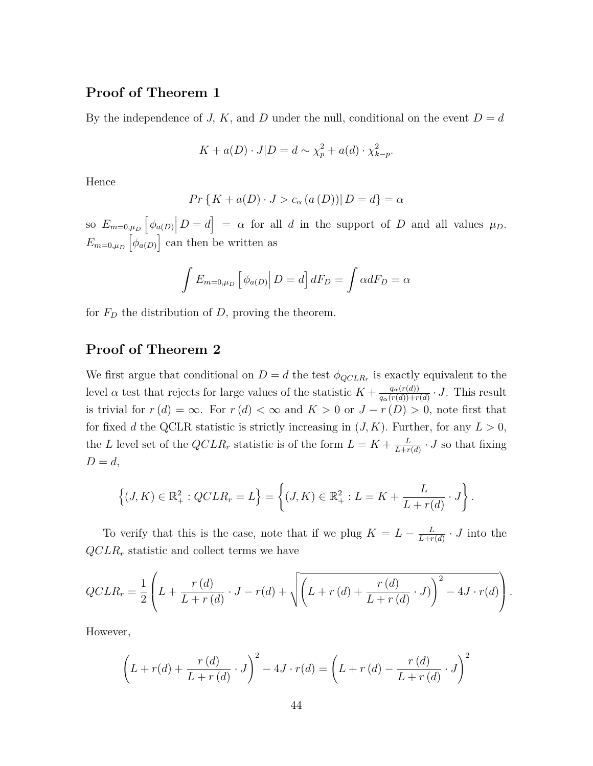#### **Proof of Theorem 1**

By the independence of *J, K,* and *D* under the null, conditional on the event  $D = d$ 

$$
K + a(D) \cdot J|D = d \sim \chi_p^2 + a(d) \cdot \chi_{k-p}^2.
$$

Hence

$$
Pr\{K + a(D) \cdot J > c_{\alpha}(a(D)) | D = d\} = \alpha
$$

 $\sup_{m=0,\mu_D} \left[ \phi_{a(D)} \middle| D=d \right] = \alpha$  for all *d* in the support of *D* and all values  $\mu_D$ .  $E_{m=0,\mu_D} \left[ \phi_{a(D)} \right]$  can then be written as

$$
\int E_{m=0,\mu_D} \left[ \phi_{a(D)} \right| D = d \left] dF_D = \int \alpha dF_D = \alpha
$$

for  $F<sub>D</sub>$  the distribution of  $D$ , proving the theorem.

#### **Proof of Theorem 2**

We first argue that conditional on  $D = d$  the test  $\phi_{QCLR_r}$  is exactly equivalent to the level *α* test that rejects for large values of the statistic  $K + \frac{q_{\alpha}(r(d))}{q_{\alpha}(r(d)) + r}$  $\frac{q_{\alpha}(r(d))}{q_{\alpha}(r(d))+r(d)} \cdot J$ . This result is trivial for  $r(d) = \infty$ . For  $r(d) < \infty$  and  $K > 0$  or  $J - r(D) > 0$ , note first that for fixed *d* the QCLR statistic is strictly increasing in  $(J, K)$ . Further, for any  $L > 0$ , the *L* level set of the  $QCLR_r$  statistic is of the form  $L = K + \frac{L}{L+r}$  $\frac{L}{L+r(d)} \cdot J$  so that fixing  $D=d,$ 

$$
\left\{ (J,K) \in \mathbb{R}_+^2 : QCLR_r = L \right\} = \left\{ (J,K) \in \mathbb{R}_+^2 : L = K + \frac{L}{L + r(d)} \cdot J \right\}.
$$

To verify that this is the case, note that if we plug  $K = L - \frac{L}{L + r}$  $\frac{L}{L+r(d)} \cdot J$  into the *QCLR<sup>r</sup>* statistic and collect terms we have

$$
QCLR_r = \frac{1}{2} \left( L + \frac{r(d)}{L + r(d)} \cdot J - r(d) + \sqrt{\left( L + r(d) + \frac{r(d)}{L + r(d)} \cdot J \right)^2 - 4J \cdot r(d)} \right).
$$

However,

$$
\left(L + r(d) + \frac{r(d)}{L + r(d)} \cdot J\right)^2 - 4J \cdot r(d) = \left(L + r(d) - \frac{r(d)}{L + r(d)} \cdot J\right)^2
$$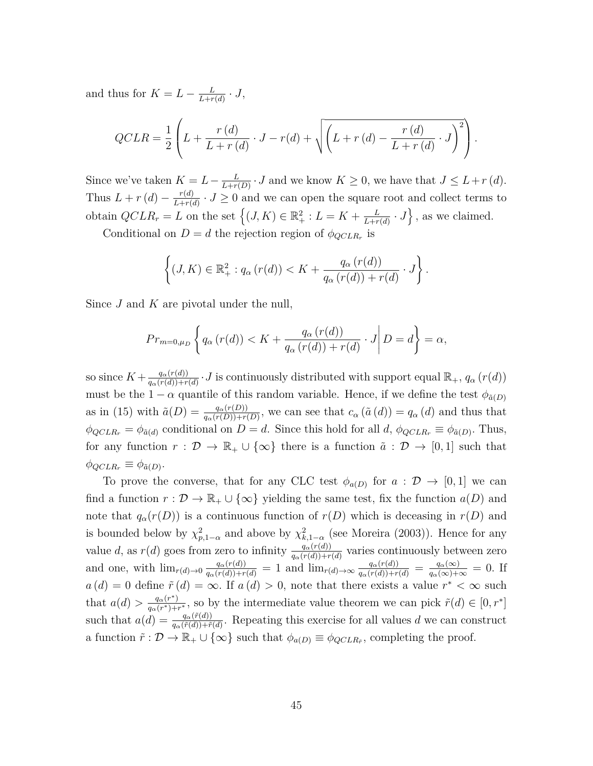and thus for  $K = L - \frac{L}{L+r}$  $\frac{L}{L+r(d)}\cdot J,$ 

$$
QCLR = \frac{1}{2} \left( L + \frac{r(d)}{L + r(d)} \cdot J - r(d) + \sqrt{\left( L + r(d) - \frac{r(d)}{L + r(d)} \cdot J \right)^2} \right).
$$

Since we've taken  $K = L - \frac{L}{L + r}$  $\frac{L}{L+r(D)} \cdot J$  and we know  $K \geq 0$ , we have that  $J \leq L+r(d)$ . Thus  $L + r(d) - \frac{r(d)}{L + r(d)}$  $\frac{r(d)}{L+r(d)} \cdot J \geq 0$  and we can open the square root and collect terms to obtain  $QCLR_r = L$  on the set  $\left\{ (J, K) \in \mathbb{R}_+^2 : L = K + \frac{L}{L+r}$  $\left\{\frac{L}{L+r(d)} \cdot J\right\}$ , as we claimed.

Conditional on  $D = d$  the rejection region of  $\phi_{QCLR_r}$  is

$$
\left\{(J,K)\in\mathbb{R}^2_+: q_\alpha(r(d)) < K + \frac{q_\alpha(r(d))}{q_\alpha(r(d)) + r(d)} \cdot J\right\}.
$$

Since *J* and *K* are pivotal under the null,

$$
Pr_{m=0,\mu_D}\left\{q_\alpha\left(r(d)\right)
$$

so since  $K + \frac{q_{\alpha}(r(d))}{q_{\alpha}(r(d)) + r}$  $\frac{q_a(r(d))}{q_a(r(d))+r(d)} \cdot J$  is continuously distributed with support equal  $\mathbb{R}_+$ ,  $q_\alpha(r(d))$ must be the  $1 - \alpha$  quantile of this random variable. Hence, if we define the test  $\phi_{\tilde{a}(D)}$ as in (15) with  $\tilde{a}(D) = \frac{q_{\alpha}(r(D))}{q_{\alpha}(r(D))+r(D)}$ , we can see that  $c_{\alpha}(\tilde{a}(d)) = q_{\alpha}(d)$  and thus that  $\phi_{QCLR_r} = \phi_{\tilde{a}(d)}$  conditional on  $D = d$ . Since this hold for all *d*,  $\phi_{QCLR_r} \equiv \phi_{\tilde{a}(D)}$ . Thus, for any function  $r : \mathcal{D} \to \mathbb{R}_+ \cup \{\infty\}$  there is a function  $\tilde{a} : \mathcal{D} \to [0,1]$  such that  $\phi_{QCLR_r} \equiv \phi_{\tilde{a}(D)}$ .

To prove the converse, that for any CLC test  $\phi_{a(D)}$  for  $a: \mathcal{D} \to [0,1]$  we can find a function  $r : \mathcal{D} \to \mathbb{R}_+ \cup \{\infty\}$  yielding the same test, fix the function  $a(D)$  and note that  $q_\alpha(r(D))$  is a continuous function of  $r(D)$  which is deceasing in  $r(D)$  and is bounded below by  $\chi^2_{p,1-\alpha}$  and above by  $\chi^2_{k,1-\alpha}$  (see Moreira (2003)). Hence for any value *d*, as  $r(d)$  goes from zero to infinity  $\frac{q_{\alpha}(r(d))}{q_{\alpha}(r(d)) + r(d)}$  varies continuously between zero and one, with  $\lim_{r(d)\to 0} \frac{q_{\alpha}(r(d))}{q_{\alpha}(r(d))+r(d)} = 1$  and  $\lim_{r(d)\to \infty} \frac{q_{\alpha}(r(d))}{q_{\alpha}(r(d))+r(d)} = \frac{q_{\alpha}(\infty)}{q_{\alpha}(\infty)+\infty} = 0$ . If  $a(d) = 0$  define  $\tilde{r}(d) = \infty$ . If  $a(d) > 0$ , note that there exists a value  $r^* < \infty$  such that  $a(d) > \frac{q_{\alpha}(r^*)}{q_{\alpha}(r^*)+1}$  $\frac{q_{\alpha}(r^*)}{q_{\alpha}(r^*)+r^*}$ , so by the intermediate value theorem we can pick  $\tilde{r}(d) \in [0, r^*]$ such that  $a(d) = \frac{q_{\alpha}(\tilde{r}(d))}{q_{\alpha}(\tilde{r}(d)) + \tilde{r}(d)}$ . Repeating this exercise for all values *d* we can construct a function  $\tilde{r}: \mathcal{D} \to \mathbb{R}_+ \cup \{\infty\}$  such that  $\phi_{a(D)} \equiv \phi_{QCLR_{\tilde{r}}}$ , completing the proof.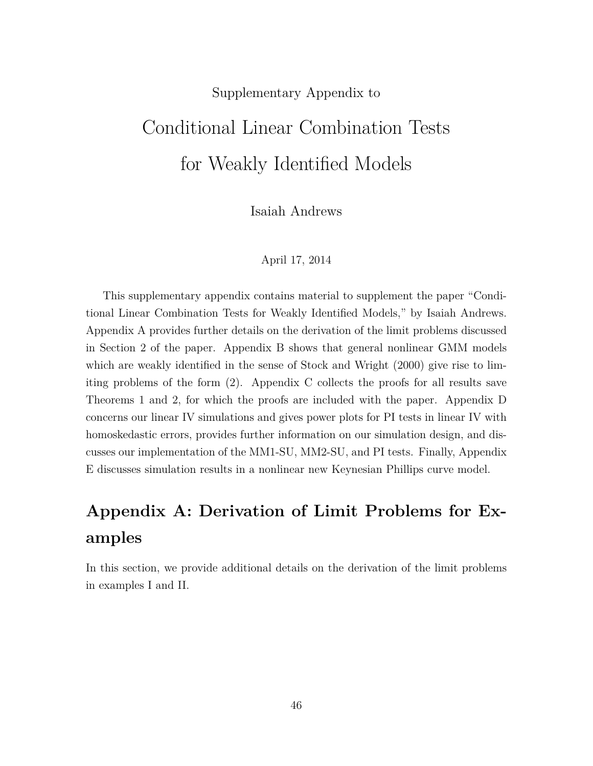#### Supplementary Appendix to

# Conditional Linear Combination Tests for Weakly Identified Models

Isaiah Andrews

#### April 17, 2014

This supplementary appendix contains material to supplement the paper "Conditional Linear Combination Tests for Weakly Identified Models," by Isaiah Andrews. Appendix A provides further details on the derivation of the limit problems discussed in Section 2 of the paper. Appendix B shows that general nonlinear GMM models which are weakly identified in the sense of Stock and Wright (2000) give rise to limiting problems of the form (2). Appendix C collects the proofs for all results save Theorems 1 and 2, for which the proofs are included with the paper. Appendix D concerns our linear IV simulations and gives power plots for PI tests in linear IV with homoskedastic errors, provides further information on our simulation design, and discusses our implementation of the MM1-SU, MM2-SU, and PI tests. Finally, Appendix E discusses simulation results in a nonlinear new Keynesian Phillips curve model.

# **Appendix A: Derivation of Limit Problems for Examples**

In this section, we provide additional details on the derivation of the limit problems in examples I and II.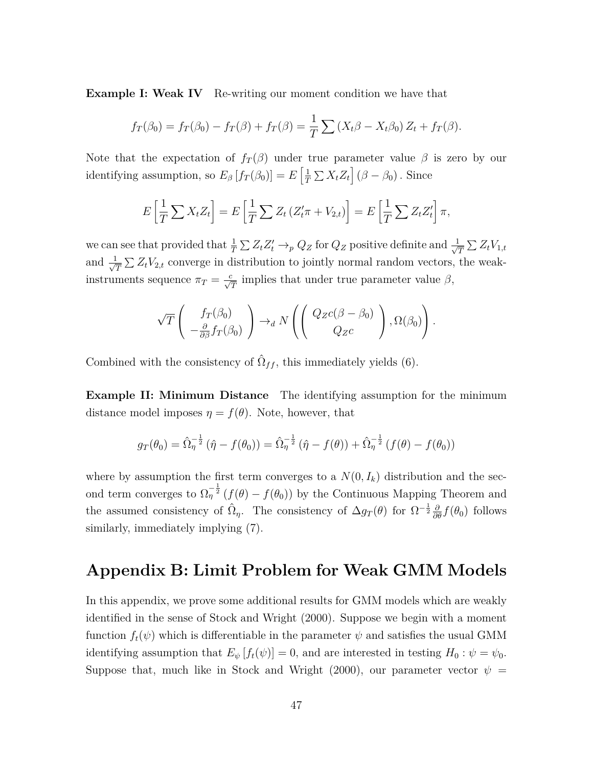**Example I: Weak IV** Re-writing our moment condition we have that

$$
f_T(\beta_0) = f_T(\beta_0) - f_T(\beta) + f_T(\beta) = \frac{1}{T} \sum (X_t \beta - X_t \beta_0) Z_t + f_T(\beta).
$$

Note that the expectation of  $f_T(\beta)$  under true parameter value  $\beta$  is zero by our identifying assumption, so  $E_\beta[f_T(\beta_0)] = E\left[\frac{1}{T}\right]$  $\frac{1}{T} \sum X_t Z_t \mid (\beta - \beta_0)$ . Since

$$
E\left[\frac{1}{T}\sum X_t Z_t\right] = E\left[\frac{1}{T}\sum Z_t \left(Z_t'\pi + V_{2,t}\right)\right] = E\left[\frac{1}{T}\sum Z_t Z_t'\right]\pi,
$$

we can see that provided that  $\frac{1}{T} \sum Z_t Z_t' \to_p Q_Z$  for  $Q_Z$  positive definite and  $\frac{1}{\sqrt{2\pi}}$  $\frac{1}{\overline{T}}\sum Z_t V_{1,t}$ and  $\frac{1}{\sqrt{2}}$  $\frac{1}{T} \sum Z_t V_{2,t}$  converge in distribution to jointly normal random vectors, the weakinstruments sequence  $\pi_T = \frac{c}{\sqrt{T}}$  implies that under true parameter value  $\beta$ ,

$$
\sqrt{T}\left(\begin{array}{c} f_T(\beta_0) \\ -\frac{\partial}{\partial \beta} f_T(\beta_0) \end{array}\right) \rightarrow_d N\left(\begin{pmatrix} Q_Z c(\beta-\beta_0) \\ Q_Z c \end{pmatrix}, \Omega(\beta_0)\right).
$$

Combined with the consistency of  $\hat{\Omega}_{ff}$ , this immediately yields (6).

**Example II: Minimum Distance** The identifying assumption for the minimum distance model imposes  $\eta = f(\theta)$ . Note, however, that

$$
g_T(\theta_0) = \hat{\Omega}_\eta^{-\frac{1}{2}} (\hat{\eta} - f(\theta_0)) = \hat{\Omega}_\eta^{-\frac{1}{2}} (\hat{\eta} - f(\theta)) + \hat{\Omega}_\eta^{-\frac{1}{2}} (f(\theta) - f(\theta_0))
$$

where by assumption the first term converges to a  $N(0, I_k)$  distribution and the second term converges to  $\Omega_{\eta}^{-\frac{1}{2}}(f(\theta) - f(\theta_0))$  by the Continuous Mapping Theorem and the assumed consistency of  $\hat{\Omega}_{\eta}$ . The consistency of  $\Delta g_T(\theta)$  for  $\Omega^{-\frac{1}{2}}\frac{\partial}{\partial \theta}f(\theta_0)$  follows similarly, immediately implying (7).

### **Appendix B: Limit Problem for Weak GMM Models**

In this appendix, we prove some additional results for GMM models which are weakly identified in the sense of Stock and Wright (2000). Suppose we begin with a moment function  $f_t(\psi)$  which is differentiable in the parameter  $\psi$  and satisfies the usual GMM identifying assumption that  $E_{\psi}[f_t(\psi)] = 0$ , and are interested in testing  $H_0: \psi = \psi_0$ . Suppose that, much like in Stock and Wright (2000), our parameter vector  $\psi$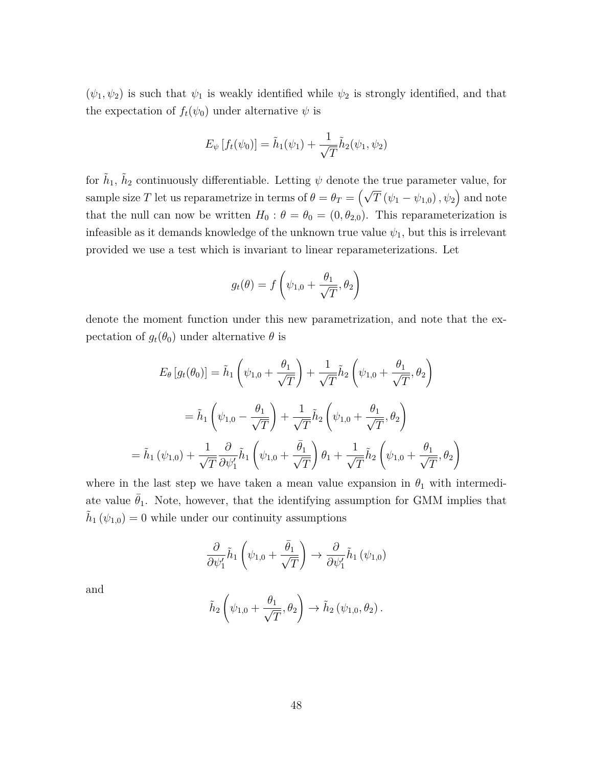$(\psi_1, \psi_2)$  is such that  $\psi_1$  is weakly identified while  $\psi_2$  is strongly identified, and that the expectation of  $f_t(\psi_0)$  under alternative  $\psi$  is

$$
E_{\psi}[f_t(\psi_0)] = \tilde{h}_1(\psi_1) + \frac{1}{\sqrt{T}} \tilde{h}_2(\psi_1, \psi_2)
$$

for  $\tilde{h}_1$ ,  $\tilde{h}_2$  continuously differentiable. Letting  $\psi$  denote the true parameter value, for sample size *T* let us reparametrize in terms of  $\theta = \theta_T = (\sqrt{T} (\psi_1 - \psi_{1,0}), \psi_2)$  and note that the null can now be written  $H_0: \theta = \theta_0 = (0, \theta_{2,0})$ . This reparameterization is infeasible as it demands knowledge of the unknown true value  $\psi_1$ , but this is irrelevant provided we use a test which is invariant to linear reparameterizations. Let

$$
g_t(\theta) = f\left(\psi_{1,0} + \frac{\theta_1}{\sqrt{T}}, \theta_2\right)
$$

denote the moment function under this new parametrization, and note that the expectation of  $g_t(\theta_0)$  under alternative  $\theta$  is

$$
E_{\theta}[g_t(\theta_0)] = \tilde{h}_1\left(\psi_{1,0} + \frac{\theta_1}{\sqrt{T}}\right) + \frac{1}{\sqrt{T}}\tilde{h}_2\left(\psi_{1,0} + \frac{\theta_1}{\sqrt{T}}, \theta_2\right)
$$

$$
= \tilde{h}_1\left(\psi_{1,0} - \frac{\theta_1}{\sqrt{T}}\right) + \frac{1}{\sqrt{T}}\tilde{h}_2\left(\psi_{1,0} + \frac{\theta_1}{\sqrt{T}}, \theta_2\right)
$$

$$
= \tilde{h}_1(\psi_{1,0}) + \frac{1}{\sqrt{T}}\frac{\partial}{\partial \psi_1'}\tilde{h}_1\left(\psi_{1,0} + \frac{\bar{\theta}_1}{\sqrt{T}}\right)\theta_1 + \frac{1}{\sqrt{T}}\tilde{h}_2\left(\psi_{1,0} + \frac{\theta_1}{\sqrt{T}}, \theta_2\right)
$$

where in the last step we have taken a mean value expansion in  $\theta_1$  with intermediate value  $\bar{\theta}_1$ . Note, however, that the identifying assumption for GMM implies that  $\tilde{h}_1(\psi_{1,0}) = 0$  while under our continuity assumptions

$$
\frac{\partial}{\partial \psi_1'} \tilde{h}_1 \left( \psi_{1,0} + \frac{\bar{\theta}_1}{\sqrt{T}} \right) \rightarrow \frac{\partial}{\partial \psi_1'} \tilde{h}_1 \left( \psi_{1,0} \right)
$$

and

$$
\tilde{h}_2\left(\psi_{1,0} + \frac{\theta_1}{\sqrt{T}}, \theta_2\right) \to \tilde{h}_2\left(\psi_{1,0}, \theta_2\right).
$$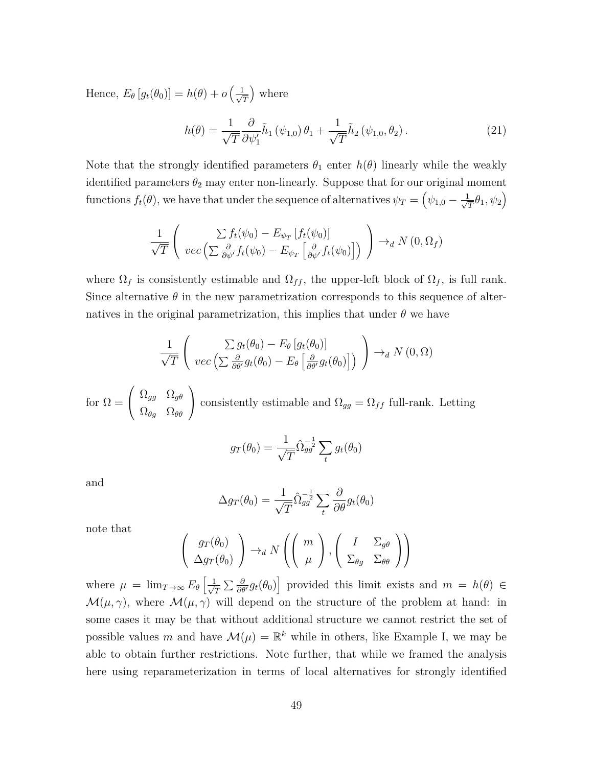Hence,  $E_{\theta}[g_t(\theta_0)] = h(\theta) + o\left(\frac{1}{\sqrt{\theta}}\right)$ *T* where

$$
h(\theta) = \frac{1}{\sqrt{T}} \frac{\partial}{\partial \psi_1'} \tilde{h}_1(\psi_{1,0}) \theta_1 + \frac{1}{\sqrt{T}} \tilde{h}_2(\psi_{1,0}, \theta_2).
$$
 (21)

Note that the strongly identified parameters  $\theta_1$  enter  $h(\theta)$  linearly while the weakly identified parameters  $\theta_2$  may enter non-linearly. Suppose that for our original moment functions  $f_t(\theta)$ , we have that under the sequence of alternatives  $\psi_T = \left(\psi_{1,0} - \frac{1}{\sqrt{\theta}}\right)$  $\frac{1}{\overline{T}}\theta_1, \psi_2\Big)$ 

$$
\frac{1}{\sqrt{T}}\left(\begin{array}{c}\sum f_t(\psi_0)-E_{\psi_T}\left[f_t(\psi_0)\right]\\\vec{\psi_C}\left(\sum \frac{\partial}{\partial \psi'}f_t(\psi_0)-E_{\psi_T}\left[\frac{\partial}{\partial \psi'}f_t(\psi_0)\right]\right)\end{array}\right)\to_d N(0,\Omega_f)
$$

where  $\Omega_f$  is consistently estimable and  $\Omega_{ff}$ , the upper-left block of  $\Omega_f$ , is full rank. Since alternative  $\theta$  in the new parametrization corresponds to this sequence of alternatives in the original parametrization, this implies that under  $\theta$  we have

$$
\frac{1}{\sqrt{T}}\left(\begin{array}{c}\sum g_t(\theta_0) - E_{\theta}\left[g_t(\theta_0)\right] \\ vec\left(\sum \frac{\partial}{\partial \theta'} g_t(\theta_0) - E_{\theta}\left[\frac{\partial}{\partial \theta'} g_t(\theta_0)\right]\right)\end{array}\right) \rightarrow_d N(0, \Omega)
$$

for  $\Omega =$  $\sqrt{ }$  $\mathcal{L}$ Ω*gg* Ω*gθ*  $\Omega_{\theta g}$   $\Omega_{\theta \theta}$  $\setminus$ consistently estimable and  $\Omega_{gg} = \Omega_{ff}$  full-rank. Letting

$$
g_T(\theta_0) = \frac{1}{\sqrt{T}} \hat{\Omega}_{gg}^{-\frac{1}{2}} \sum_t g_t(\theta_0)
$$

and

$$
\Delta g_T(\theta_0) = \frac{1}{\sqrt{T}} \hat{\Omega}_{gg}^{-\frac{1}{2}} \sum_t \frac{\partial}{\partial \theta} g_t(\theta_0)
$$

note that

$$
\left(\begin{array}{c} gr(\theta_0) \\ \Delta gr(\theta_0) \end{array}\right) \rightarrow_d N \left( \left(\begin{array}{c} m \\ \mu \end{array}\right), \left(\begin{array}{cc} I & \Sigma_{g\theta} \\ \Sigma_{\theta g} & \Sigma_{\theta \theta} \end{array}\right) \right)
$$

where  $\mu = \lim_{T \to \infty} E_{\theta} \left[ \frac{1}{\sqrt{\theta}} \right]$  $\frac{1}{T} \sum \frac{\partial}{\partial \theta'} g_t(\theta_0)$  provided this limit exists and  $m = h(\theta) \in$  $\mathcal{M}(\mu, \gamma)$ , where  $\mathcal{M}(\mu, \gamma)$  will depend on the structure of the problem at hand: in some cases it may be that without additional structure we cannot restrict the set of possible values *m* and have  $\mathcal{M}(\mu) = \mathbb{R}^k$  while in others, like Example I, we may be able to obtain further restrictions. Note further, that while we framed the analysis here using reparameterization in terms of local alternatives for strongly identified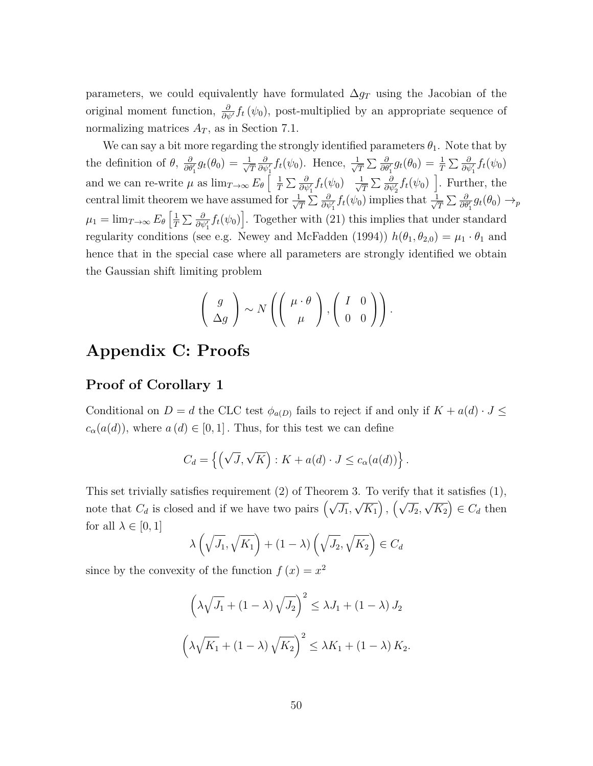parameters, we could equivalently have formulated ∆*g<sup>T</sup>* using the Jacobian of the original moment function,  $\frac{\partial}{\partial \psi'} f_t(\psi_0)$ , post-multiplied by an appropriate sequence of normalizing matrices  $A_T$ , as in Section 7.1.

We can say a bit more regarding the strongly identified parameters  $\theta_1$ . Note that by the definition of  $\theta$ ,  $\frac{\partial}{\partial \theta_1'} g_t(\theta_0) = \frac{1}{\sqrt{\theta}}$ *T*  $\frac{\partial}{\partial \psi_1'} f_t(\psi_0)$ . Hence,  $\frac{1}{\sqrt{2}}$  $\frac{1}{T} \sum \frac{\partial}{\partial \theta_1'} g_t(\theta_0) = \frac{1}{T} \sum \frac{\partial}{\partial \psi_1'} f_t(\psi_0)$ and we can re-write  $\mu$  as  $\lim_{T\to\infty} E_\theta \left[ \frac{1}{T} \right]$  $\frac{1}{T}\sum \frac{\partial}{\partial \psi'_1} f_t(\psi_0)$   $\frac{1}{\sqrt{2}}$ central limit theorem we have assumed for  $\frac{1}{\sqrt{\pi}}\sum_{\beta} \frac{\partial}{\partial \psi'} f_t(\psi_0)$  implies  $\frac{\partial}{\partial \psi_2} f_t(\psi_0)$  ]. Further, the  $\frac{1}{T} \sum \frac{\partial}{\partial \psi_1'} f_t(\psi_0)$  implies that  $\frac{1}{\sqrt{2}}$  $\frac{\partial}{\partial \theta_1^{\prime}} g_t(\theta_0) \rightarrow_p$  $\mu_1 = \lim_{T \to \infty} E_\theta \left[ \frac{1}{T} \right]$  $\frac{1}{T} \sum \frac{\partial}{\partial \psi_1'} f_t(\psi_0)$ . Together with (21) this implies that under standard regularity conditions (see e.g. Newey and McFadden (1994))  $h(\theta_1, \theta_{2,0}) = \mu_1 \cdot \theta_1$  and hence that in the special case where all parameters are strongly identified we obtain the Gaussian shift limiting problem

$$
\left(\begin{array}{c}g\\ \Delta g\end{array}\right)\sim N\left(\left(\begin{array}{c}\mu\cdot\theta\\ \mu\end{array}\right),\left(\begin{array}{cc}I&0\\0&0\end{array}\right)\right).
$$

## **Appendix C: Proofs**

#### **Proof of Corollary 1**

Conditional on  $D = d$  the CLC test  $\phi_{a(D)}$  fails to reject if and only if  $K + a(d) \cdot J \leq d$  $c_{\alpha}(a(d))$ , where  $a(d) \in [0,1]$ . Thus, for this test we can define

$$
C_d = \left\{ \left( \sqrt{J}, \sqrt{K} \right) : K + a(d) \cdot J \le c_\alpha(a(d)) \right\}.
$$

This set trivially satisfies requirement (2) of Theorem 3. To verify that it satisfies (1), note that  $C_d$  is closed and if we have two pairs  $(\sqrt{J_1},$ √  $\overline{K_1}$ ,  $(\sqrt{J_2},$ √  $\overline{K_2}$   $\in$  *C*<sup>*d*</sup> then for all  $\lambda \in [0, 1]$ 

$$
\lambda\left(\sqrt{J_1}, \sqrt{K_1}\right) + (1 - \lambda)\left(\sqrt{J_2}, \sqrt{K_2}\right) \in C_d
$$

since by the convexity of the function  $f(x) = x^2$ 

$$
\left(\lambda\sqrt{J_1} + (1-\lambda)\sqrt{J_2}\right)^2 \le \lambda J_1 + (1-\lambda) J_2
$$

$$
\left(\lambda\sqrt{K_1} + (1-\lambda)\sqrt{K_2}\right)^2 \le \lambda K_1 + (1-\lambda) K_2.
$$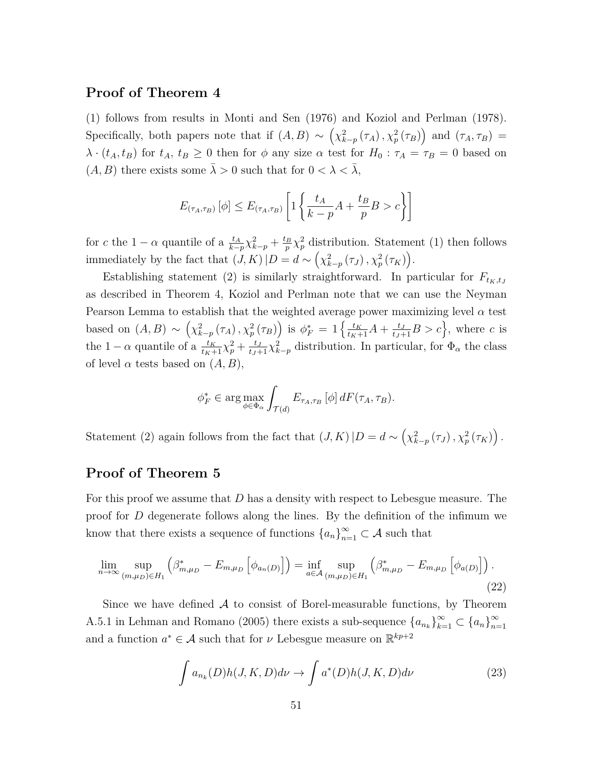#### **Proof of Theorem 4**

(1) follows from results in Monti and Sen (1976) and Koziol and Perlman (1978). Specifically, both papers note that if  $(A, B) \sim (\chi^2_{k-p}(\tau_A), \chi^2_p(\tau_B))$  and  $(\tau_A, \tau_B)$  $\lambda \cdot (t_A, t_B)$  for  $t_A, t_B \geq 0$  then for  $\phi$  any size  $\alpha$  test for  $H_0: \tau_A = \tau_B = 0$  based on (*A, B*) there exists some  $\bar{\lambda} > 0$  such that for  $0 < \lambda < \bar{\lambda}$ ,

$$
E_{(\tau_A, \tau_B)} [\phi] \le E_{(\tau_A, \tau_B)} \left[ 1 \left\{ \frac{t_A}{k - p} A + \frac{t_B}{p} B > c \right\} \right]
$$

for *c* the 1 –  $\alpha$  quantile of a  $\frac{t_A}{k-p} \chi^2_{k-p} + \frac{t_B}{p}$  $\frac{p}{p} \chi_p^2$  distribution. Statement (1) then follows immediately by the fact that  $(J, K) | D = d \sim (\chi^2_{k-p}(\tau_J), \chi^2_p(\tau_K)).$ 

Establishing statement (2) is similarly straightforward. In particular for  $F_{t_K,t_J}$ as described in Theorem 4, Koziol and Perlman note that we can use the Neyman Pearson Lemma to establish that the weighted average power maximizing level  $\alpha$  test based on  $(A, B) \sim (\chi_{k-p}^2(\tau_A), \chi_p^2(\tau_B))$  is  $\phi_F^* = 1 \{\frac{t_K}{t_K+1} A + \frac{t_J}{t_J+1} B > c\}$ , where c is the 1 –  $\alpha$  quantile of a  $\frac{t_K}{t_K+1}\chi_p^2 + \frac{t_J}{t_J+1}\chi_{k-p}^2$  distribution. In particular, for  $\Phi_\alpha$  the class of level  $\alpha$  tests based on  $(A, B)$ ,

$$
\phi_F^* \in \arg \max_{\phi \in \Phi_\alpha} \int_{\mathcal{T}(d)} E_{\tau_A, \tau_B} \left[ \phi \right] dF(\tau_A, \tau_B).
$$

Statement (2) again follows from the fact that  $(J, K) | D = d \sim \left( \chi_{k-p}^2(\tau_J), \chi_p^2(\tau_K) \right)$ .

#### **Proof of Theorem 5**

For this proof we assume that *D* has a density with respect to Lebesgue measure. The proof for *D* degenerate follows along the lines. By the definition of the infimum we know that there exists a sequence of functions  ${a_n}_{n=1}^{\infty} \subset A$  such that

$$
\lim_{n \to \infty} \sup_{(m,\mu_D) \in H_1} \left( \beta_{m,\mu_D}^* - E_{m,\mu_D} \left[ \phi_{a_n(D)} \right] \right) = \inf_{a \in \mathcal{A}} \sup_{(m,\mu_D) \in H_1} \left( \beta_{m,\mu_D}^* - E_{m,\mu_D} \left[ \phi_{a(D)} \right] \right).
$$
\n(22)

Since we have defined  $A$  to consist of Borel-measurable functions, by Theorem A.5.1 in Lehman and Romano (2005) there exists a sub-sequence  ${a_{n_k}}_{k=1}^{\infty} \subset {a_n}_{n=1}^{\infty}$ *n*=1 and a function  $a^* \in \mathcal{A}$  such that for  $\nu$  Lebesgue measure on  $\mathbb{R}^{kp+2}$ 

$$
\int a_{n_k}(D)h(J,K,D)d\nu \to \int a^*(D)h(J,K,D)d\nu \tag{23}
$$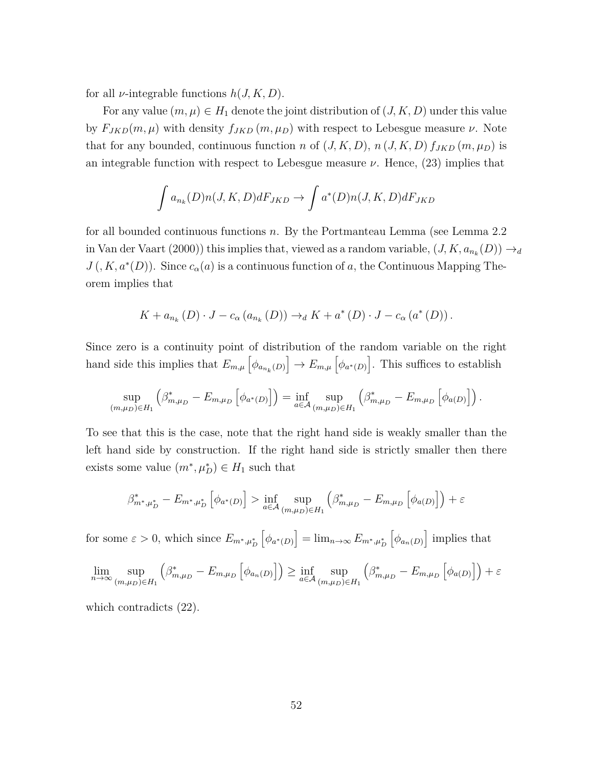for all *ν*-integrable functions *h*(*J, K, D*).

For any value  $(m, \mu) \in H_1$  denote the joint distribution of  $(J, K, D)$  under this value by  $F_{JKD}(m,\mu)$  with density  $f_{JKD}(m,\mu_D)$  with respect to Lebesgue measure  $\nu$ . Note that for any bounded, continuous function *n* of  $(J, K, D)$ ,  $n (J, K, D) f_{JKD} (m, \mu_D)$  is an integrable function with respect to Lebesgue measure  $\nu$ . Hence, (23) implies that

$$
\int a_{n_k}(D)n(J, K, D)dF_{JKD} \to \int a^*(D)n(J, K, D)dF_{JKD}
$$

for all bounded continuous functions *n*. By the Portmanteau Lemma (see Lemma 2.2 in Van der Vaart (2000)) this implies that, viewed as a random variable,  $(J, K, a_{n_k}(D)) \rightarrow_d$  $J(X, a^*(D))$ . Since  $c_{\alpha}(a)$  is a continuous function of *a*, the Continuous Mapping Theorem implies that

$$
K + a_{n_k}(D) \cdot J - c_{\alpha}(a_{n_k}(D)) \rightarrow_d K + a^*(D) \cdot J - c_{\alpha}(a^*(D)).
$$

Since zero is a continuity point of distribution of the random variable on the right hand side this implies that  $E_{m,\mu} \left[ \phi_{a_{n_k}(D)} \right] \to E_{m,\mu} \left[ \phi_{a^*(D)} \right]$ . This suffices to establish

$$
\sup_{(m,\mu_D)\in H_1} \left( \beta^*_{m,\mu_D} - E_{m,\mu_D} \left[ \phi_{a^*(D)} \right] \right) = \inf_{a \in \mathcal{A}} \sup_{(m,\mu_D)\in H_1} \left( \beta^*_{m,\mu_D} - E_{m,\mu_D} \left[ \phi_{a(D)} \right] \right).
$$

To see that this is the case, note that the right hand side is weakly smaller than the left hand side by construction. If the right hand side is strictly smaller then there exists some value  $(m^*, \mu_D^*) \in H_1$  such that

$$
\beta^*_{m^*,\mu_D^*} - E_{m^*,\mu_D^*} \left[ \phi_{a^*(D)} \right] > \inf_{a \in \mathcal{A}} \sup_{(m,\mu_D) \in H_1} \left( \beta^*_{m,\mu_D} - E_{m,\mu_D} \left[ \phi_{a(D)} \right] \right) + \varepsilon
$$

for some  $\varepsilon > 0$ , which since  $E_{m^*, \mu_D^*}$  $\left[ \phi_{a^*(D)} \right] = \lim_{n \to \infty} E_{m^*, \mu_D^*}$  $\left[\phi_{a_n(D)}\right]$  implies that

$$
\lim_{n \to \infty} \sup_{(m,\mu_D) \in H_1} \left( \beta^*_{m,\mu_D} - E_{m,\mu_D} \left[ \phi_{a_n(D)} \right] \right) \ge \inf_{a \in \mathcal{A}} \sup_{(m,\mu_D) \in H_1} \left( \beta^*_{m,\mu_D} - E_{m,\mu_D} \left[ \phi_{a(D)} \right] \right) + \varepsilon
$$

which contradicts  $(22)$ .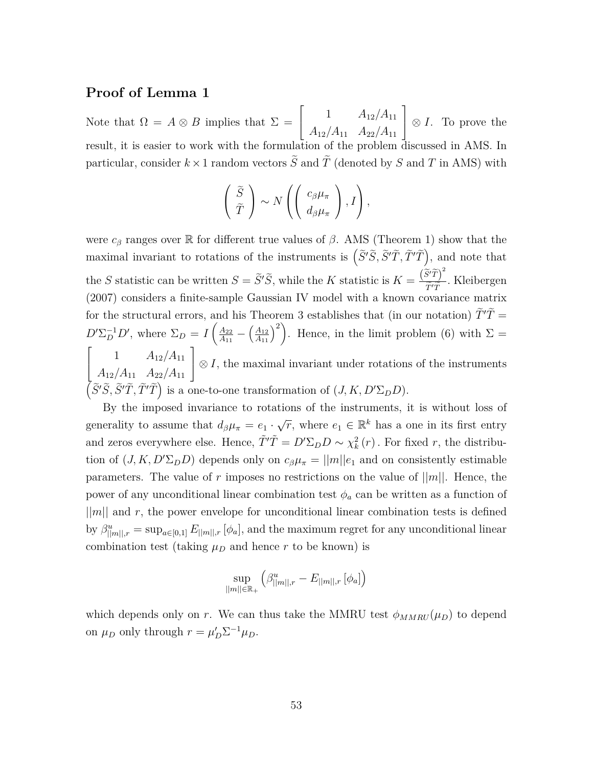#### **Proof of Lemma 1**

Note that  $\Omega = A \otimes B$  implies that  $\Sigma =$  $\lceil$  $\overline{1}$ 1 *A*12*/A*<sup>11</sup> *A*12*/A*<sup>11</sup> *A*22*/A*<sup>11</sup> 1 ⊗ *I*. To prove the result, it is easier to work with the formulation of the problem discussed in AMS. In particular, consider  $k \times 1$  random vectors  $\tilde{S}$  and  $\tilde{T}$  (denoted by  $S$  and  $T$  in AMS) with

$$
\left(\begin{array}{c}\tilde{S}\\\tilde{T}\end{array}\right)\sim N\left(\left(\begin{array}{c}c_{\beta}\mu_{\pi}\\d_{\beta}\mu_{\pi}\end{array}\right),I\right),\,
$$

were  $c_{\beta}$  ranges over R for different true values of  $\beta$ . AMS (Theorem 1) show that the maximal invariant to rotations of the instruments is  $(\tilde{S}'\tilde{S}, \tilde{S}'\tilde{T}, \tilde{T}'\tilde{T})$ , and note that the *S* statistic can be written  $S = \tilde{S}'\tilde{S}$ , while the *K* statistic is  $K = \frac{(\tilde{S}'\tilde{T})^2}{\tilde{T}'\tilde{T}}$ *<sup>T</sup>*e<sup>0</sup>*T*<sup>e</sup> (2007) considers a finite-sample Gaussian IV model with a known covariance matrix *.* Kleibergen for the structural errors, and his Theorem 3 establishes that (in our notation)  $\tilde{T}'\tilde{T} =$  $D' \Sigma_D^{-1} D'$ , where  $\Sigma_D = I \left(\frac{A_{22}}{A_{11}}\right)$  $\frac{A_{22}}{A_{11}} - \left(\frac{A_{12}}{A_{11}}\right)^2$ . Hence, in the limit problem (6) with  $\Sigma =$  $\lceil$  $\overline{\phantom{a}}$ 1  $A_{12}/A_{11}$ *A*12*/A*<sup>11</sup> *A*22*/A*<sup>11</sup> 1  $\in$  *S I*, the maximal invariant under rotations of the instruments  $(\tilde{S}'\tilde{S}, \tilde{S}'\tilde{T}, \tilde{T}'\tilde{T})$  is a one-to-one transformation of  $(J, K, D'\Sigma_D D)$ .

By the imposed invariance to rotations of the instruments, it is without loss of generality to assume that  $d_{\beta}\mu_{\pi} = e_1 \cdot$  $\sqrt{r}$ , where  $e_1 \in \mathbb{R}^k$  has a one in its first entry and zeros everywhere else. Hence,  $\tilde{T}'\tilde{T} = D'\Sigma_D D \sim \chi^2_k(r)$ . For fixed *r*, the distribution of  $(J, K, D' \Sigma_D D)$  depends only on  $c_\beta \mu_\pi = ||m|| e_1$  and on consistently estimable parameters. The value of  $r$  imposes no restrictions on the value of  $||m||$ . Hence, the power of any unconditional linear combination test  $\phi_a$  can be written as a function of  $||m||$  and r, the power envelope for unconditional linear combination tests is defined by  $\beta_{\|m\|,r}^u = \sup_{a \in [0,1]} E_{\|m\|,r} [\phi_a]$ , and the maximum regret for any unconditional linear combination test (taking  $\mu_D$  and hence  $r$  to be known) is

$$
\sup_{||m|| \in \mathbb{R}_+} \left( \beta_{||m||,r}^u - E_{||m||,r} \left[ \phi_a \right] \right)
$$

which depends only on *r*. We can thus take the MMRU test  $\phi_{MMRU}(\mu_D)$  to depend on  $\mu_D$  only through  $r = \mu'_D \Sigma^{-1} \mu_D$ .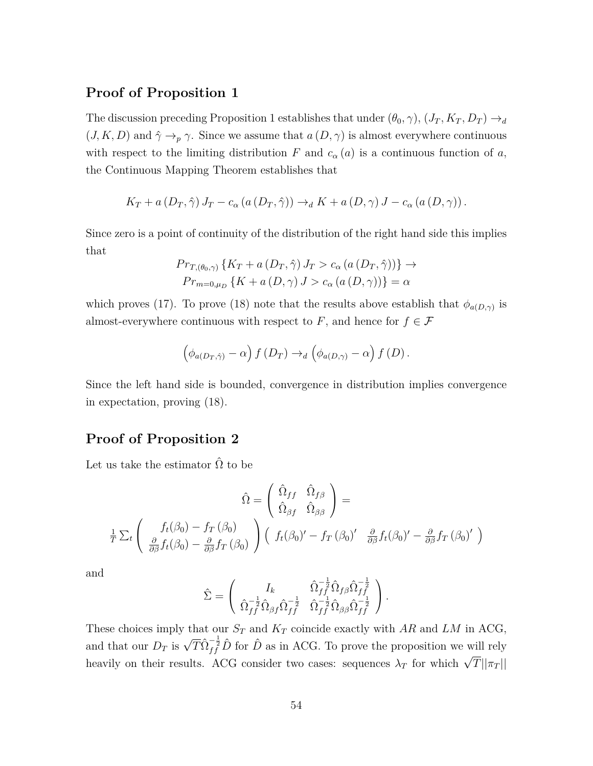#### **Proof of Proposition 1**

The discussion preceding Proposition 1 establishes that under  $(\theta_0, \gamma)$ ,  $(J_T, K_T, D_T) \rightarrow_d$  $(J, K, D)$  and  $\hat{\gamma} \rightarrow_{p} \gamma$ . Since we assume that  $a(D, \gamma)$  is almost everywhere continuous with respect to the limiting distribution *F* and  $c_{\alpha}(a)$  is a continuous function of *a*, the Continuous Mapping Theorem establishes that

$$
K_T + a(D_T, \hat{\gamma}) J_T - c_{\alpha} (a(D_T, \hat{\gamma})) \rightarrow_d K + a(D, \gamma) J - c_{\alpha} (a(D, \gamma)).
$$

Since zero is a point of continuity of the distribution of the right hand side this implies that

$$
Pr_{T, (\theta_0, \gamma)} \{ K_T + a(D_T, \hat{\gamma}) J_T > c_\alpha (a(D_T, \hat{\gamma})) \} \rightarrow
$$
  

$$
Pr_{m=0, \mu_D} \{ K + a(D, \gamma) J > c_\alpha (a(D, \gamma)) \} = \alpha
$$

which proves (17). To prove (18) note that the results above establish that  $\phi_{a(D,\gamma)}$  is almost-everywhere continuous with respect to  $F$ , and hence for  $f \in \mathcal{F}$ 

$$
\left(\phi_{a(D_T,\hat{\gamma})}-\alpha\right)f(D_T)\to_d\left(\phi_{a(D,\gamma)}-\alpha\right)f(D).
$$

Since the left hand side is bounded, convergence in distribution implies convergence in expectation, proving (18).

#### **Proof of Proposition 2**

Let us take the estimator  $\hat{\Omega}$  to be

$$
\hat{\Omega} = \begin{pmatrix} \hat{\Omega}_{ff} & \hat{\Omega}_{f\beta} \\ \hat{\Omega}_{\beta f} & \hat{\Omega}_{\beta \beta} \end{pmatrix} =
$$
\n
$$
\frac{1}{T} \sum_{t} \begin{pmatrix} f_{t}(\beta_{0}) - f_{T}(\beta_{0}) \\ \frac{\partial}{\partial \beta} f_{t}(\beta_{0}) - \frac{\partial}{\partial \beta} f_{T}(\beta_{0}) \end{pmatrix} \begin{pmatrix} f_{t}(\beta_{0})' - f_{T}(\beta_{0})' & \frac{\partial}{\partial \beta} f_{t}(\beta_{0})' - \frac{\partial}{\partial \beta} f_{T}(\beta_{0})' \end{pmatrix}
$$

and

$$
\hat{\Sigma} = \left(\begin{array}{cc} I_k & \hat{\Omega}_{ff}^{-\frac{1}{2}}\hat{\Omega}_{f\beta}\hat{\Omega}_{f\beta}^{-\frac{1}{2}} \\ \hat{\Omega}_{ff}^{-\frac{1}{2}}\hat{\Omega}_{\beta f}\hat{\Omega}_{ff}^{-\frac{1}{2}} & \hat{\Omega}_{ff}^{-\frac{1}{2}}\hat{\Omega}_{\beta \beta}\hat{\Omega}_{ff}^{-\frac{1}{2}} \end{array}\right).
$$

These choices imply that our  $S_T$  and  $K_T$  coincide exactly with  $AR$  and  $LM$  in ACG, and that our  $D_T$  is  $\sqrt{T} \hat{\Omega}_{ff}^{-\frac{1}{2}} \hat{D}$  for  $\hat{D}$  as in ACG. To prove the proposition we will rely heavily on their results. ACG consider two cases: sequences  $\lambda_T$  for which  $\sqrt{T} ||\pi_T||$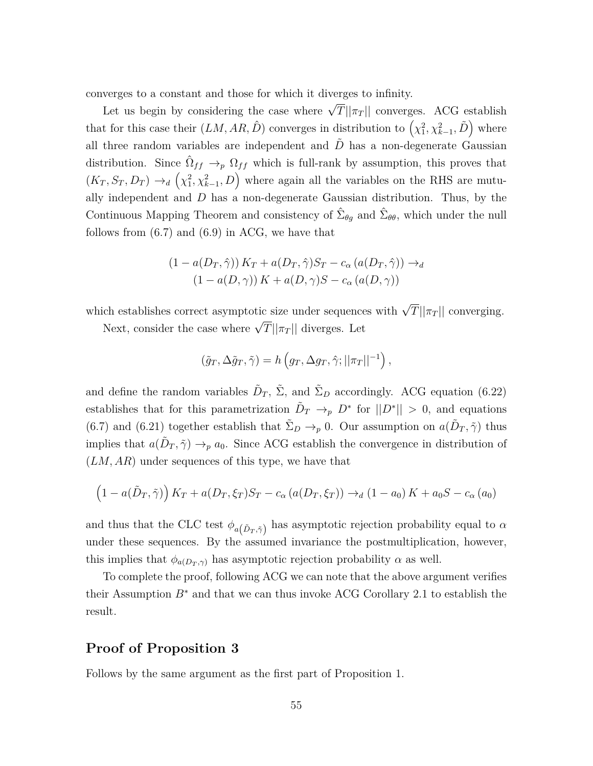converges to a constant and those for which it diverges to infinity.

Let us begin by considering the case where  $\sqrt{T} ||\pi_T||$  converges. ACG establish that for this case their  $(LM, AR, \hat{D})$  converges in distribution to  $(\chi^2_1, \chi^2_{k-1}, \tilde{D})$  where all three random variables are independent and *D* has a non-degenerate Gaussian distribution. Since  $\hat{\Omega}_{ff} \to_p \Omega_{ff}$  which is full-rank by assumption, this proves that  $(K_T, S_T, D_T) \rightarrow_d ( \chi_1^2, \chi_{k-1}^2, D)$  where again all the variables on the RHS are mutually independent and *D* has a non-degenerate Gaussian distribution. Thus, by the Continuous Mapping Theorem and consistency of  $\hat{\Sigma}_{\theta g}$  and  $\hat{\Sigma}_{\theta \theta}$ , which under the null follows from  $(6.7)$  and  $(6.9)$  in ACG, we have that

$$
(1 - a(D_T, \hat{\gamma})) K_T + a(D_T, \hat{\gamma}) S_T - c_{\alpha} (a(D_T, \hat{\gamma})) \rightarrow_d (1 - a(D, \gamma)) K + a(D, \gamma) S - c_{\alpha} (a(D, \gamma))
$$

which establishes correct asymptotic size under sequences with  $\sqrt{T} ||\pi_T||$  converging.

Next, consider the case where  $\sqrt{T} ||\pi_T||$  diverges. Let

$$
(\tilde{g}_T, \Delta \tilde{g}_T, \tilde{\gamma}) = h\left(g_T, \Delta g_T, \hat{\gamma}; ||\pi_T||^{-1}\right),
$$

and define the random variables  $\tilde{D}_T$ ,  $\tilde{\Sigma}$ , and  $\tilde{\Sigma}_D$  accordingly. ACG equation (6.22) establishes that for this parametrization  $\tilde{D}_T \to_p D^*$  for  $||D^*|| > 0$ , and equations (6.7) and (6.21) together establish that  $\tilde{\Sigma}_D \to_p 0$ . Our assumption on  $a(\tilde{D}_T, \tilde{\gamma})$  thus implies that  $a(\tilde{D}_T, \tilde{\gamma}) \to_p a_0$ . Since ACG establish the convergence in distribution of (*LM, AR*) under sequences of this type, we have that

$$
(1 - a(\tilde{D}_T, \tilde{\gamma})) K_T + a(D_T, \xi_T) S_T - c_\alpha (a(D_T, \xi_T)) \rightarrow_d (1 - a_0) K + a_0 S - c_\alpha (a_0)
$$

and thus that the CLC test  $\phi_{a(\tilde{D}_T, \tilde{\gamma})}$  has asymptotic rejection probability equal to  $\alpha$ under these sequences. By the assumed invariance the postmultiplication, however, this implies that  $\phi_{a(D_T,\gamma)}$  has asymptotic rejection probability  $\alpha$  as well.

To complete the proof, following ACG we can note that the above argument verifies their Assumption  $B^*$  and that we can thus invoke ACG Corollary 2.1 to establish the result.

#### **Proof of Proposition 3**

Follows by the same argument as the first part of Proposition 1.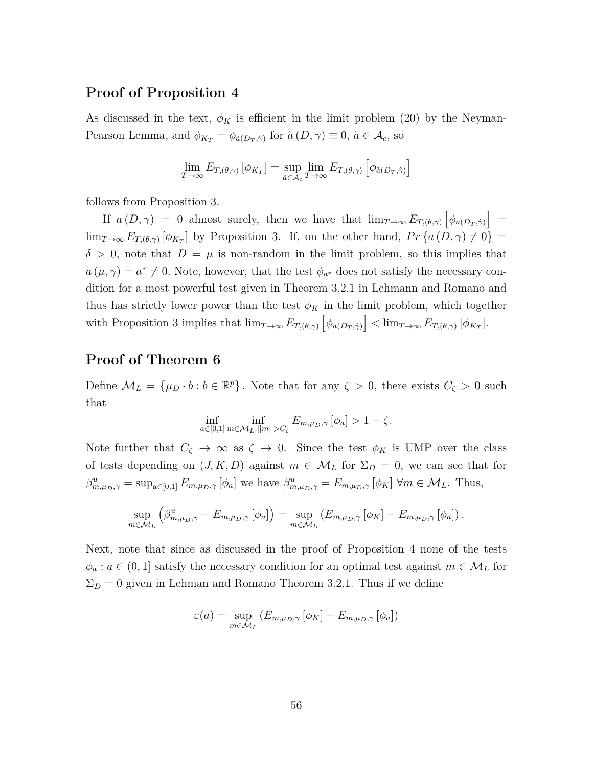#### **Proof of Proposition 4**

As discussed in the text,  $\phi_K$  is efficient in the limit problem (20) by the Neyman-Pearson Lemma, and  $\phi_{K_T} = \phi_{\tilde{a}(D_T,\hat{\gamma})}$  for  $\tilde{a}(D,\gamma) \equiv 0$ ,  $\tilde{a} \in \mathcal{A}_c$ , so

$$
\lim_{T \to \infty} E_{T, (\theta, \gamma)} [\phi_{K_T}] = \sup_{\tilde{a} \in \mathcal{A}_c} \lim_{T \to \infty} E_{T, (\theta, \gamma)} [\phi_{\tilde{a}(D_T, \hat{\gamma})}]
$$

follows from Proposition 3.

If  $a(D, \gamma) = 0$  almost surely, then we have that  $\lim_{T\to\infty} E_{T, (\theta, \gamma)} \left[ \phi_{a(D_T, \hat{\gamma})} \right] =$  $\lim_{T\to\infty} E_{T,(\theta,\gamma)} \left[ \phi_{K_T} \right]$  by Proposition 3. If, on the other hand,  $Pr \left\{ a(D,\gamma) \neq 0 \right\} =$  $\delta > 0$ , note that  $D = \mu$  is non-random in the limit problem, so this implies that  $a(\mu, \gamma) = a^* \neq 0$ . Note, however, that the test  $\phi_{a^*}$  does not satisfy the necessary condition for a most powerful test given in Theorem 3.2.1 in Lehmann and Romano and thus has strictly lower power than the test  $\phi_K$  in the limit problem, which together with Proposition 3 implies that  $\lim_{T\to\infty} E_{T,(\theta,\gamma)} \left[ \phi_{a(D_T,\hat{\gamma})} \right] < \lim_{T\to\infty} E_{T,(\theta,\gamma)} \left[ \phi_{K_T} \right]$ .

#### **Proof of Theorem 6**

Define  $\mathcal{M}_L = {\mu_D \cdot b : b \in \mathbb{R}^p}$ . Note that for any  $\zeta > 0$ , there exists  $C_{\zeta} > 0$  such that

$$
\inf_{a \in [0,1]} \inf_{m \in \mathcal{M}_L: ||m|| > C_{\zeta}} E_{m,\mu_D,\gamma} [\phi_a] > 1 - \zeta.
$$

Note further that  $C_{\zeta} \to \infty$  as  $\zeta \to 0$ . Since the test  $\phi_K$  is UMP over the class of tests depending on  $(J, K, D)$  against  $m \in \mathcal{M}_L$  for  $\Sigma_D = 0$ , we can see that for  $\beta_{m,\mu_D,\gamma}^u = \sup_{a \in [0,1]} E_{m,\mu_D,\gamma} [\phi_a]$  we have  $\beta_{m,\mu_D,\gamma}^u = E_{m,\mu_D,\gamma} [\phi_K] \forall m \in \mathcal{M}_L$ . Thus,

$$
\sup_{m \in \mathcal{M}_L} \left( \beta^u_{m,\mu_D,\gamma} - E_{m,\mu_D,\gamma} \left[ \phi_a \right] \right) = \sup_{m \in \mathcal{M}_L} \left( E_{m,\mu_D,\gamma} \left[ \phi_K \right] - E_{m,\mu_D,\gamma} \left[ \phi_a \right] \right).
$$

Next, note that since as discussed in the proof of Proposition 4 none of the tests  $\phi_a: a \in (0,1]$  satisfy the necessary condition for an optimal test against  $m \in \mathcal{M}_L$  for  $\Sigma_D = 0$  given in Lehman and Romano Theorem 3.2.1. Thus if we define

$$
\varepsilon(a) = \sup_{m \in \mathcal{M}_L} \left( E_{m,\mu_D,\gamma} \left[ \phi_K \right] - E_{m,\mu_D,\gamma} \left[ \phi_a \right] \right)
$$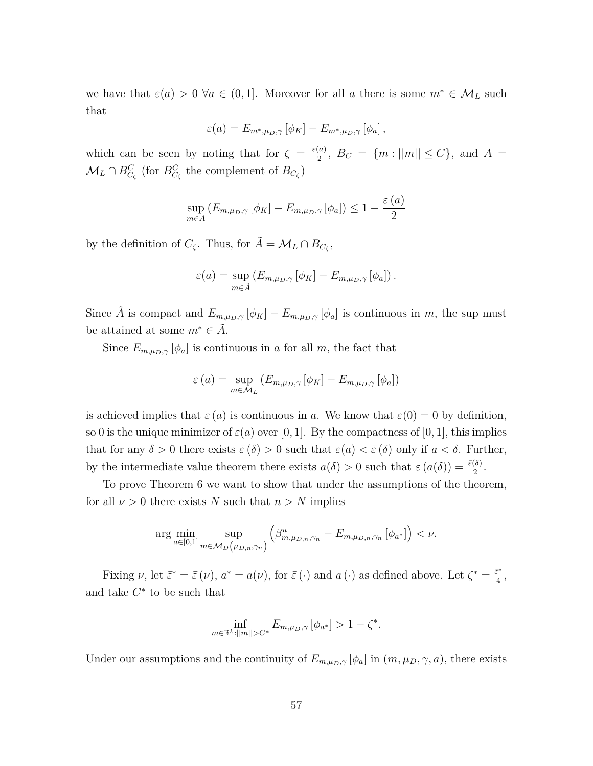we have that  $\varepsilon(a) > 0 \ \forall a \in (0,1]$ . Moreover for all *a* there is some  $m^* \in \mathcal{M}_L$  such that

$$
\varepsilon(a) = E_{m^*,\mu_D,\gamma} \left[ \phi_K \right] - E_{m^*,\mu_D,\gamma} \left[ \phi_a \right],
$$

which can be seen by noting that for  $\zeta = \frac{\varepsilon(a)}{2}$  $\frac{a_0}{2}$ ,  $B_C = \{m : ||m|| \le C\}$ , and  $A =$  $\mathcal{M}_L \cap B_{C_{\zeta}}^C$  (for  $B_{C_{\zeta}}^C$  the complement of  $B_{C_{\zeta}}$ )

$$
\sup_{m \in A} (E_{m,\mu_D,\gamma} [\phi_K] - E_{m,\mu_D,\gamma} [\phi_a]) \leq 1 - \frac{\varepsilon(a)}{2}
$$

by the definition of  $C_{\zeta}$ . Thus, for  $\tilde{A} = \mathcal{M}_L \cap B_{C_{\zeta}}$ ,

$$
\varepsilon(a) = \sup_{m \in \tilde{A}} \left( E_{m,\mu_D,\gamma} \left[ \phi_K \right] - E_{m,\mu_D,\gamma} \left[ \phi_a \right] \right).
$$

Since  $\tilde{A}$  is compact and  $E_{m,\mu_D,\gamma}[\phi_K] - E_{m,\mu_D,\gamma}[\phi_a]$  is continuous in  $m$ , the sup must be attained at some  $m^* \in \tilde{A}$ .

Since  $E_{m,\mu_D,\gamma}[\phi_a]$  is continuous in *a* for all *m*, the fact that

$$
\varepsilon(a) = \sup_{m \in \mathcal{M}_L} \left( E_{m,\mu_D,\gamma} \left[ \phi_K \right] - E_{m,\mu_D,\gamma} \left[ \phi_a \right] \right)
$$

is achieved implies that  $\varepsilon(a)$  is continuous in *a*. We know that  $\varepsilon(0) = 0$  by definition, so 0 is the unique minimizer of  $\varepsilon(a)$  over [0, 1]. By the compactness of [0, 1], this implies that for any  $\delta > 0$  there exists  $\bar{\varepsilon}(\delta) > 0$  such that  $\varepsilon(a) < \bar{\varepsilon}(\delta)$  only if  $a < \delta$ . Further, by the intermediate value theorem there exists  $a(\delta) > 0$  such that  $\varepsilon(a(\delta)) = \frac{\bar{\varepsilon}(\delta)}{2}$ .

To prove Theorem 6 we want to show that under the assumptions of the theorem, for all  $\nu > 0$  there exists *N* such that  $n > N$  implies

$$
\arg\min_{a\in[0,1]} \sup_{m\in\mathcal{M}_D(\mu_{D,n},\gamma_n)} \left(\beta^u_{m,\mu_{D,n},\gamma_n} - E_{m,\mu_{D,n},\gamma_n} \left[\phi_{a^*}\right]\right) < \nu.
$$

Fixing  $\nu$ , let  $\bar{\varepsilon}^* = \bar{\varepsilon}(\nu)$ ,  $a^* = a(\nu)$ , for  $\bar{\varepsilon}(\cdot)$  and  $a(\cdot)$  as defined above. Let  $\zeta^* = \frac{\bar{\varepsilon}^*}{4}$  $\frac{\epsilon^*}{4},$ and take  $C^*$  to be such that

$$
\inf_{m \in \mathbb{R}^k : ||m|| > C^*} E_{m, \mu_D, \gamma} [\phi_{a^*}] > 1 - \zeta^*.
$$

Under our assumptions and the continuity of  $E_{m,\mu_D,\gamma}[\phi_a]$  in  $(m,\mu_D,\gamma,a)$ , there exists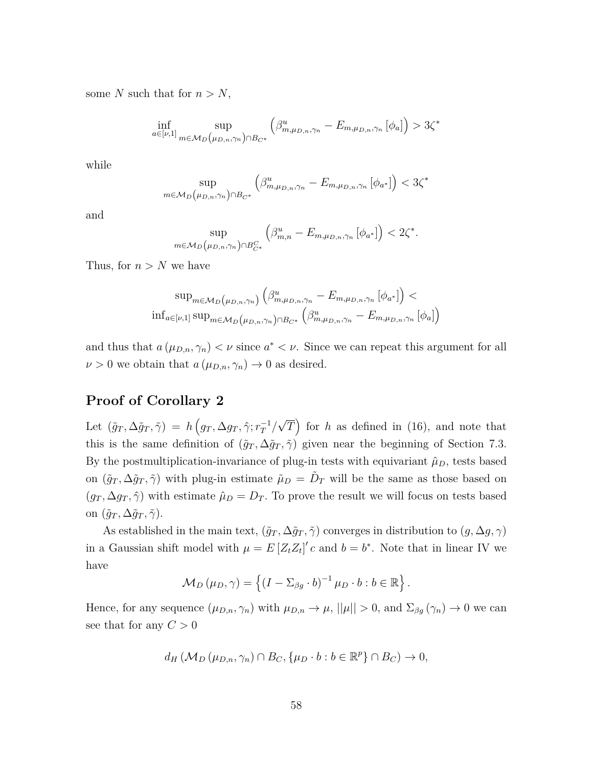some *N* such that for  $n > N$ ,

$$
\inf_{a \in [\nu, 1]} \sup_{m \in \mathcal{M}_D(\mu_{D, n}, \gamma_n) \cap B_{C^*}} \left( \beta^u_{m, \mu_{D, n}, \gamma_n} - E_{m, \mu_{D, n}, \gamma_n} [\phi_a] \right) > 3\zeta^*
$$

while

$$
\sup_{m \in \mathcal{M}_D(\mu_{D,n}, \gamma_n) \cap B_{C^*}} \left( \beta^u_{m, \mu_{D,n}, \gamma_n} - E_{m, \mu_{D,n}, \gamma_n} \left[ \phi_{a^*} \right] \right) < 3\zeta^*
$$

and

$$
\sup_{m \in \mathcal{M}_D(\mu_{D,n}, \gamma_n) \cap B_{C^*}^C} \left( \beta_{m,n}^u - E_{m,\mu_{D,n}, \gamma_n} \left[ \phi_{a^*} \right] \right) < 2\zeta^*.
$$

Thus, for  $n > N$  we have

$$
\sup_{m \in \mathcal{M}_D(\mu_{D,n}, \gamma_n)} \left( \beta_{m, \mu_{D,n}, \gamma_n}^u - E_{m, \mu_{D,n}, \gamma_n} [\phi_{a^*}] \right) <
$$
  

$$
\inf_{a \in [\nu, 1]} \sup_{m \in \mathcal{M}_D(\mu_{D,n}, \gamma_n)} \left( \beta_{m, \mu_{D,n}, \gamma_n}^u - E_{m, \mu_{D,n}, \gamma_n} [\phi_a] \right)
$$

and thus that  $a(\mu_{D,n}, \gamma_n) < \nu$  since  $a^* < \nu$ . Since we can repeat this argument for all  $\nu > 0$  we obtain that  $a(\mu_{D,n}, \gamma_n) \to 0$  as desired.

#### **Proof of Corollary 2**

Let  $(\tilde{g}_T, \Delta \tilde{g}_T, \tilde{\gamma}) = h(g_T, \Delta g_T, \hat{\gamma}; r_T^{-1})$ √  $\overline{T}$  for *h* as defined in (16), and note that this is the same definition of  $(\tilde{g}_T, \Delta \tilde{g}_T, \tilde{\gamma})$  given near the beginning of Section 7.3. By the postmultiplication-invariance of plug-in tests with equivariant  $\hat{\mu}_D$ , tests based on  $(\tilde{g}_T, \Delta \tilde{g}_T, \tilde{\gamma})$  with plug-in estimate  $\tilde{\mu}_D = \tilde{D}_T$  will be the same as those based on  $(g_T, \Delta g_T, \hat{\gamma})$  with estimate  $\hat{\mu}_D = D_T$ . To prove the result we will focus on tests based on  $(\tilde{g}_T, \Delta \tilde{g}_T, \tilde{\gamma})$ .

As established in the main text,  $(\tilde{g}_T, \Delta \tilde{g}_T, \tilde{\gamma})$  converges in distribution to  $(g, \Delta g, \gamma)$ in a Gaussian shift model with  $\mu = E[Z_t Z_t]'c$  and  $b = b^*$ . Note that in linear IV we have

$$
\mathcal{M}_D(\mu_D, \gamma) = \left\{ (I - \Sigma_{\beta g} \cdot b)^{-1} \mu_D \cdot b : b \in \mathbb{R} \right\}.
$$

Hence, for any sequence  $(\mu_{D,n}, \gamma_n)$  with  $\mu_{D,n} \to \mu$ ,  $||\mu|| > 0$ , and  $\Sigma_{\beta g}(\gamma_n) \to 0$  we can see that for any  $C > 0$ 

$$
d_H(M_D(\mu_{D,n}, \gamma_n) \cap B_C, \{\mu_D \cdot b : b \in \mathbb{R}^p\} \cap B_C) \to 0,
$$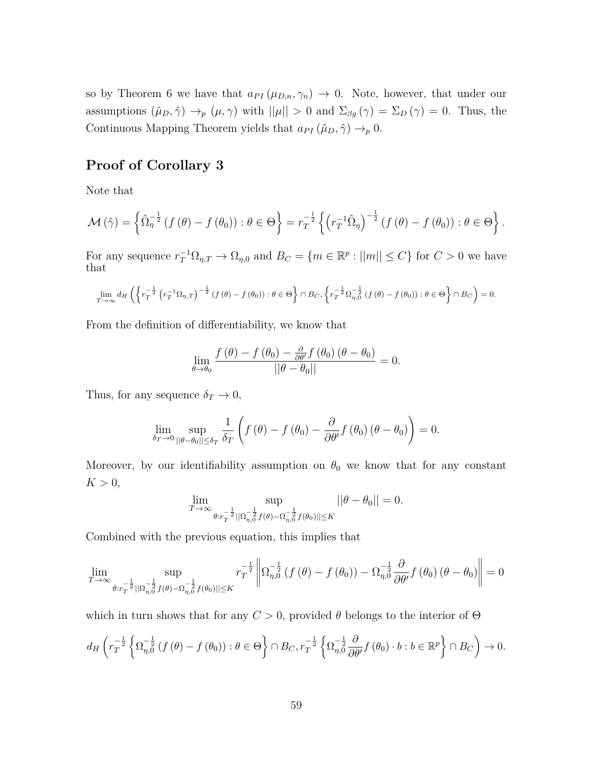so by Theorem 6 we have that  $a_{PI}(\mu_{D,n}, \gamma_n) \to 0$ . Note, however, that under our assumptions  $(\hat{\mu}_D, \hat{\gamma}) \rightarrow_p (\mu, \gamma)$  with  $||\mu|| > 0$  and  $\Sigma_{\beta g}(\gamma) = \Sigma_D(\gamma) = 0$ . Thus, the Continuous Mapping Theorem yields that  $a_{PI}(\hat{\mu}_D, \hat{\gamma}) \rightarrow_p 0$ .

#### **Proof of Corollary 3**

Note that

$$
\mathcal{M}\left(\hat{\gamma}\right) = \left\{\hat{\Omega}_{\eta}^{-\frac{1}{2}}\left(f\left(\theta\right) - f\left(\theta_{0}\right)\right) : \theta \in \Theta\right\} = r_{T}^{-\frac{1}{2}}\left\{\left(r_{T}^{-1}\hat{\Omega}_{\eta}\right)^{-\frac{1}{2}}\left(f\left(\theta\right) - f\left(\theta_{0}\right)\right) : \theta \in \Theta\right\}.
$$

For any sequence  $r_T^{-1}\Omega_{\eta,T} \to \Omega_{\eta,0}$  and  $B_C = \{m \in \mathbb{R}^p : ||m|| \le C\}$  for  $C > 0$  we have that

$$
\lim_{T \to \infty} d_H\left(\left\{r_T^{-\frac{1}{2}}\left(r_T^{-1} \Omega_{\eta,T}\right)^{-\frac{1}{2}}\left(f\left(\theta\right) - f\left(\theta_0\right)\right) : \theta \in \Theta\right\} \cap B_C, \left\{r_T^{-\frac{1}{2}} \Omega_{\eta,0}^{-\frac{1}{2}}\left(f\left(\theta\right) - f\left(\theta_0\right)\right) : \theta \in \Theta\right\} \cap B_C\right) = 0.
$$

From the definition of differentiability, we know that

$$
\lim_{\theta \to \theta_0} \frac{f(\theta) - f(\theta_0) - \frac{\partial}{\partial \theta'} f(\theta_0) (\theta - \theta_0)}{||\theta - \theta_0||} = 0.
$$

Thus, for any sequence  $\delta_T \to 0$ ,

$$
\lim_{\delta_T \to 0} \sup_{\|\theta - \theta_0\| \le \delta_T} \frac{1}{\delta_T} \left( f(\theta) - f(\theta_0) - \frac{\partial}{\partial \theta'} f(\theta_0) (\theta - \theta_0) \right) = 0.
$$

Moreover, by our identifiability assumption on  $\theta_0$  we know that for any constant  $K > 0$ ,

$$
\lim_{T \to \infty} \sup_{\theta: r_T^{-\frac{1}{2}} ||\Omega_{\eta,0}^{-\frac{1}{2}} f(\theta) - \Omega_{\eta,0}^{-\frac{1}{2}} f(\theta_0)|| \le K} ||\theta - \theta_0|| = 0.
$$

Combined with the previous equation, this implies that

$$
\lim_{T \to \infty} \sup_{\theta: r_T^{-\frac{1}{2}} \|\Omega_{\eta,0}^{-\frac{1}{2}} f(\theta) - \Omega_{\eta,0}^{-\frac{1}{2}} f(\theta_0)\| \le K} r_T^{-\frac{1}{2}} \left\| \Omega_{\eta,0}^{-\frac{1}{2}} \left( f(\theta) - f(\theta_0) \right) - \Omega_{\eta,0}^{-\frac{1}{2}} \frac{\partial}{\partial \theta'} f(\theta_0) \left( \theta - \theta_0 \right) \right\| = 0
$$

which in turn shows that for any  $C > 0$ , provided  $\theta$  belongs to the interior of  $\Theta$ 

$$
d_H\left(r_T^{-\frac{1}{2}}\left\{\Omega_{\eta,0}^{-\frac{1}{2}}\left(f\left(\theta\right)-f\left(\theta_0\right)\right):\theta\in\Theta\right\}\cap B_C, r_T^{-\frac{1}{2}}\left\{\Omega_{\eta,0}^{-\frac{1}{2}}\frac{\partial}{\partial\theta'}f\left(\theta_0\right)\cdot b:\theta\in\mathbb{R}^p\right\}\cap B_C\right)\to 0.
$$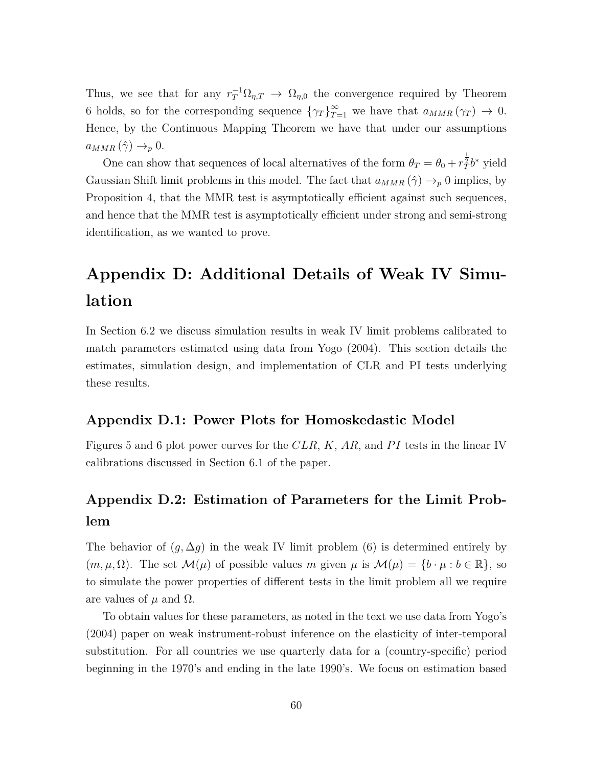Thus, we see that for any  $r_T^{-1}\Omega_{\eta,T} \to \Omega_{\eta,0}$  the convergence required by Theorem 6 holds, so for the corresponding sequence  $\{\gamma_T\}_{T=1}^{\infty}$  we have that  $a_{MMR}(\gamma_T) \to 0$ . Hence, by the Continuous Mapping Theorem we have that under our assumptions  $a_{MMR}(\hat{\gamma}) \rightarrow_p 0.$ 

One can show that sequences of local alternatives of the form  $\theta_T = \theta_0 + r_T^{\frac{1}{2}}b^*$  yield Gaussian Shift limit problems in this model. The fact that  $a_{MMR}(\hat{\gamma}) \rightarrow_p 0$  implies, by Proposition 4, that the MMR test is asymptotically efficient against such sequences, and hence that the MMR test is asymptotically efficient under strong and semi-strong identification, as we wanted to prove.

# **Appendix D: Additional Details of Weak IV Simulation**

In Section 6.2 we discuss simulation results in weak IV limit problems calibrated to match parameters estimated using data from Yogo (2004). This section details the estimates, simulation design, and implementation of CLR and PI tests underlying these results.

#### **Appendix D.1: Power Plots for Homoskedastic Model**

Figures 5 and 6 plot power curves for the *CLR*, *K*, *AR,* and *P I* tests in the linear IV calibrations discussed in Section 6.1 of the paper.

# **Appendix D.2: Estimation of Parameters for the Limit Problem**

The behavior of  $(g, \Delta g)$  in the weak IV limit problem (6) is determined entirely by  $(m, \mu, \Omega)$ . The set  $\mathcal{M}(\mu)$  of possible values *m* given  $\mu$  is  $\mathcal{M}(\mu) = \{b \cdot \mu : b \in \mathbb{R}\},$  so to simulate the power properties of different tests in the limit problem all we require are values of  $\mu$  and  $\Omega$ .

To obtain values for these parameters, as noted in the text we use data from Yogo's (2004) paper on weak instrument-robust inference on the elasticity of inter-temporal substitution. For all countries we use quarterly data for a (country-specific) period beginning in the 1970's and ending in the late 1990's. We focus on estimation based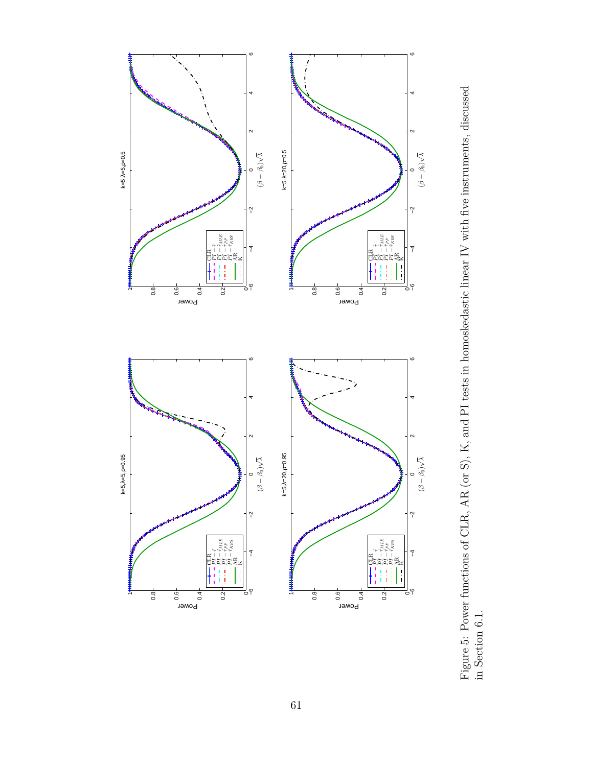

Figure 5: Power functions of CLR, AR (or S), K, and PI tests in homoskedastic linear IV with five instruments, discussed in Section 6.1. Figure 5: Power functions of CLR, AR (or S), K, and PI tests in homoskedastic linear IV with five instruments, discussed in Section 6.1.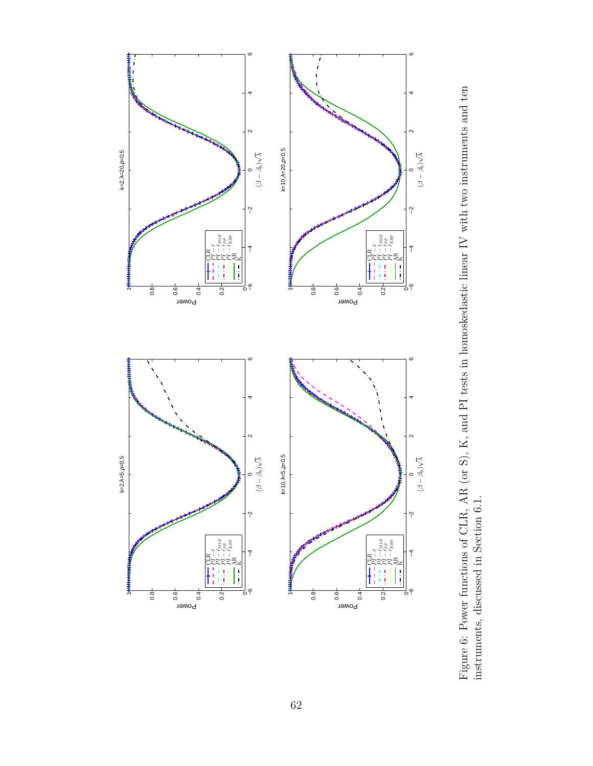

Figure 6: Power functions of CLR, AR (or S), K, and PI tests in homoskedastic linear IV with two instruments and ten Figure 6: Power functions of CLR, AR (or S), K, and PI tests in homoskedastic linear IV with two instruments and ten instruments, discussed in Section 6.1. instruments, discussed in Section 6.1.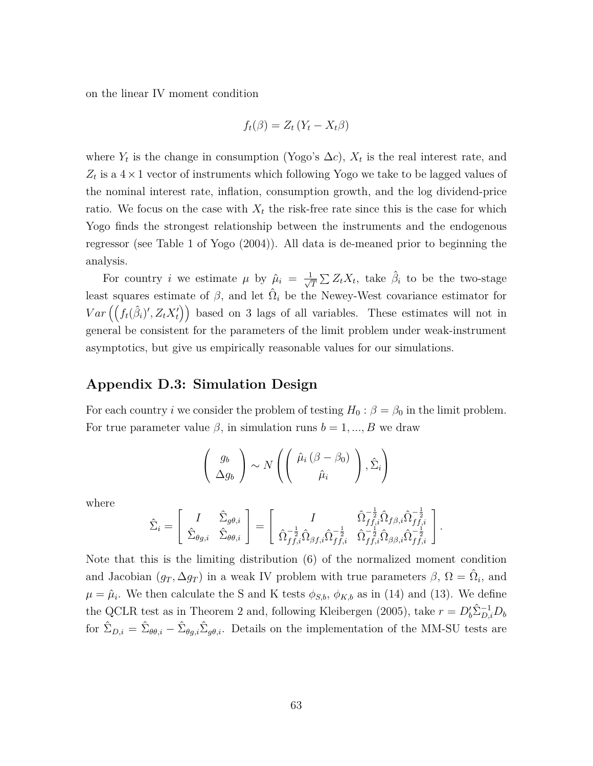on the linear IV moment condition

$$
f_t(\beta) = Z_t \left( Y_t - X_t \beta \right)
$$

where  $Y_t$  is the change in consumption (Yogo's  $\Delta c$ ),  $X_t$  is the real interest rate, and  $Z_t$  is a  $4 \times 1$  vector of instruments which following Yogo we take to be lagged values of the nominal interest rate, inflation, consumption growth, and the log dividend-price ratio. We focus on the case with  $X_t$  the risk-free rate since this is the case for which Yogo finds the strongest relationship between the instruments and the endogenous regressor (see Table 1 of Yogo (2004)). All data is de-meaned prior to beginning the analysis.

For country *i* we estimate  $\mu$  by  $\hat{\mu}_i = \frac{1}{\sqrt{n}}$  $\frac{1}{\overline{T}}\sum Z_t X_t$ , take  $\hat{\beta}_i$  to be the two-stage least squares estimate of  $\beta$ , and let  $\hat{\Omega}_i$  be the Newey-West covariance estimator for  $Var\left(\left(f_t(\hat{\beta}_i)', Z_t X_t'\right)\right)$  based on 3 lags of all variables. These estimates will not in general be consistent for the parameters of the limit problem under weak-instrument asymptotics, but give us empirically reasonable values for our simulations.

#### **Appendix D.3: Simulation Design**

For each country *i* we consider the problem of testing  $H_0: \beta = \beta_0$  in the limit problem. For true parameter value  $\beta$ , in simulation runs  $b = 1, ..., B$  we draw

$$
\begin{pmatrix} g_b \\ \Delta g_b \end{pmatrix} \sim N \left( \begin{pmatrix} \hat{\mu}_i \left( \beta - \beta_0 \right) \\ \hat{\mu}_i \end{pmatrix}, \hat{\Sigma}_i \right)
$$

where

$$
\hat{\Sigma}_i = \begin{bmatrix} I & \hat{\Sigma}_{g\theta,i} \\ \hat{\Sigma}_{\theta g,i} & \hat{\Sigma}_{\theta \theta,i} \end{bmatrix} = \begin{bmatrix} I & \hat{\Omega}_{f f,i}^{-\frac{1}{2}} \hat{\Omega}_{f f,i} \hat{\Omega}_{f \beta,i} \hat{\Omega}_{f f,i}^{-\frac{1}{2}} \\ \hat{\Omega}_{f f,i}^{-\frac{1}{2}} \hat{\Omega}_{\beta f,i} \hat{\Omega}_{f f,i}^{-\frac{1}{2}} & \hat{\Omega}_{f f,i}^{-\frac{1}{2}} \hat{\Omega}_{\beta \beta,i} \hat{\Omega}_{f f,i}^{-\frac{1}{2}} \end{bmatrix}.
$$

Note that this is the limiting distribution (6) of the normalized moment condition and Jacobian  $(g_T, \Delta g_T)$  in a weak IV problem with true parameters  $\beta$ ,  $\Omega = \hat{\Omega}_i$ , and  $\mu = \hat{\mu}_i$ . We then calculate the S and K tests  $\phi_{S,b}, \phi_{K,b}$  as in (14) and (13). We define the QCLR test as in Theorem 2 and, following Kleibergen (2005), take  $r = D_b^{\prime} \hat{\Sigma}_{D,i}^{-1} D_b$ for  $\hat{\Sigma}_{D,i} = \hat{\Sigma}_{\theta\theta,i} - \hat{\Sigma}_{\theta g,i} \hat{\Sigma}_{g\theta,i}$ . Details on the implementation of the MM-SU tests are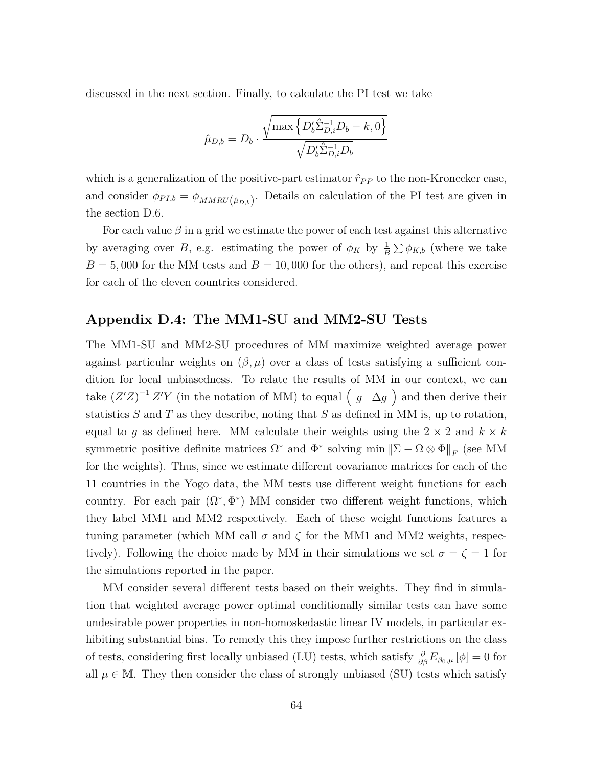discussed in the next section. Finally, to calculate the PI test we take

$$
\hat{\mu}_{D,b} = D_b \cdot \frac{\sqrt{\max \left\{D_b' \hat{\Sigma}_{D,i}^{-1} D_b - k, 0\right\}}}{\sqrt{D_b' \hat{\Sigma}_{D,i}^{-1} D_b}}
$$

which is a generalization of the positive-part estimator  $\hat{r}_{PP}$  to the non-Kronecker case, and consider  $\phi_{PI,b} = \phi_{MMRU(\hat{\mu}_{D,b})}$ . Details on calculation of the PI test are given in the section D.6.

For each value  $\beta$  in a grid we estimate the power of each test against this alternative by averaging over *B*, e.g. estimating the power of  $\phi_K$  by  $\frac{1}{B} \sum \phi_{K,b}$  (where we take  $B = 5,000$  for the MM tests and  $B = 10,000$  for the others), and repeat this exercise for each of the eleven countries considered.

#### **Appendix D.4: The MM1-SU and MM2-SU Tests**

The MM1-SU and MM2-SU procedures of MM maximize weighted average power against particular weights on  $(\beta, \mu)$  over a class of tests satisfying a sufficient condition for local unbiasedness. To relate the results of MM in our context, we can take  $(Z'Z)^{-1}Z'Y$  (in the notation of MM) to equal  $(g \Delta g)$  and then derive their statistics *S* and *T* as they describe, noting that *S* as defined in MM is, up to rotation, equal to g as defined here. MM calculate their weights using the  $2 \times 2$  and  $k \times k$ symmetric positive definite matrices  $\Omega^*$  and  $\Phi^*$  solving min  $\|\Sigma - \Omega \otimes \Phi\|_F$  (see MM for the weights). Thus, since we estimate different covariance matrices for each of the 11 countries in the Yogo data, the MM tests use different weight functions for each country. For each pair  $(\Omega^*, \Phi^*)$  MM consider two different weight functions, which they label MM1 and MM2 respectively. Each of these weight functions features a tuning parameter (which MM call  $\sigma$  and  $\zeta$  for the MM1 and MM2 weights, respectively). Following the choice made by MM in their simulations we set  $\sigma = \zeta = 1$  for the simulations reported in the paper.

MM consider several different tests based on their weights. They find in simulation that weighted average power optimal conditionally similar tests can have some undesirable power properties in non-homoskedastic linear IV models, in particular exhibiting substantial bias. To remedy this they impose further restrictions on the class of tests, considering first locally unbiased (LU) tests, which satisfy  $\frac{\partial}{\partial \beta} E_{\beta_0,\mu} [\phi] = 0$  for all  $\mu \in \mathbb{M}$ . They then consider the class of strongly unbiased (SU) tests which satisfy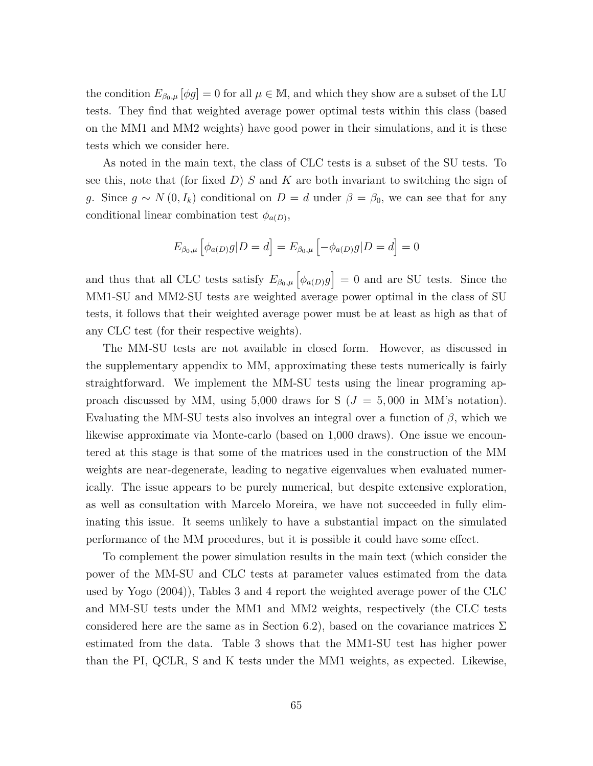the condition  $E_{\beta_0,\mu}[\phi g] = 0$  for all  $\mu \in \mathbb{M}$ , and which they show are a subset of the LU tests. They find that weighted average power optimal tests within this class (based on the MM1 and MM2 weights) have good power in their simulations, and it is these tests which we consider here.

As noted in the main text, the class of CLC tests is a subset of the SU tests. To see this, note that (for fixed *D*) *S* and *K* are both invariant to switching the sign of *g*. Since  $g \sim N(0, I_k)$  conditional on  $D = d$  under  $\beta = \beta_0$ , we can see that for any conditional linear combination test  $\phi_{a(D)}$ ,

$$
E_{\beta_0,\mu} \left[ \phi_{a(D)} g | D = d \right] = E_{\beta_0,\mu} \left[ -\phi_{a(D)} g | D = d \right] = 0
$$

and thus that all CLC tests satisfy  $E_{\beta_0,\mu} \left[ \phi_{a(D)} g \right] = 0$  and are SU tests. Since the MM1-SU and MM2-SU tests are weighted average power optimal in the class of SU tests, it follows that their weighted average power must be at least as high as that of any CLC test (for their respective weights).

The MM-SU tests are not available in closed form. However, as discussed in the supplementary appendix to MM, approximating these tests numerically is fairly straightforward. We implement the MM-SU tests using the linear programing approach discussed by MM, using 5,000 draws for  $S(J = 5,000 \text{ in MM's notation}).$ Evaluating the MM-SU tests also involves an integral over a function of *β*, which we likewise approximate via Monte-carlo (based on 1,000 draws). One issue we encountered at this stage is that some of the matrices used in the construction of the MM weights are near-degenerate, leading to negative eigenvalues when evaluated numerically. The issue appears to be purely numerical, but despite extensive exploration, as well as consultation with Marcelo Moreira, we have not succeeded in fully eliminating this issue. It seems unlikely to have a substantial impact on the simulated performance of the MM procedures, but it is possible it could have some effect.

To complement the power simulation results in the main text (which consider the power of the MM-SU and CLC tests at parameter values estimated from the data used by Yogo (2004)), Tables 3 and 4 report the weighted average power of the CLC and MM-SU tests under the MM1 and MM2 weights, respectively (the CLC tests considered here are the same as in Section 6.2), based on the covariance matrices  $\Sigma$ estimated from the data. Table 3 shows that the MM1-SU test has higher power than the PI, QCLR, S and K tests under the MM1 weights, as expected. Likewise,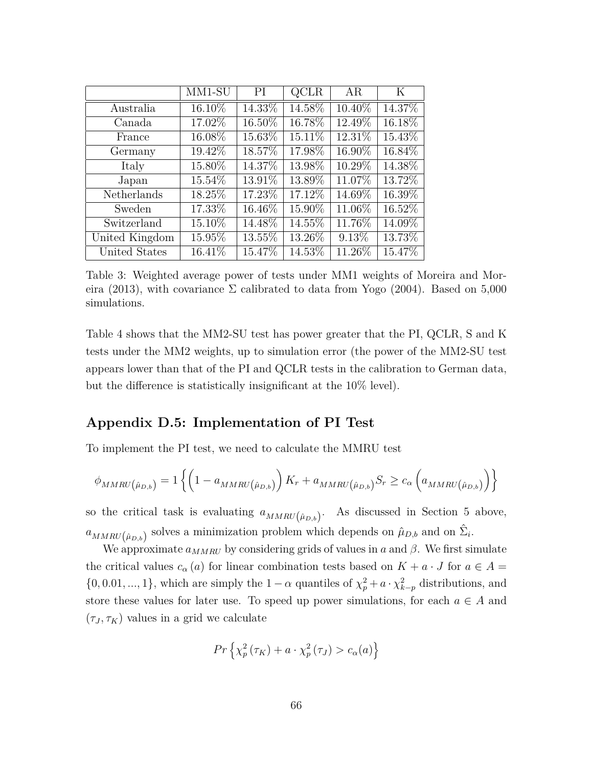|                | MM1-SU | PI        | QCLR   | AR        | K       |
|----------------|--------|-----------|--------|-----------|---------|
| Australia      | 16.10% | $14.33\%$ | 14.58% | 10.40%    | 14.37%  |
| Canada         | 17.02% | 16.50%    | 16.78% | 12.49%    | 16.18%  |
| France         | 16.08% | 15.63%    | 15.11% | $12.31\%$ | 15.43%  |
| Germany        | 19.42% | 18.57%    | 17.98% | 16.90%    | 16.84%  |
| Italy          | 15.80% | 14.37%    | 13.98% | 10.29%    | 14.38%  |
| Japan          | 15.54% | 13.91%    | 13.89% | 11.07%    | 13.72\% |
| Netherlands    | 18.25% | 17.23%    | 17.12% | 14.69%    | 16.39%  |
| Sweden         | 17.33% | 16.46\%   | 15.90% | 11.06%    | 16.52%  |
| Switzerland    | 15.10% | 14.48%    | 14.55% | 11.76%    | 14.09%  |
| United Kingdom | 15.95% | 13.55%    | 13.26% | $9.13\%$  | 13.73%  |
| United States  | 16.41% | 15.47%    | 14.53% | 11.26%    | 15.47%  |

Table 3: Weighted average power of tests under MM1 weights of Moreira and Moreira (2013), with covariance  $\Sigma$  calibrated to data from Yogo (2004). Based on 5,000 simulations.

Table 4 shows that the MM2-SU test has power greater that the PI, QCLR, S and K tests under the MM2 weights, up to simulation error (the power of the MM2-SU test appears lower than that of the PI and QCLR tests in the calibration to German data, but the difference is statistically insignificant at the 10% level).

#### **Appendix D.5: Implementation of PI Test**

To implement the PI test, we need to calculate the MMRU test

$$
\phi_{MMRU(\hat{\mu}_{D,b})} = 1 \left\{ \left( 1 - a_{MMRU(\hat{\mu}_{D,b})} \right) K_r + a_{MMRU(\hat{\mu}_{D,b})} S_r \ge c_\alpha \left( a_{MMRU(\hat{\mu}_{D,b})} \right) \right\}
$$

so the critical task is evaluating  $a_{MMRU(\hat{\mu}_{D,b})}$ . As discussed in Section 5 above,  $a_{MMRU(\hat{\mu}_{D,b})}$  solves a minimization problem which depends on  $\hat{\mu}_{D,b}$  and on  $\hat{\Sigma}_i$ .

We approximate  $a_{MMRU}$  by considering grids of values in *a* and  $\beta$ . We first simulate the critical values  $c_{\alpha}(a)$  for linear combination tests based on  $K + a \cdot J$  for  $a \in A =$  $\{0, 0.01, ..., 1\}$ , which are simply the  $1 - \alpha$  quantiles of  $\chi_p^2 + a \cdot \chi_{k-p}^2$  distributions, and store these values for later use. To speed up power simulations, for each  $a \in A$  and  $(\tau_J, \tau_K)$  values in a grid we calculate

$$
Pr\left\{ \chi_p^2\left(\tau_K\right) + a \cdot \chi_p^2\left(\tau_J\right) > c_\alpha(a) \right\}
$$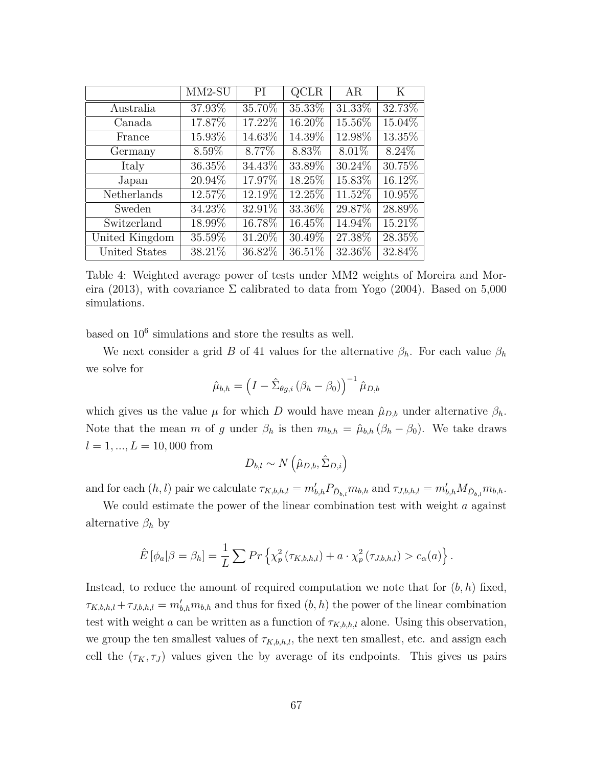|                | $MM2-SU$ | PI        | QCLR      | AR        | Κ         |
|----------------|----------|-----------|-----------|-----------|-----------|
| Australia      | 37.93%   | 35.70%    | $35.33\%$ | $31.33\%$ | 32.73%    |
| Canada         | 17.87%   | 17.22%    | 16.20%    | 15.56%    | 15.04%    |
| France         | 15.93%   | 14.63%    | 14.39%    | 12.98%    | 13.35%    |
| Germany        | 8.59%    | 8.77%     | 8.83%     | 8.01%     | 8.24\%    |
| Italy          | 36.35%   | $34.43\%$ | 33.89%    | $30.24\%$ | 30.75%    |
| Japan          | 20.94%   | 17.97%    | 18.25%    | 15.83%    | 16.12%    |
| Netherlands    | 12.57%   | 12.19%    | 12.25\%   | 11.52%    | 10.95%    |
| Sweden         | 34.23%   | 32.91%    | 33.36%    | 29.87%    | 28.89%    |
| Switzerland    | 18.99%   | 16.78%    | 16.45%    | 14.94%    | $15.21\%$ |
| United Kingdom | 35.59%   | $31.20\%$ | 30.49%    | 27.38%    | 28.35%    |
| United States  | 38.21%   | 36.82%    | 36.51%    | 32.36%    | 32.84%    |

Table 4: Weighted average power of tests under MM2 weights of Moreira and Moreira (2013), with covariance  $\Sigma$  calibrated to data from Yogo (2004). Based on 5,000 simulations.

based on  $10^6$  simulations and store the results as well.

We next consider a grid *B* of 41 values for the alternative  $\beta_h$ . For each value  $\beta_h$ we solve for

$$
\hat{\mu}_{b,h} = \left(I - \hat{\Sigma}_{\theta g,i} \left(\beta_h - \beta_0\right)\right)^{-1} \hat{\mu}_{D,b}
$$

which gives us the value  $\mu$  for which *D* would have mean  $\hat{\mu}_{D,b}$  under alternative  $\beta_h$ . Note that the mean *m* of *g* under  $\beta_h$  is then  $m_{b,h} = \hat{\mu}_{b,h} (\beta_h - \beta_0)$ . We take draws  $l = 1, ..., L = 10,000$  from

$$
D_{b,l} \sim N\left(\hat{\mu}_{D,b}, \hat{\Sigma}_{D,i}\right)
$$

and for each  $(h, l)$  pair we calculate  $\tau_{K,b,h,l} = m'_{b,h} P_{\tilde{D}_{b,l}} m_{b,h}$  and  $\tau_{J,b,h,l} = m'_{b,h} M_{\tilde{D}_{b,l}} m_{b,h}$ .

We could estimate the power of the linear combination test with weight *a* against alternative  $\beta_h$  by

$$
\hat{E}[\phi_a|\beta=\beta_h]=\frac{1}{L}\sum Pr\left\{\chi_p^2(\tau_{K,b,h,l})+a\cdot\chi_p^2(\tau_{J,b,h,l})\right\}.
$$

Instead, to reduce the amount of required computation we note that for  $(b, h)$  fixed,  $\tau_{K,b,h,l} + \tau_{J,b,h,l} = m'_{b,h} m_{b,h}$  and thus for fixed  $(b, h)$  the power of the linear combination test with weight *a* can be written as a function of  $\tau_{K,b,h,l}$  alone. Using this observation, we group the ten smallest values of  $\tau_{K,b,h,l}$ , the next ten smallest, etc. and assign each cell the  $(\tau_K, \tau_J)$  values given the by average of its endpoints. This gives us pairs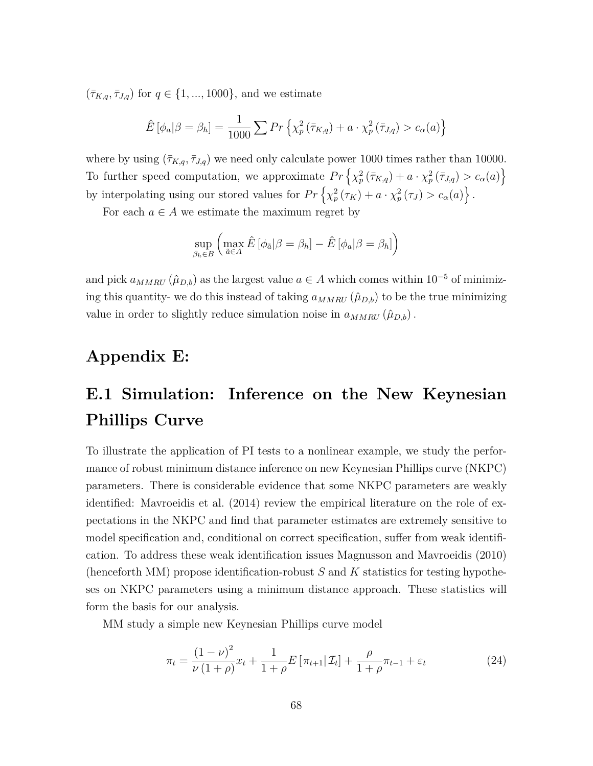$({\bar\tau}_{K,q},{\bar\tau}_{J,q})$  for  $q \in \{1,...,1000\}$ , and we estimate

$$
\hat{E}[\phi_a|\beta = \beta_h] = \frac{1}{1000} \sum Pr\left\{\chi_p^2(\bar{\tau}_{K,q}) + a \cdot \chi_p^2(\bar{\tau}_{J,q}) > c_\alpha(a)\right\}
$$

where by using  $(\bar{\tau}_{K,q}, \bar{\tau}_{J,q})$  we need only calculate power 1000 times rather than 10000. To further speed computation, we approximate  $Pr\left\{\chi_p^2(\bar{\tau}_{K,q})+a\cdot\chi_p^2(\bar{\tau}_{J,q})>c_\alpha(a)\right\}$ by interpolating using our stored values for  $Pr\left\{\chi_p^2(\tau_K) + a \cdot \chi_p^2(\tau_J) > c_\alpha(a)\right\}.$ 

For each  $a \in A$  we estimate the maximum regret by

$$
\sup_{\beta_h \in B} \left( \max_{\tilde{a} \in A} \hat{E} \left[ \phi_{\tilde{a}} | \beta = \beta_h \right] - \hat{E} \left[ \phi_a | \beta = \beta_h \right] \right)
$$

and pick  $a_{MMRU}(\hat{\mu}_{D,b})$  as the largest value  $a \in A$  which comes within 10<sup>-5</sup> of minimizing this quantity- we do this instead of taking  $a_{MMRU}(\hat{\mu}_{D,b})$  to be the true minimizing value in order to slightly reduce simulation noise in  $a_{MMRU}(\hat{\mu}_{D,b})$ .

# **Appendix E:**

# **E.1 Simulation: Inference on the New Keynesian Phillips Curve**

To illustrate the application of PI tests to a nonlinear example, we study the performance of robust minimum distance inference on new Keynesian Phillips curve (NKPC) parameters. There is considerable evidence that some NKPC parameters are weakly identified: Mavroeidis et al. (2014) review the empirical literature on the role of expectations in the NKPC and find that parameter estimates are extremely sensitive to model specification and, conditional on correct specification, suffer from weak identification. To address these weak identification issues Magnusson and Mavroeidis (2010) (henceforth MM) propose identification-robust *S* and *K* statistics for testing hypotheses on NKPC parameters using a minimum distance approach. These statistics will form the basis for our analysis.

MM study a simple new Keynesian Phillips curve model

$$
\pi_t = \frac{(1-\nu)^2}{\nu(1+\rho)} x_t + \frac{1}{1+\rho} E\left[\pi_{t+1} | \mathcal{I}_t\right] + \frac{\rho}{1+\rho} \pi_{t-1} + \varepsilon_t \tag{24}
$$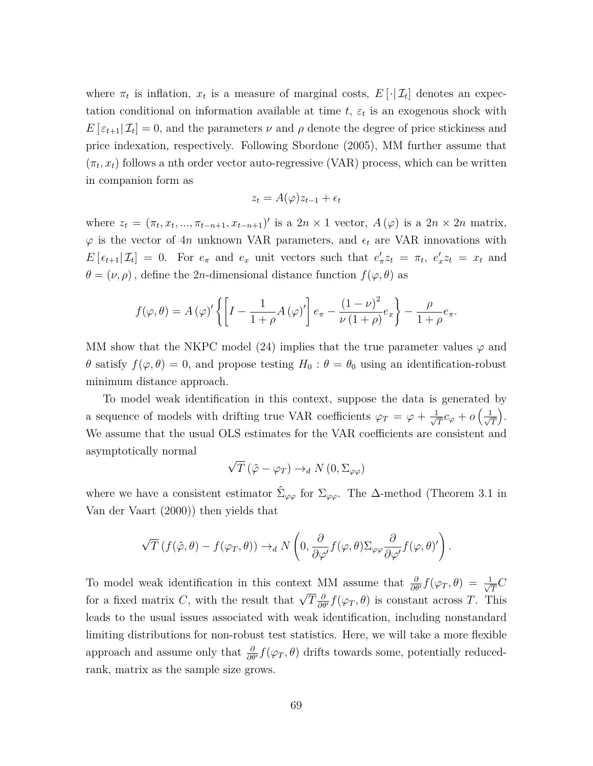where  $\pi_t$  is inflation,  $x_t$  is a measure of marginal costs,  $E[\cdot | \mathcal{I}_t]$  denotes an expectation conditional on information available at time  $t$ ,  $\varepsilon$ <sub>*t*</sub> is an exogenous shock with  $E\left[\epsilon_{t+1}|\mathcal{I}_t\right] = 0$ , and the parameters  $\nu$  and  $\rho$  denote the degree of price stickiness and price indexation, respectively. Following Sbordone (2005), MM further assume that  $(\pi_t, x_t)$  follows a nth order vector auto-regressive (VAR) process, which can be written in companion form as

$$
z_t = A(\varphi)z_{t-1} + \epsilon_t
$$

where  $z_t = (\pi_t, x_t, ..., \pi_{t-n+1}, x_{t-n+1})'$  is a  $2n \times 1$  vector,  $A(\varphi)$  is a  $2n \times 2n$  matrix,  $\varphi$  is the vector of 4*n* unknown VAR parameters, and  $\epsilon_t$  are VAR innovations with  $E\left[\epsilon_{t+1}|\mathcal{I}_t\right] = 0$ . For  $e_{\pi}$  and  $e_x$  unit vectors such that  $e'_{\pi}z_t = \pi_t$ ,  $e'_xz_t = x_t$  and  $\theta=(\nu,\rho)$  , define the 2*n*-dimensional distance function  $f(\varphi,\theta)$  as

$$
f(\varphi,\theta) = A(\varphi)' \left\{ \left[ I - \frac{1}{1+\rho} A(\varphi)' \right] e_{\pi} - \frac{(1-\nu)^2}{\nu(1+\rho)} e_x \right\} - \frac{\rho}{1+\rho} e_{\pi}.
$$

MM show that the NKPC model (24) implies that the true parameter values  $\varphi$  and *θ* satisfy  $f(\varphi, \theta) = 0$ , and propose testing  $H_0: \theta = \theta_0$  using an identification-robust minimum distance approach.

To model weak identification in this context, suppose the data is generated by a sequence of models with drifting true VAR coefficients  $\varphi_T = \varphi + \frac{1}{\sqrt{\pi}}$  $\frac{1}{\overline{T}}c_\varphi + o\left(\frac{1}{\sqrt{T}}\right)$ *T* . We assume that the usual OLS estimates for the VAR coefficients are consistent and asymptotically normal √

$$
\sqrt{T} (\hat{\varphi} - \varphi_T) \to_d N(0, \Sigma_{\varphi \varphi})
$$

where we have a consistent estimator  $\hat{\Sigma}_{\varphi\varphi}$  for  $\Sigma_{\varphi\varphi}$ . The  $\Delta$ -method (Theorem 3.1 in Van der Vaart (2000)) then yields that

$$
\sqrt{T} \left( f(\hat{\varphi}, \theta) - f(\varphi_T, \theta) \right) \to_d N \left( 0, \frac{\partial}{\partial \varphi'} f(\varphi, \theta) \Sigma_{\varphi \varphi} \frac{\partial}{\partial \varphi'} f(\varphi, \theta)' \right).
$$

To model weak identification in this context MM assume that  $\frac{\partial}{\partial \theta'} f(\varphi_T, \theta) = \frac{1}{\sqrt{\pi}}$  $\frac{1}{T}C$ for a fixed matrix *C*, with the result that  $\sqrt{T} \frac{\partial}{\partial \theta'} f(\varphi_T, \theta)$  is constant across *T*. This leads to the usual issues associated with weak identification, including nonstandard limiting distributions for non-robust test statistics. Here, we will take a more flexible approach and assume only that  $\frac{\partial}{\partial \theta'} f(\varphi_T, \theta)$  drifts towards some, potentially reducedrank, matrix as the sample size grows.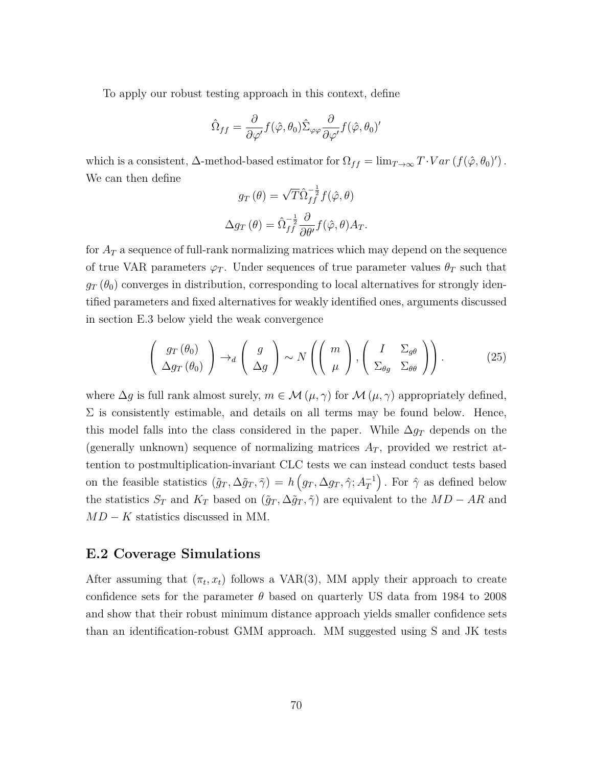To apply our robust testing approach in this context, define

$$
\hat{\Omega}_{ff} = \frac{\partial}{\partial \varphi'} f(\hat{\varphi}, \theta_0) \hat{\Sigma}_{\varphi \varphi} \frac{\partial}{\partial \varphi'} f(\hat{\varphi}, \theta_0)'
$$

which is a consistent,  $\Delta$ -method-based estimator for  $\Omega_{ff} = \lim_{T \to \infty} T \cdot Var(f(\hat{\varphi}, \theta_0))$ . We can then define

$$
g_T(\theta) = \sqrt{T} \hat{\Omega}_{ff}^{-\frac{1}{2}} f(\hat{\varphi}, \theta)
$$

$$
\Delta g_T(\theta) = \hat{\Omega}_{ff}^{-\frac{1}{2}} \frac{\partial}{\partial \theta'} f(\hat{\varphi}, \theta) A_T.
$$

for *A<sup>T</sup>* a sequence of full-rank normalizing matrices which may depend on the sequence of true VAR parameters  $\varphi_T$ . Under sequences of true parameter values  $\theta_T$  such that  $g_T(\theta_0)$  converges in distribution, corresponding to local alternatives for strongly identified parameters and fixed alternatives for weakly identified ones, arguments discussed in section E.3 below yield the weak convergence

$$
\left(\begin{array}{c} g_T(\theta_0) \\ \Delta g_T(\theta_0) \end{array}\right) \to_d \left(\begin{array}{c} g \\ \Delta g \end{array}\right) \sim N\left(\left(\begin{array}{c} m \\ \mu \end{array}\right), \left(\begin{array}{cc} I & \Sigma_{g\theta} \\ \Sigma_{\theta g} & \Sigma_{\theta \theta} \end{array}\right)\right). \tag{25}
$$

where  $\Delta g$  is full rank almost surely,  $m \in \mathcal{M}(\mu, \gamma)$  for  $\mathcal{M}(\mu, \gamma)$  appropriately defined,  $\Sigma$  is consistently estimable, and details on all terms may be found below. Hence, this model falls into the class considered in the paper. While  $\Delta g_T$  depends on the (generally unknown) sequence of normalizing matrices  $A_T$ , provided we restrict attention to postmultiplication-invariant CLC tests we can instead conduct tests based on the feasible statistics  $(\tilde{g}_T, \Delta \tilde{g}_T, \tilde{\gamma}) = h(g_T, \Delta g_T, \hat{\gamma}; A_T^{-1})$ . For  $\hat{\gamma}$  as defined below the statistics  $S_T$  and  $K_T$  based on  $(\tilde{g}_T, \Delta \tilde{g}_T, \tilde{\gamma})$  are equivalent to the  $MD - AR$  and *MD* − *K* statistics discussed in MM.

#### **E.2 Coverage Simulations**

After assuming that  $(\pi_t, x_t)$  follows a VAR(3), MM apply their approach to create confidence sets for the parameter  $\theta$  based on quarterly US data from 1984 to 2008 and show that their robust minimum distance approach yields smaller confidence sets than an identification-robust GMM approach. MM suggested using S and JK tests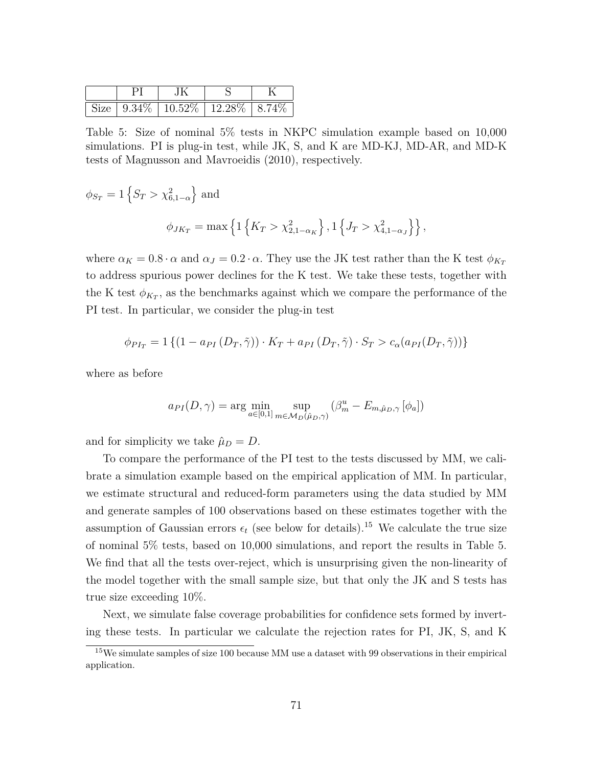|  | $\vert$ Size $\vert$ 9.34\% $\vert$ 10.52\% $\vert$ 12.28\% $\vert$ 8.74\% |  |
|--|----------------------------------------------------------------------------|--|

Table 5: Size of nominal 5% tests in NKPC simulation example based on 10,000 simulations. PI is plug-in test, while JK, S, and K are MD-KJ, MD-AR, and MD-K tests of Magnusson and Mavroeidis (2010), respectively.

$$
\phi_{S_T} = 1 \{ S_T > \chi_{6,1-\alpha}^2 \}
$$
 and  

$$
\phi_{JK_T} = \max \{ 1 \{ K_T > \chi_{2,1-\alpha_K}^2 \}, 1 \{ J_T > \chi_{4,1-\alpha_J}^2 \} \},
$$

where  $\alpha_K = 0.8 \cdot \alpha$  and  $\alpha_J = 0.2 \cdot \alpha$ . They use the JK test rather than the K test  $\phi_{K_T}$ to address spurious power declines for the K test. We take these tests, together with the K test  $\phi_{K_T}$ , as the benchmarks against which we compare the performance of the PI test. In particular, we consider the plug-in test

$$
\phi_{PI_T} = 1 \left\{ (1 - a_{PI}(D_T, \tilde{\gamma})) \cdot K_T + a_{PI}(D_T, \tilde{\gamma}) \cdot S_T > c_{\alpha}(a_{PI}(D_T, \tilde{\gamma})) \right\}
$$

where as before

$$
a_{PI}(D,\gamma) = \arg\min_{a\in[0,1]} \sup_{m\in\mathcal{M}_D(\hat{\mu}_D,\gamma)} (\beta_m^u - E_{m,\hat{\mu}_D,\gamma}[\phi_a])
$$

and for simplicity we take  $\hat{\mu}_D = D$ .

To compare the performance of the PI test to the tests discussed by MM, we calibrate a simulation example based on the empirical application of MM. In particular, we estimate structural and reduced-form parameters using the data studied by MM and generate samples of 100 observations based on these estimates together with the assumption of Gaussian errors  $\epsilon_t$  (see below for details).<sup>15</sup> We calculate the true size of nominal 5% tests, based on 10,000 simulations, and report the results in Table 5. We find that all the tests over-reject, which is unsurprising given the non-linearity of the model together with the small sample size, but that only the JK and S tests has true size exceeding 10%.

Next, we simulate false coverage probabilities for confidence sets formed by inverting these tests. In particular we calculate the rejection rates for PI, JK, S, and K

<sup>15</sup>We simulate samples of size 100 because MM use a dataset with 99 observations in their empirical application.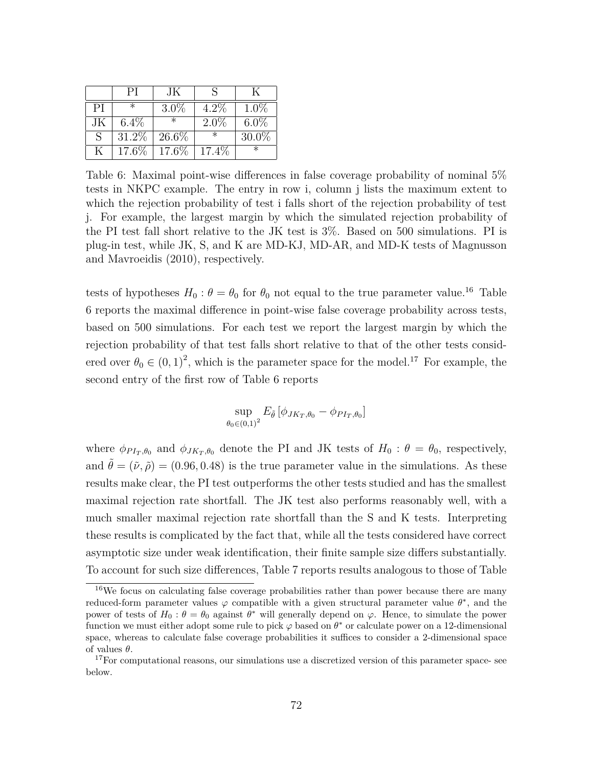|    | РI       | JК      |         |          |
|----|----------|---------|---------|----------|
| PI | ж        | $3.0\%$ | $4.2\%$ | $1.0\%$  |
| JК | $6.4\%$  | $^\ast$ | $2.0\%$ | $6.0\%$  |
| S  | $31.2\%$ | 26.6%   | ж       | $30.0\%$ |
| K  | 17.6%    | 17.6%   | 17.4\%  |          |

Table 6: Maximal point-wise differences in false coverage probability of nominal 5% tests in NKPC example. The entry in row i, column j lists the maximum extent to which the rejection probability of test i falls short of the rejection probability of test j. For example, the largest margin by which the simulated rejection probability of the PI test fall short relative to the JK test is 3%. Based on 500 simulations. PI is plug-in test, while JK, S, and K are MD-KJ, MD-AR, and MD-K tests of Magnusson and Mavroeidis (2010), respectively.

tests of hypotheses  $H_0: \theta = \theta_0$  for  $\theta_0$  not equal to the true parameter value.<sup>16</sup> Table 6 reports the maximal difference in point-wise false coverage probability across tests, based on 500 simulations. For each test we report the largest margin by which the rejection probability of that test falls short relative to that of the other tests considered over  $\theta_0 \in (0,1)^2$ , which is the parameter space for the model.<sup>17</sup> For example, the second entry of the first row of Table 6 reports

$$
\sup_{\theta_0 \in (0,1)^2} E_{\tilde{\theta}} \left[ \phi_{JK_T,\theta_0} - \phi_{PI_T,\theta_0} \right]
$$

where  $\phi_{PI_T,\theta_0}$  and  $\phi_{JK_T,\theta_0}$  denote the PI and JK tests of  $H_0: \theta = \theta_0$ , respectively, and  $\theta = (\tilde{\nu}, \tilde{\rho}) = (0.96, 0.48)$  is the true parameter value in the simulations. As these results make clear, the PI test outperforms the other tests studied and has the smallest maximal rejection rate shortfall. The JK test also performs reasonably well, with a much smaller maximal rejection rate shortfall than the S and K tests. Interpreting these results is complicated by the fact that, while all the tests considered have correct asymptotic size under weak identification, their finite sample size differs substantially. To account for such size differences, Table 7 reports results analogous to those of Table

<sup>&</sup>lt;sup>16</sup>We focus on calculating false coverage probabilities rather than power because there are many reduced-form parameter values  $\varphi$  compatible with a given structural parameter value  $\theta^*$ , and the power of tests of  $H_0: \theta = \theta_0$  against  $\theta^*$  will generally depend on  $\varphi$ . Hence, to simulate the power function we must either adopt some rule to pick  $\varphi$  based on  $\theta^*$  or calculate power on a 12-dimensional space, whereas to calculate false coverage probabilities it suffices to consider a 2-dimensional space of values *θ*.

<sup>&</sup>lt;sup>17</sup>For computational reasons, our simulations use a discretized version of this parameter space- see below.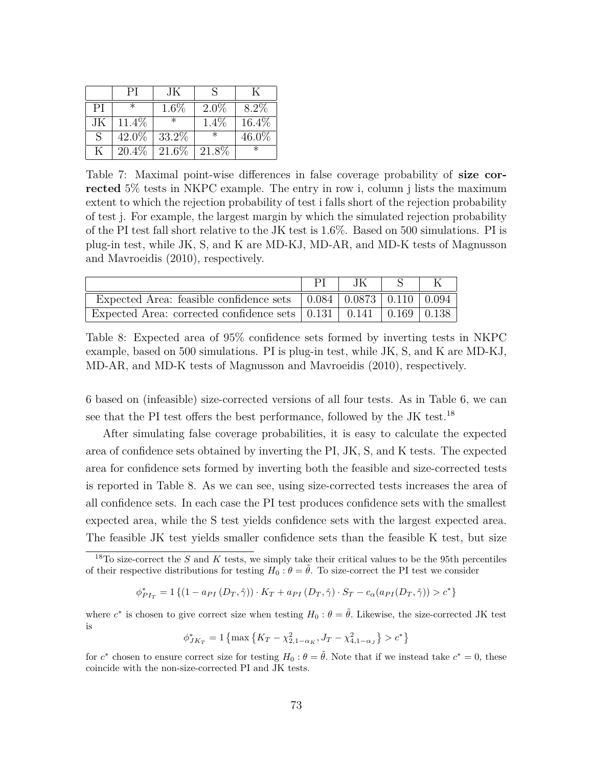|    | РI       | JК      |         |         |
|----|----------|---------|---------|---------|
| PI | $\ast$   | $1.6\%$ | $2.0\%$ | $8.2\%$ |
| JК | 11.4\%   |         | $1.4\%$ | 16.4%   |
| S  | 42.0%    | 33.2%   | $\ast$  | 46.0%   |
| K  | $20.4\%$ | 21.6\%  | 21.8\%  |         |

Table 7: Maximal point-wise differences in false coverage probability of **size corrected** 5% tests in NKPC example. The entry in row i, column j lists the maximum extent to which the rejection probability of test i falls short of the rejection probability of test j. For example, the largest margin by which the simulated rejection probability of the PI test fall short relative to the JK test is 1.6%. Based on 500 simulations. PI is plug-in test, while JK, S, and K are MD-KJ, MD-AR, and MD-K tests of Magnusson and Mavroeidis (2010), respectively.

|                                                                                                  | JK |  |
|--------------------------------------------------------------------------------------------------|----|--|
| Expected Area: feasible confidence sets $\vert 0.084 \vert 0.0873 \vert 0.110 \vert 0.094 \vert$ |    |  |
| Expected Area: corrected confidence sets $\vert 0.131 \vert 0.141 \vert 0.169 \vert 0.138 \vert$ |    |  |

Table 8: Expected area of 95% confidence sets formed by inverting tests in NKPC example, based on 500 simulations. PI is plug-in test, while JK, S, and K are MD-KJ, MD-AR, and MD-K tests of Magnusson and Mavroeidis (2010), respectively.

6 based on (infeasible) size-corrected versions of all four tests. As in Table 6, we can see that the PI test offers the best performance, followed by the JK test.<sup>18</sup>

After simulating false coverage probabilities, it is easy to calculate the expected area of confidence sets obtained by inverting the PI, JK, S, and K tests. The expected area for confidence sets formed by inverting both the feasible and size-corrected tests is reported in Table 8. As we can see, using size-corrected tests increases the area of all confidence sets. In each case the PI test produces confidence sets with the smallest expected area, while the S test yields confidence sets with the largest expected area. The feasible JK test yields smaller confidence sets than the feasible K test, but size

$$
\phi^*_{PI_T} = 1 \left\{ (1 - a_{PI} (D_T, \tilde{\gamma})) \cdot K_T + a_{PI} (D_T, \tilde{\gamma}) \cdot S_T - c_{\alpha} (a_{PI} (D_T, \tilde{\gamma})) \geq c^* \right\}
$$

where  $c^*$  is chosen to give correct size when testing  $H_0: \theta = \tilde{\theta}$ . Likewise, the size-corrected JK test is

$$
\phi_{JK_T}^* = 1 \left\{ \max \left\{ K_T - \chi_{2,1-\alpha_K}^2, J_T - \chi_{4,1-\alpha_J}^2 \right\} > c^* \right\}
$$

for  $c^*$  chosen to ensure correct size for testing  $H_0: \theta = \tilde{\theta}$ . Note that if we instead take  $c^* = 0$ , these coincide with the non-size-corrected PI and JK tests.

<sup>18</sup>To size-correct the *S* and *K* tests, we simply take their critical values to be the 95th percentiles of their respective distributions for testing  $H_0: \theta = \tilde{\theta}$ . To size-correct the PI test we consider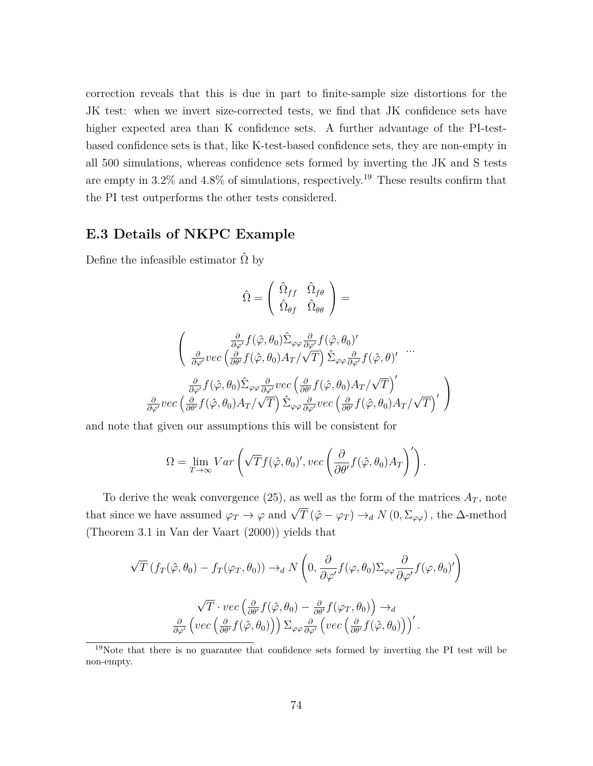correction reveals that this is due in part to finite-sample size distortions for the JK test: when we invert size-corrected tests, we find that JK confidence sets have higher expected area than K confidence sets. A further advantage of the PI-testbased confidence sets is that, like K-test-based confidence sets, they are non-empty in all 500 simulations, whereas confidence sets formed by inverting the JK and S tests are empty in 3.2% and 4.8% of simulations, respectively.<sup>19</sup> These results confirm that the PI test outperforms the other tests considered.

## **E.3 Details of NKPC Example**

Define the infeasible estimator  $\hat{\Omega}$  by

$$
\hat{\Omega} = \left( \begin{array}{cc} \hat{\Omega}_{ff} & \hat{\Omega}_{f\theta} \\ \hat{\Omega}_{\theta f} & \hat{\Omega}_{\theta \theta} \end{array} \right) =
$$

$$
\begin{pmatrix}\n\frac{\partial}{\partial \varphi'} f(\hat{\varphi}, \theta_0) \hat{\Sigma}_{\varphi \varphi} \frac{\partial}{\partial \varphi'} f(\hat{\varphi}, \theta_0)'\n\frac{\partial}{\partial \varphi'} vec\left(\frac{\partial}{\partial \theta'} f(\hat{\varphi}, \theta_0) A_T / \sqrt{T}\right) \hat{\Sigma}_{\varphi \varphi} \frac{\partial}{\partial \varphi'} f(\hat{\varphi}, \theta)'\n\end{pmatrix} \dots \\
\frac{\partial}{\partial \varphi'} f(\hat{\varphi}, \theta_0) \hat{\Sigma}_{\varphi \varphi} \frac{\partial}{\partial \varphi'} vec\left(\frac{\partial}{\partial \theta'} f(\hat{\varphi}, \theta_0) A_T / \sqrt{T}\right)'\n\frac{\partial}{\partial \varphi'} vec\left(\frac{\partial}{\partial \theta'} f(\hat{\varphi}, \theta_0) A_T / \sqrt{T}\right)'\n\end{pmatrix}
$$

and note that given our assumptions this will be consistent for

$$
\Omega = \lim_{T \to \infty} Var\left(\sqrt{T}f(\hat{\varphi}, \theta_0)', vec\left(\frac{\partial}{\partial \theta'}f(\hat{\varphi}, \theta_0)A_T\right)'\right).
$$

To derive the weak convergence  $(25)$ , as well as the form of the matrices  $A_T$ , note that since we have assumed  $\varphi_T \to \varphi$  and  $\sqrt{T} (\hat{\varphi} - \varphi_T) \to_d N(0, \Sigma_{\varphi\varphi})$ , the  $\Delta$ -method (Theorem 3.1 in Van der Vaart (2000)) yields that

$$
\sqrt{T} \left( f_T(\hat{\varphi}, \theta_0) - f_T(\varphi_T, \theta_0) \right) \to_d N \left( 0, \frac{\partial}{\partial \varphi'} f(\varphi, \theta_0) \Sigma_{\varphi \varphi} \frac{\partial}{\partial \varphi'} f(\varphi, \theta_0)' \right)
$$

$$
\sqrt{T} \cdot vec \left( \frac{\partial}{\partial \theta'} f(\hat{\varphi}, \theta_0) - \frac{\partial}{\partial \theta'} f(\varphi_T, \theta_0) \right) \to_d
$$

$$
\frac{\partial}{\partial \varphi'} \left( vec \left( \frac{\partial}{\partial \theta'} f(\hat{\varphi}, \theta_0) \right) \right) \Sigma_{\varphi \varphi} \frac{\partial}{\partial \varphi'} \left( vec \left( \frac{\partial}{\partial \theta'} f(\hat{\varphi}, \theta_0) \right) \right)'.
$$

<sup>19</sup>Note that there is no guarantee that confidence sets formed by inverting the PI test will be non-empty.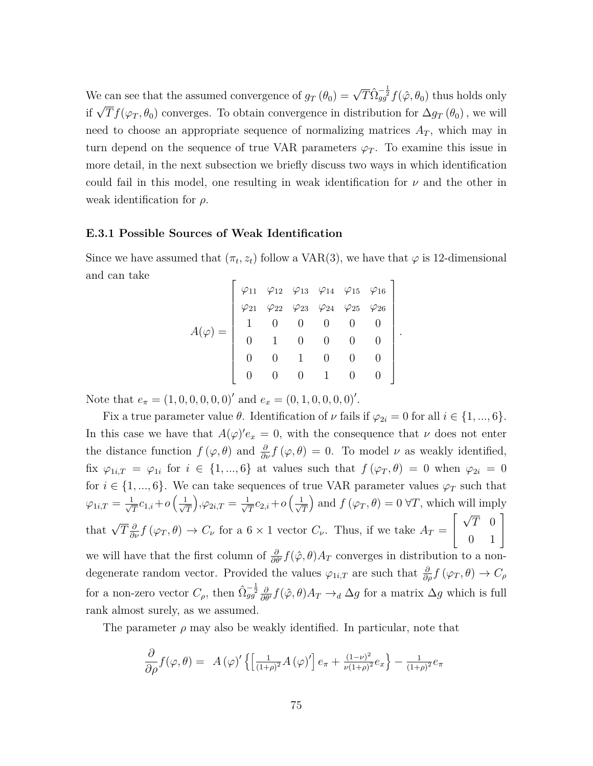We can see that the assumed convergence of  $g_T(\theta_0) = \sqrt{T} \hat{\Omega}_{gg}^{-\frac{1}{2}} f(\hat{\varphi}, \theta_0)$  thus holds only if  $\sqrt{T} f(\varphi_T, \theta_0)$  converges. To obtain convergence in distribution for  $\Delta g_T(\theta_0)$ , we will need to choose an appropriate sequence of normalizing matrices  $A_T$ , which may in turn depend on the sequence of true VAR parameters  $\varphi_T$ . To examine this issue in more detail, in the next subsection we briefly discuss two ways in which identification could fail in this model, one resulting in weak identification for  $\nu$  and the other in weak identification for *ρ*.

### **E.3.1 Possible Sources of Weak Identification**

Since we have assumed that  $(\pi_t, z_t)$  follow a VAR(3), we have that  $\varphi$  is 12-dimensional and can take

$$
A(\varphi) = \left[\begin{array}{cccccc} \varphi_{11} & \varphi_{12} & \varphi_{13} & \varphi_{14} & \varphi_{15} & \varphi_{16} \\ \varphi_{21} & \varphi_{22} & \varphi_{23} & \varphi_{24} & \varphi_{25} & \varphi_{26} \\ 1 & 0 & 0 & 0 & 0 & 0 \\ 0 & 1 & 0 & 0 & 0 & 0 \\ 0 & 0 & 1 & 0 & 0 & 0 \\ 0 & 0 & 0 & 1 & 0 & 0 \end{array}\right]
$$

*.*

Note that  $e_{\pi} = (1, 0, 0, 0, 0, 0)^{\prime}$  and  $e_x = (0, 1, 0, 0, 0, 0)^{\prime}$ .

Fix a true parameter value  $\theta$ . Identification of  $\nu$  fails if  $\varphi_{2i} = 0$  for all  $i \in \{1, ..., 6\}$ . In this case we have that  $A(\varphi)'e_x = 0$ , with the consequence that  $\nu$  does not enter the distance function  $f(\varphi, \theta)$  and  $\frac{\partial}{\partial \nu} f(\varphi, \theta) = 0$ . To model  $\nu$  as weakly identified, fix  $\varphi_{1i,T} = \varphi_{1i}$  for  $i \in \{1, ..., 6\}$  at values such that  $f(\varphi_T, \theta) = 0$  when  $\varphi_{2i} = 0$ for  $i \in \{1, ..., 6\}$ . We can take sequences of true VAR parameter values  $\varphi_T$  such that  $\varphi_{1i,T}=\frac{1}{\sqrt{2}}$  $\frac{1}{\overline{T}}c_{1,i}+o\left(\frac{1}{\sqrt{2}}\right)$ *T*  $\bigg), \varphi_{2i,T} = \frac{1}{\sqrt{2}}$  $\frac{1}{T}c_{2,i}+o\left(\frac{1}{\sqrt{2}}\right)$ *T* ) and  $f(\varphi_T, \theta) = 0 \,\forall T$ , which will imply that  $\sqrt{T} \frac{\partial}{\partial \nu} f(\varphi_T, \theta) \to C_{\nu}$  for a 6 × 1 vector  $C_{\nu}$ . Thus, if we take  $A_T =$  $\lceil$  $\overline{1}$ √ *T* 0 0 1 1  $\overline{1}$ we will have that the first column of  $\frac{\partial}{\partial \theta'} f(\hat{\varphi}, \theta) A_T$  converges in distribution to a nondegenerate random vector. Provided the values  $\varphi_{1i,T}$  are such that  $\frac{\partial}{\partial \rho} f(\varphi_T, \theta) \to C_\rho$ for a non-zero vector  $C_{\rho}$ , then  $\hat{\Omega}_{gg}^{-\frac{1}{2}} \frac{\partial}{\partial \theta'} f(\hat{\varphi}, \theta) A_T \to_d \Delta g$  for a matrix  $\Delta g$  which is full rank almost surely, as we assumed.

The parameter  $\rho$  may also be weakly identified. In particular, note that

$$
\frac{\partial}{\partial \rho} f(\varphi, \theta) = A(\varphi)' \left\{ \left[ \frac{1}{(1+\rho)^2} A(\varphi)' \right] e_\pi + \frac{(1-\nu)^2}{\nu(1+\rho)^2} e_x \right\} - \frac{1}{(1+\rho)^2} e_\pi
$$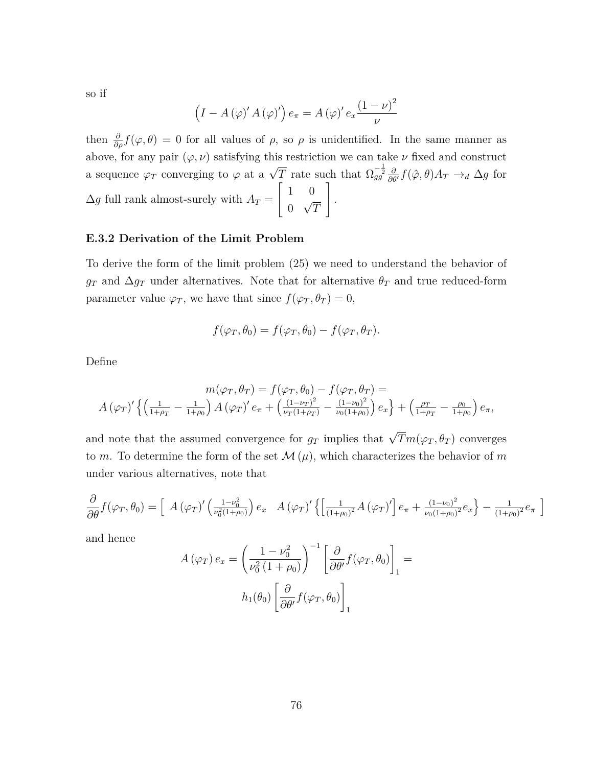so if

$$
(I - A(\varphi)' A(\varphi)') e_{\pi} = A(\varphi)' e_{x} \frac{(1 - \nu)^{2}}{\nu}
$$

then  $\frac{\partial}{\partial \rho} f(\varphi, \theta) = 0$  for all values of  $\rho$ , so  $\rho$  is unidentified. In the same manner as above, for any pair  $(\varphi, \nu)$  satisfying this restriction we can take  $\nu$  fixed and construct a sequence  $\varphi_T$  converging to  $\varphi$  at a  $\sqrt{T}$  rate such that  $\Omega_{gg}^{-\frac{1}{2}} \frac{\partial}{\partial \theta'} f(\hat{\varphi}, \theta) A_T \rightarrow_d \Delta g$  for  $\Delta g$  full rank almost-surely with  $A_T =$  $\lceil$  $\overline{1}$ 1 0  $\overline{0}$ √ *T* 1 *.*

## **E.3.2 Derivation of the Limit Problem**

To derive the form of the limit problem (25) we need to understand the behavior of  $g_T$  and  $\Delta g_T$  under alternatives. Note that for alternative  $\theta_T$  and true reduced-form parameter value  $\varphi_T$ , we have that since  $f(\varphi_T, \theta_T) = 0$ ,

$$
f(\varphi_T, \theta_0) = f(\varphi_T, \theta_0) - f(\varphi_T, \theta_T).
$$

Define

$$
m(\varphi_T, \theta_T) = f(\varphi_T, \theta_0) - f(\varphi_T, \theta_T) =
$$
  

$$
A(\varphi_T)' \left\{ \left( \frac{1}{1+\rho_T} - \frac{1}{1+\rho_0} \right) A(\varphi_T)' e_\pi + \left( \frac{(1-\nu_T)^2}{\nu_T(1+\rho_T)} - \frac{(1-\nu_0)^2}{\nu_0(1+\rho_0)} \right) e_x \right\} + \left( \frac{\rho_T}{1+\rho_T} - \frac{\rho_0}{1+\rho_0} \right) e_\pi,
$$

and note that the assumed convergence for  $g_T$  implies that  $\sqrt{T}m(\varphi_T,\theta_T)$  converges to  $m$ . To determine the form of the set  $\mathcal{M}(\mu)$ , which characterizes the behavior of  $m$ under various alternatives, note that

$$
\frac{\partial}{\partial \theta} f(\varphi_T, \theta_0) = \left[ A (\varphi_T)' \left( \frac{1 - \nu_0^2}{\nu_0^2 (1 + \rho_0)} \right) e_x \right] A (\varphi_T)' \left\{ \left[ \frac{1}{(1 + \rho_0)^2} A (\varphi_T)' \right] e_\pi + \frac{(1 - \nu_0)^2}{\nu_0 (1 + \rho_0)^2} e_x \right\} - \frac{1}{(1 + \rho_0)^2} e_\pi
$$

i

and hence

$$
A(\varphi_T) e_x = \left(\frac{1 - \nu_0^2}{\nu_0^2 (1 + \rho_0)}\right)^{-1} \left[\frac{\partial}{\partial \theta'} f(\varphi_T, \theta_0)\right]_1 =
$$

$$
h_1(\theta_0) \left[\frac{\partial}{\partial \theta'} f(\varphi_T, \theta_0)\right]_1
$$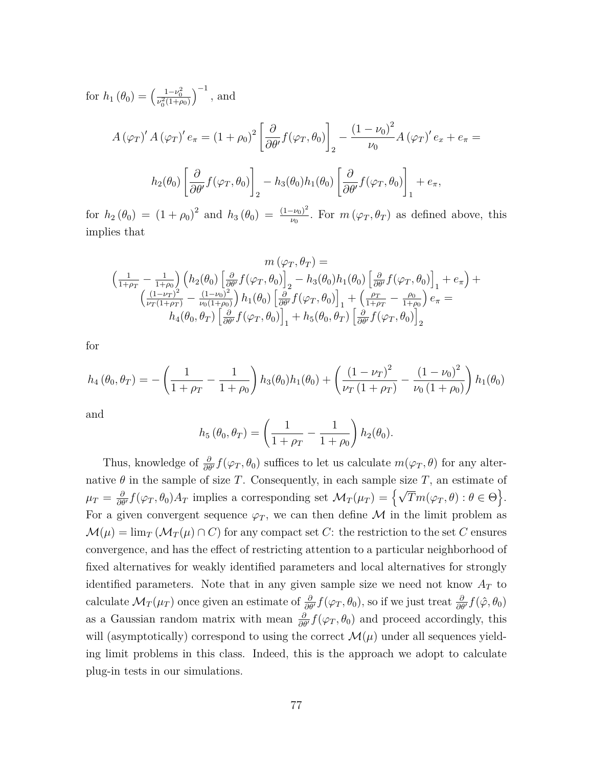for  $h_1(\theta_0) = \left(\frac{1 - \nu_0^2}{\nu_0^2(1 + \rho_0)}\right)$  $\big)^{-1}$ , and  $A(\varphi_T)' A(\varphi_T)' e_\pi = (1 + \rho_0)^2 \left[ \frac{\partial}{\partial \varphi_T} \right]$  $\frac{\partial}{\partial \theta'} f(\varphi_T, \theta_0)$ 1 2  $-\frac{(1-\nu_0)^2}{\nu_0}$ *ν*0  $A(\varphi_T)'e_x + e_{\pi} =$  $h_2(\theta_0)$ " *∂*  $\frac{\partial}{\partial \theta'} f(\varphi_T, \theta_0)$ 1 2  $-h_3(\theta_0)h_1(\theta_0)$ " *∂*  $\frac{\partial}{\partial \theta'} f(\varphi_T, \theta_0)$ 1 1  $+ e_{\pi}$ ,

for  $h_2(\theta_0) = (1 + \rho_0)^2$  and  $h_3(\theta_0) = \frac{(1 - \nu_0)^2}{\nu_0}$  $\frac{\partial \nu_{0}}{\partial v}$ . For  $m(\varphi_{T}, \theta_{T})$  as defined above, this implies that

$$
m(\varphi_T, \theta_T) =
$$
\n
$$
\left(\frac{1}{1+\rho_T} - \frac{1}{1+\rho_0}\right) \left(h_2(\theta_0) \left[\frac{\partial}{\partial \theta'} f(\varphi_T, \theta_0)\right]_2 - h_3(\theta_0)h_1(\theta_0) \left[\frac{\partial}{\partial \theta'} f(\varphi_T, \theta_0)\right]_1 + e_\pi\right) +
$$
\n
$$
\left(\frac{(1-\nu_T)^2}{\nu_T(1+\rho_T)} - \frac{(1-\nu_0)^2}{\nu_0(1+\rho_0)}\right)h_1(\theta_0) \left[\frac{\partial}{\partial \theta'} f(\varphi_T, \theta_0)\right]_1 + \left(\frac{\rho_T}{1+\rho_T} - \frac{\rho_0}{1+\rho_0}\right) e_\pi =
$$
\n
$$
h_4(\theta_0, \theta_T) \left[\frac{\partial}{\partial \theta'} f(\varphi_T, \theta_0)\right]_1 + h_5(\theta_0, \theta_T) \left[\frac{\partial}{\partial \theta'} f(\varphi_T, \theta_0)\right]_2
$$

for

$$
h_4(\theta_0, \theta_T) = -\left(\frac{1}{1+\rho_T} - \frac{1}{1+\rho_0}\right)h_3(\theta_0)h_1(\theta_0) + \left(\frac{(1-\nu_T)^2}{\nu_T(1+\rho_T)} - \frac{(1-\nu_0)^2}{\nu_0(1+\rho_0)}\right)h_1(\theta_0)
$$

and

$$
h_5(\theta_0, \theta_T) = \left(\frac{1}{1+\rho_T} - \frac{1}{1+\rho_0}\right) h_2(\theta_0).
$$

Thus, knowledge of  $\frac{\partial}{\partial \theta'} f(\varphi_T, \theta_0)$  suffices to let us calculate  $m(\varphi_T, \theta)$  for any alternative  $\theta$  in the sample of size *T*. Consequently, in each sample size *T*, an estimate of  $\mu_T = \frac{\partial}{\partial \theta}$  $\frac{\partial}{\partial \theta'} f(\varphi_T, \theta_0) A_T$  implies a corresponding set  $\mathcal{M}_T(\mu_T) = \left\{ \sqrt{T} m(\varphi_T, \theta) : \theta \in \Theta \right\}.$ For a given convergent sequence  $\varphi_T$ , we can then define M in the limit problem as  $\mathcal{M}(\mu) = \lim_{T} (\mathcal{M}_T(\mu) \cap C)$  for any compact set *C*: the restriction to the set *C* ensures convergence, and has the effect of restricting attention to a particular neighborhood of fixed alternatives for weakly identified parameters and local alternatives for strongly identified parameters. Note that in any given sample size we need not know  $A_T$  to calculate  $\mathcal{M}_T(\mu_T)$  once given an estimate of  $\frac{\partial}{\partial \theta'} f(\varphi_T, \theta_0)$ , so if we just treat  $\frac{\partial}{\partial \theta'} f(\hat{\varphi}, \theta_0)$ as a Gaussian random matrix with mean  $\frac{\partial}{\partial \theta} f(\varphi_T, \theta_0)$  and proceed accordingly, this will (asymptotically) correspond to using the correct  $\mathcal{M}(\mu)$  under all sequences yielding limit problems in this class. Indeed, this is the approach we adopt to calculate plug-in tests in our simulations.